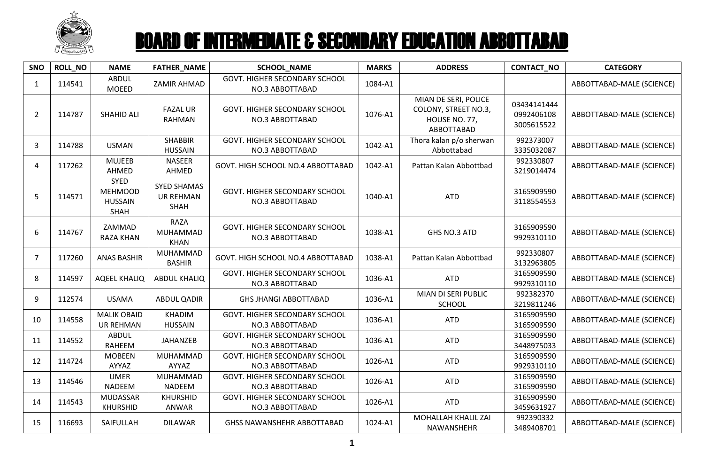

| SNO            | <b>ROLL_NO</b> | <b>NAME</b>                                      | <b>FATHER_NAME</b>                                    | <b>SCHOOL_NAME</b>                                      | <b>MARKS</b> | <b>ADDRESS</b>                                                              | CONTACT_NO                              | <b>CATEGORY</b>           |
|----------------|----------------|--------------------------------------------------|-------------------------------------------------------|---------------------------------------------------------|--------------|-----------------------------------------------------------------------------|-----------------------------------------|---------------------------|
| 1              | 114541         | <b>ABDUL</b><br><b>MOEED</b>                     | ZAMIR AHMAD                                           | <b>GOVT. HIGHER SECONDARY SCHOOL</b><br>NO.3 ABBOTTABAD | 1084-A1      |                                                                             |                                         | ABBOTTABAD-MALE (SCIENCE) |
| $\overline{2}$ | 114787         | <b>SHAHID ALI</b>                                | <b>FAZAL UR</b><br><b>RAHMAN</b>                      | GOVT. HIGHER SECONDARY SCHOOL<br>NO.3 ABBOTTABAD        | 1076-A1      | MIAN DE SERI, POLICE<br>COLONY, STREET NO.3,<br>HOUSE NO. 77,<br>ABBOTTABAD | 03434141444<br>0992406108<br>3005615522 | ABBOTTABAD-MALE (SCIENCE) |
| 3              | 114788         | <b>USMAN</b>                                     | <b>SHABBIR</b><br><b>HUSSAIN</b>                      | <b>GOVT. HIGHER SECONDARY SCHOOL</b><br>NO.3 ABBOTTABAD | 1042-A1      | Thora kalan p/o sherwan<br>Abbottabad                                       | 992373007<br>3335032087                 | ABBOTTABAD-MALE (SCIENCE) |
| 4              | 117262         | <b>MUJEEB</b><br>AHMED                           | <b>NASEER</b><br>AHMED                                | GOVT. HIGH SCHOOL NO.4 ABBOTTABAD                       | 1042-A1      | Pattan Kalan Abbottbad                                                      | 992330807<br>3219014474                 | ABBOTTABAD-MALE (SCIENCE) |
| 5              | 114571         | SYED<br><b>MEHMOOD</b><br><b>HUSSAIN</b><br>SHAH | <b>SYED SHAMAS</b><br><b>UR REHMAN</b><br><b>SHAH</b> | GOVT. HIGHER SECONDARY SCHOOL<br>NO.3 ABBOTTABAD        | 1040-A1      | <b>ATD</b>                                                                  | 3165909590<br>3118554553                | ABBOTTABAD-MALE (SCIENCE) |
| 6              | 114767         | ZAMMAD<br><b>RAZA KHAN</b>                       | <b>RAZA</b><br>MUHAMMAD<br><b>KHAN</b>                | GOVT. HIGHER SECONDARY SCHOOL<br>NO.3 ABBOTTABAD        | 1038-A1      | GHS NO.3 ATD                                                                | 3165909590<br>9929310110                | ABBOTTABAD-MALE (SCIENCE) |
| $\overline{7}$ | 117260         | <b>ANAS BASHIR</b>                               | MUHAMMAD<br><b>BASHIR</b>                             | GOVT. HIGH SCHOOL NO.4 ABBOTTABAD                       | 1038-A1      | Pattan Kalan Abbottbad                                                      | 992330807<br>3132963805                 | ABBOTTABAD-MALE (SCIENCE) |
| 8              | 114597         | <b>AQEEL KHALIQ</b>                              | <b>ABDUL KHALIQ</b>                                   | GOVT. HIGHER SECONDARY SCHOOL<br>NO.3 ABBOTTABAD        | 1036-A1      | <b>ATD</b>                                                                  | 3165909590<br>9929310110                | ABBOTTABAD-MALE (SCIENCE) |
| 9              | 112574         | <b>USAMA</b>                                     | ABDUL QADIR                                           | <b>GHS JHANGI ABBOTTABAD</b>                            | 1036-A1      | MIAN DI SERI PUBLIC<br><b>SCHOOL</b>                                        | 992382370<br>3219811246                 | ABBOTTABAD-MALE (SCIENCE) |
| 10             | 114558         | <b>MALIK OBAID</b><br><b>UR REHMAN</b>           | <b>KHADIM</b><br><b>HUSSAIN</b>                       | GOVT. HIGHER SECONDARY SCHOOL<br>NO.3 ABBOTTABAD        | 1036-A1      | <b>ATD</b>                                                                  | 3165909590<br>3165909590                | ABBOTTABAD-MALE (SCIENCE) |
| 11             | 114552         | ABDUL<br><b>RAHEEM</b>                           | JAHANZEB                                              | GOVT. HIGHER SECONDARY SCHOOL<br>NO.3 ABBOTTABAD        | 1036-A1      | <b>ATD</b>                                                                  | 3165909590<br>3448975033                | ABBOTTABAD-MALE (SCIENCE) |
| 12             | 114724         | <b>MOBEEN</b><br>AYYAZ                           | MUHAMMAD<br>AYYAZ                                     | <b>GOVT. HIGHER SECONDARY SCHOOL</b><br>NO.3 ABBOTTABAD | 1026-A1      | <b>ATD</b>                                                                  | 3165909590<br>9929310110                | ABBOTTABAD-MALE (SCIENCE) |
| 13             | 114546         | <b>UMER</b><br><b>NADEEM</b>                     | MUHAMMAD<br><b>NADEEM</b>                             | GOVT. HIGHER SECONDARY SCHOOL<br>NO.3 ABBOTTABAD        | 1026-A1      | <b>ATD</b>                                                                  | 3165909590<br>3165909590                | ABBOTTABAD-MALE (SCIENCE) |
| 14             | 114543         | MUDASSAR<br><b>KHURSHID</b>                      | <b>KHURSHID</b><br>ANWAR                              | GOVT. HIGHER SECONDARY SCHOOL<br>NO.3 ABBOTTABAD        | 1026-A1      | <b>ATD</b>                                                                  | 3165909590<br>3459631927                | ABBOTTABAD-MALE (SCIENCE) |
| 15             | 116693         | SAIFULLAH                                        | <b>DILAWAR</b>                                        | <b>GHSS NAWANSHEHR ABBOTTABAD</b>                       | 1024-A1      | MOHALLAH KHALIL ZAI<br>NAWANSHEHR                                           | 992390332<br>3489408701                 | ABBOTTABAD-MALE (SCIENCE) |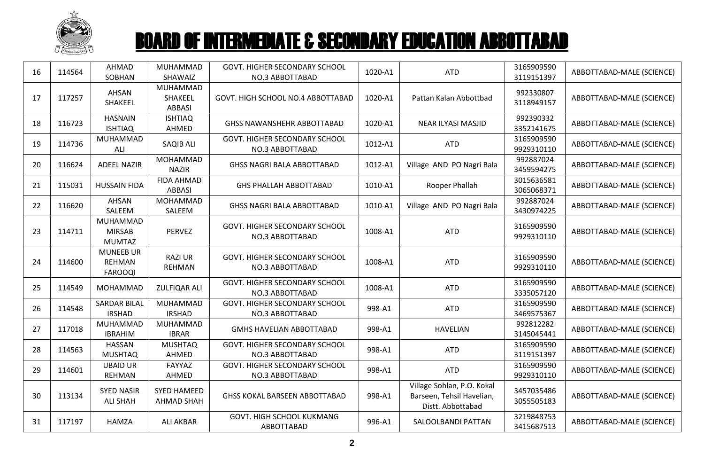

| 16 | 114564 | <b>AHMAD</b><br>SOBHAN                              | MUHAMMAD<br>SHAWAIZ                     | GOVT. HIGHER SECONDARY SCHOOL<br>NO.3 ABBOTTABAD        | 1020-A1 | <b>ATD</b>                                                                   | 3165909590<br>3119151397 | ABBOTTABAD-MALE (SCIENCE) |
|----|--------|-----------------------------------------------------|-----------------------------------------|---------------------------------------------------------|---------|------------------------------------------------------------------------------|--------------------------|---------------------------|
| 17 | 117257 | AHSAN<br>SHAKEEL                                    | MUHAMMAD<br>SHAKEEL<br><b>ABBASI</b>    | GOVT. HIGH SCHOOL NO.4 ABBOTTABAD                       | 1020-A1 | Pattan Kalan Abbottbad                                                       | 992330807<br>3118949157  | ABBOTTABAD-MALE (SCIENCE) |
| 18 | 116723 | <b>HASNAIN</b><br><b>ISHTIAQ</b>                    | <b>ISHTIAQ</b><br>AHMED                 | <b>GHSS NAWANSHEHR ABBOTTABAD</b>                       | 1020-A1 | NEAR ILYASI MASJID                                                           | 992390332<br>3352141675  | ABBOTTABAD-MALE (SCIENCE) |
| 19 | 114736 | MUHAMMAD<br>ALI                                     | SAQIB ALI                               | GOVT. HIGHER SECONDARY SCHOOL<br>NO.3 ABBOTTABAD        | 1012-A1 | <b>ATD</b>                                                                   | 3165909590<br>9929310110 | ABBOTTABAD-MALE (SCIENCE) |
| 20 | 116624 | <b>ADEEL NAZIR</b>                                  | MOHAMMAD<br><b>NAZIR</b>                | <b>GHSS NAGRI BALA ABBOTTABAD</b>                       | 1012-A1 | Village AND PO Nagri Bala                                                    | 992887024<br>3459594275  | ABBOTTABAD-MALE (SCIENCE) |
| 21 | 115031 | <b>HUSSAIN FIDA</b>                                 | <b>FIDA AHMAD</b><br><b>ABBASI</b>      | <b>GHS PHALLAH ABBOTTABAD</b>                           | 1010-A1 | Rooper Phallah                                                               | 3015636581<br>3065068371 | ABBOTTABAD-MALE (SCIENCE) |
| 22 | 116620 | AHSAN<br>SALEEM                                     | MOHAMMAD<br>SALEEM                      | <b>GHSS NAGRI BALA ABBOTTABAD</b>                       | 1010-A1 | Village AND PO Nagri Bala                                                    | 992887024<br>3430974225  | ABBOTTABAD-MALE (SCIENCE) |
| 23 | 114711 | MUHAMMAD<br><b>MIRSAB</b><br><b>MUMTAZ</b>          | <b>PERVEZ</b>                           | <b>GOVT. HIGHER SECONDARY SCHOOL</b><br>NO.3 ABBOTTABAD | 1008-A1 | <b>ATD</b>                                                                   | 3165909590<br>9929310110 | ABBOTTABAD-MALE (SCIENCE) |
| 24 | 114600 | <b>MUNEEB UR</b><br><b>REHMAN</b><br><b>FAROOQI</b> | <b>RAZI UR</b><br>REHMAN                | GOVT. HIGHER SECONDARY SCHOOL<br>NO.3 ABBOTTABAD        | 1008-A1 | <b>ATD</b>                                                                   | 3165909590<br>9929310110 | ABBOTTABAD-MALE (SCIENCE) |
| 25 | 114549 | MOHAMMAD                                            | ZULFIQAR ALI                            | <b>GOVT. HIGHER SECONDARY SCHOOL</b><br>NO.3 ABBOTTABAD | 1008-A1 | <b>ATD</b>                                                                   | 3165909590<br>3335057120 | ABBOTTABAD-MALE (SCIENCE) |
| 26 | 114548 | <b>SARDAR BILAL</b><br><b>IRSHAD</b>                | <b>MUHAMMAD</b><br><b>IRSHAD</b>        | GOVT. HIGHER SECONDARY SCHOOL<br>NO.3 ABBOTTABAD        | 998-A1  | <b>ATD</b>                                                                   | 3165909590<br>3469575367 | ABBOTTABAD-MALE (SCIENCE) |
| 27 | 117018 | MUHAMMAD<br><b>IBRAHIM</b>                          | MUHAMMAD<br><b>IBRAR</b>                | <b>GMHS HAVELIAN ABBOTTABAD</b>                         | 998-A1  | <b>HAVELIAN</b>                                                              | 992812282<br>3145045441  | ABBOTTABAD-MALE (SCIENCE) |
| 28 | 114563 | <b>HASSAN</b><br><b>MUSHTAQ</b>                     | <b>MUSHTAQ</b><br>AHMED                 | GOVT. HIGHER SECONDARY SCHOOL<br>NO.3 ABBOTTABAD        | 998-A1  | <b>ATD</b>                                                                   | 3165909590<br>3119151397 | ABBOTTABAD-MALE (SCIENCE) |
| 29 | 114601 | <b>UBAID UR</b><br>REHMAN                           | FAYYAZ<br>AHMED                         | GOVT. HIGHER SECONDARY SCHOOL<br>NO.3 ABBOTTABAD        | 998-A1  | <b>ATD</b>                                                                   | 3165909590<br>9929310110 | ABBOTTABAD-MALE (SCIENCE) |
| 30 | 113134 | <b>SYED NASIR</b><br><b>ALI SHAH</b>                | <b>SYED HAMEED</b><br><b>AHMAD SHAH</b> | <b>GHSS KOKAL BARSEEN ABBOTTABAD</b>                    | 998-A1  | Village Sohlan, P.O. Kokal<br>Barseen, Tehsil Havelian,<br>Distt. Abbottabad | 3457035486<br>3055505183 | ABBOTTABAD-MALE (SCIENCE) |
| 31 | 117197 | HAMZA                                               | <b>ALI AKBAR</b>                        | <b>GOVT. HIGH SCHOOL KUKMANG</b><br>ABBOTTABAD          | 996-A1  | SALOOLBANDI PATTAN                                                           | 3219848753<br>3415687513 | ABBOTTABAD-MALE (SCIENCE) |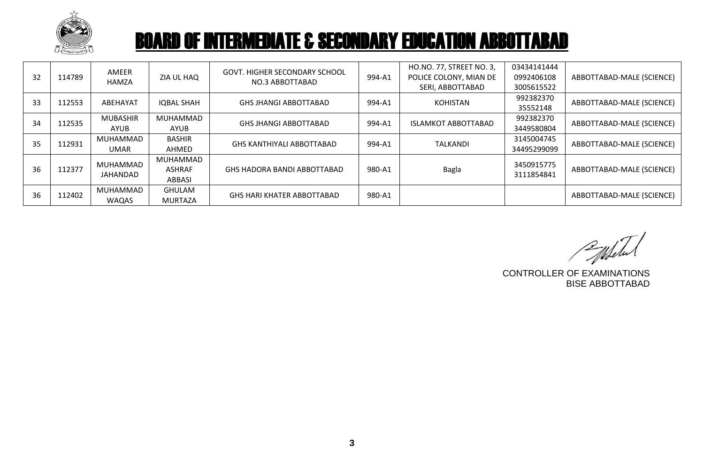

| 32 | 114789 | AMEER<br>HAMZA                 | ZIA UL HAQ                          | <b>GOVT. HIGHER SECONDARY SCHOOL</b><br>NO.3 ABBOTTABAD | 994-A1 | HO.NO. 77, STREET NO. 3,<br>POLICE COLONY, MIAN DE<br>SERI, ABBOTTABAD | 03434141444<br>0992406108<br>3005615522 | ABBOTTABAD-MALE (SCIENCE) |
|----|--------|--------------------------------|-------------------------------------|---------------------------------------------------------|--------|------------------------------------------------------------------------|-----------------------------------------|---------------------------|
| 33 | 112553 | ABEHAYAT                       | <b>IQBAL SHAH</b>                   | <b>GHS JHANGI ABBOTTABAD</b>                            | 994-A1 | <b>KOHISTAN</b>                                                        | 992382370<br>35552148                   | ABBOTTABAD-MALE (SCIENCE) |
| 34 | 112535 | <b>MUBASHIR</b><br><b>AYUB</b> | MUHAMMAD<br>AYUB                    | <b>GHS JHANGI ABBOTTABAD</b>                            | 994-A1 | <b>ISLAMKOT ABBOTTABAD</b>                                             | 992382370<br>3449580804                 | ABBOTTABAD-MALE (SCIENCE) |
| 35 | 112931 | MUHAMMAD<br>UMAR               | <b>BASHIR</b><br>AHMED              | <b>GHS KANTHIYALI ABBOTTABAD</b>                        | 994-A1 | <b>TALKANDI</b>                                                        | 3145004745<br>34495299099               | ABBOTTABAD-MALE (SCIENCE) |
| 36 | 112377 | MUHAMMAD<br>JAHANDAD           | MUHAMMAD<br><b>ASHRAF</b><br>ABBASI | GHS HADORA BANDI ABBOTTABAD                             | 980-A1 | <b>Bagla</b>                                                           | 3450915775<br>3111854841                | ABBOTTABAD-MALE (SCIENCE) |
| 36 | 112402 | MUHAMMAD<br><b>WAQAS</b>       | <b>GHULAM</b><br>MURTAZA            | GHS HARI KHATER ABBOTTABAD                              | 980-A1 |                                                                        |                                         | ABBOTTABAD-MALE (SCIENCE) |

CONTROLLER OF EXAMINATIONS

BISE ABBOTTABAD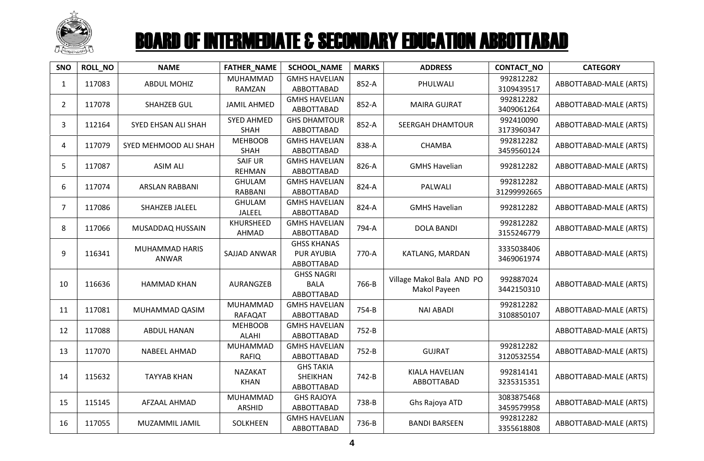

| <b>SNO</b>     | ROLL_NO | <b>NAME</b>             | <b>FATHER_NAME</b>               | <b>SCHOOL_NAME</b>                                    | <b>MARKS</b> | <b>ADDRESS</b>                            | CONTACT_NO               | <b>CATEGORY</b>        |
|----------------|---------|-------------------------|----------------------------------|-------------------------------------------------------|--------------|-------------------------------------------|--------------------------|------------------------|
| $\mathbf{1}$   | 117083  | <b>ABDUL MOHIZ</b>      | MUHAMMAD<br>RAMZAN               | <b>GMHS HAVELIAN</b><br>ABBOTTABAD                    | 852-A        | PHULWALI                                  | 992812282<br>3109439517  | ABBOTTABAD-MALE (ARTS) |
| $\overline{2}$ | 117078  | <b>SHAHZEB GUL</b>      | <b>JAMIL AHMED</b>               | <b>GMHS HAVELIAN</b><br>ABBOTTABAD                    | 852-A        | <b>MAIRA GUJRAT</b>                       | 992812282<br>3409061264  | ABBOTTABAD-MALE (ARTS) |
| 3              | 112164  | SYED EHSAN ALI SHAH     | <b>SYED AHMED</b><br><b>SHAH</b> | <b>GHS DHAMTOUR</b><br>ABBOTTABAD                     | 852-A        | SEERGAH DHAMTOUR                          | 992410090<br>3173960347  | ABBOTTABAD-MALE (ARTS) |
| 4              | 117079  | SYED MEHMOOD ALI SHAH   | <b>MEHBOOB</b><br><b>SHAH</b>    | <b>GMHS HAVELIAN</b><br>ABBOTTABAD                    | 838-A        | <b>CHAMBA</b>                             | 992812282<br>3459560124  | ABBOTTABAD-MALE (ARTS) |
| 5              | 117087  | <b>ASIM ALI</b>         | <b>SAIF UR</b><br><b>REHMAN</b>  | <b>GMHS HAVELIAN</b><br>ABBOTTABAD                    | 826-A        | <b>GMHS Havelian</b>                      | 992812282                | ABBOTTABAD-MALE (ARTS) |
| 6              | 117074  | <b>ARSLAN RABBANI</b>   | <b>GHULAM</b><br>RABBANI         | <b>GMHS HAVELIAN</b><br>ABBOTTABAD                    | 824-A        | PALWALI                                   | 992812282<br>31299992665 | ABBOTTABAD-MALE (ARTS) |
| $\overline{7}$ | 117086  | SHAHZEB JALEEL          | <b>GHULAM</b><br><b>JALEEL</b>   | <b>GMHS HAVELIAN</b><br>ABBOTTABAD                    | 824-A        | <b>GMHS Havelian</b>                      | 992812282                | ABBOTTABAD-MALE (ARTS) |
| 8              | 117066  | MUSADDAQ HUSSAIN        | KHURSHEED<br>AHMAD               | <b>GMHS HAVELIAN</b><br>ABBOTTABAD                    | 794-A        | <b>DOLA BANDI</b>                         | 992812282<br>3155246779  | ABBOTTABAD-MALE (ARTS) |
| 9              | 116341  | MUHAMMAD HARIS<br>ANWAR | <b>SAJJAD ANWAR</b>              | <b>GHSS KHANAS</b><br><b>PUR AYUBIA</b><br>ABBOTTABAD | 770-A        | KATLANG, MARDAN                           | 3335038406<br>3469061974 | ABBOTTABAD-MALE (ARTS) |
| 10             | 116636  | <b>HAMMAD KHAN</b>      | AURANGZEB                        | <b>GHSS NAGRI</b><br><b>BALA</b><br>ABBOTTABAD        | 766-B        | Village Makol Bala AND PO<br>Makol Payeen | 992887024<br>3442150310  | ABBOTTABAD-MALE (ARTS) |
| 11             | 117081  | MUHAMMAD QASIM          | MUHAMMAD<br><b>RAFAQAT</b>       | <b>GMHS HAVELIAN</b><br>ABBOTTABAD                    | 754-B        | <b>NAI ABADI</b>                          | 992812282<br>3108850107  | ABBOTTABAD-MALE (ARTS) |
| 12             | 117088  | <b>ABDUL HANAN</b>      | <b>MEHBOOB</b><br><b>ALAHI</b>   | <b>GMHS HAVELIAN</b><br>ABBOTTABAD                    | 752-B        |                                           |                          | ABBOTTABAD-MALE (ARTS) |
| 13             | 117070  | NABEEL AHMAD            | MUHAMMAD<br><b>RAFIQ</b>         | <b>GMHS HAVELIAN</b><br>ABBOTTABAD                    | 752-B        | <b>GUJRAT</b>                             | 992812282<br>3120532554  | ABBOTTABAD-MALE (ARTS) |
| 14             | 115632  | <b>TAYYAB KHAN</b>      | NAZAKAT<br><b>KHAN</b>           | <b>GHS TAKIA</b><br>SHEIKHAN<br>ABBOTTABAD            | 742-B        | KIALA HAVELIAN<br>ABBOTTABAD              | 992814141<br>3235315351  | ABBOTTABAD-MALE (ARTS) |
| 15             | 115145  | AFZAAL AHMAD            | MUHAMMAD<br>ARSHID               | <b>GHS RAJOYA</b><br>ABBOTTABAD                       | 738-B        | Ghs Rajoya ATD                            | 3083875468<br>3459579958 | ABBOTTABAD-MALE (ARTS) |
| 16             | 117055  | MUZAMMIL JAMIL          | SOLKHEEN                         | <b>GMHS HAVELIAN</b><br>ABBOTTABAD                    | 736-B        | <b>BANDI BARSEEN</b>                      | 992812282<br>3355618808  | ABBOTTABAD-MALE (ARTS) |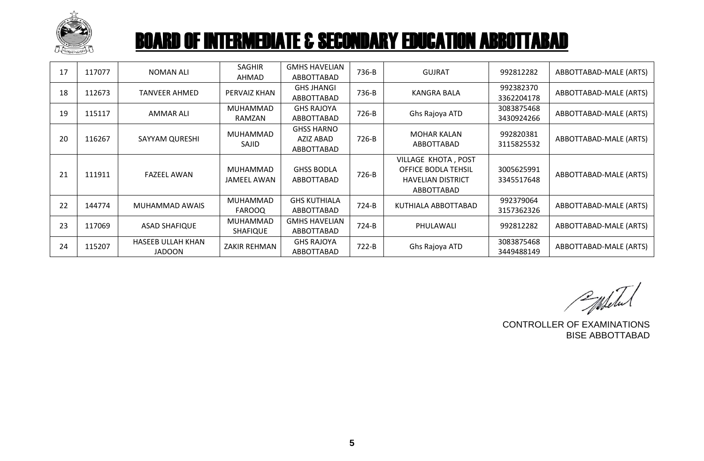

| 17 | 117077 | NOMAN ALI                                 | <b>SAGHIR</b><br>AHMAD             | <b>GMHS HAVELIAN</b><br>ABBOTTABAD           | 736-B   | <b>GUJRAT</b>                                                                               | 992812282                | ABBOTTABAD-MALE (ARTS) |
|----|--------|-------------------------------------------|------------------------------------|----------------------------------------------|---------|---------------------------------------------------------------------------------------------|--------------------------|------------------------|
| 18 | 112673 | <b>TANVEER AHMED</b>                      | PERVAIZ KHAN                       | <b>GHS JHANGI</b><br>ABBOTTABAD              | 736-B   | KANGRA BALA                                                                                 | 992382370<br>3362204178  | ABBOTTABAD-MALE (ARTS) |
| 19 | 115117 | <b>AMMAR ALI</b>                          | <b>MUHAMMAD</b><br>RAMZAN          | <b>GHS RAJOYA</b><br>ABBOTTABAD              | 726-B   | Ghs Rajoya ATD                                                                              | 3083875468<br>3430924266 | ABBOTTABAD-MALE (ARTS) |
| 20 | 116267 | SAYYAM QURESHI                            | <b>MUHAMMAD</b><br>SAJID           | <b>GHSS HARNO</b><br>AZIZ ABAD<br>ABBOTTABAD | 726-B   | <b>MOHAR KALAN</b><br>ABBOTTABAD                                                            | 992820381<br>3115825532  | ABBOTTABAD-MALE (ARTS) |
| 21 | 111911 | <b>FAZEEL AWAN</b>                        | MUHAMMAD<br>JAMEEL AWAN            | <b>GHSS BODLA</b><br>ABBOTTABAD              | 726-B   | VILLAGE KHOTA, POST<br><b>OFFICE BODLA TEHSIL</b><br><b>HAVELIAN DISTRICT</b><br>ABBOTTABAD | 3005625991<br>3345517648 | ABBOTTABAD-MALE (ARTS) |
| 22 | 144774 | MUHAMMAD AWAIS                            | MUHAMMAD<br><b>FAROOQ</b>          | <b>GHS KUTHIALA</b><br>ABBOTTABAD            | $724-B$ | KUTHIALA ABBOTTABAD                                                                         | 992379064<br>3157362326  | ABBOTTABAD-MALE (ARTS) |
| 23 | 117069 | <b>ASAD SHAFIQUE</b>                      | <b>MUHAMMAD</b><br><b>SHAFIQUE</b> | <b>GMHS HAVELIAN</b><br>ABBOTTABAD           | $724-B$ | PHULAWALI                                                                                   | 992812282                | ABBOTTABAD-MALE (ARTS) |
| 24 | 115207 | <b>HASEEB ULLAH KHAN</b><br><b>JADOON</b> | <b>ZAKIR REHMAN</b>                | <b>GHS RAJOYA</b><br>ABBOTTABAD              | $722-B$ | Ghs Rajoya ATD                                                                              | 3083875468<br>3449488149 | ABBOTTABAD-MALE (ARTS) |

Pulited

CONTROLLER OF EXAMINATIONS BISE ABBOTTABAD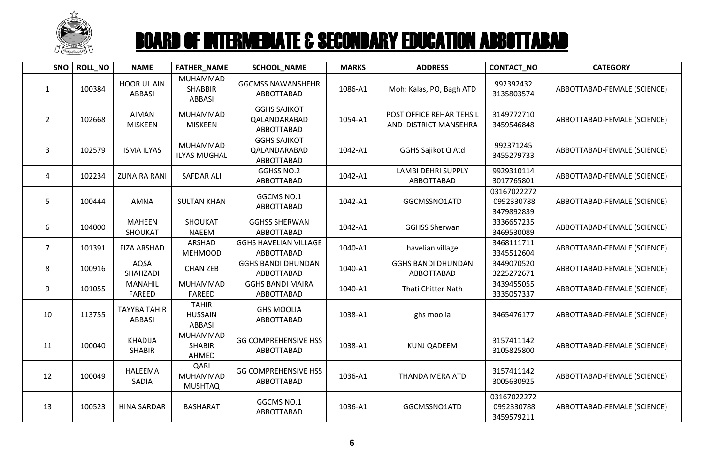

| <b>SNO</b>     | <b>ROLL_NO</b> | <b>NAME</b>                          | FATHER_NAME                                     | <b>SCHOOL_NAME</b>                                | <b>MARKS</b> | <b>ADDRESS</b>                                    | CONTACT_NO                              | <b>CATEGORY</b>             |
|----------------|----------------|--------------------------------------|-------------------------------------------------|---------------------------------------------------|--------------|---------------------------------------------------|-----------------------------------------|-----------------------------|
| $\mathbf{1}$   | 100384         | <b>HOOR UL AIN</b><br><b>ABBASI</b>  | MUHAMMAD<br><b>SHABBIR</b><br><b>ABBASI</b>     | <b>GGCMSS NAWANSHEHR</b><br>ABBOTTABAD            | 1086-A1      | Moh: Kalas, PO, Bagh ATD                          | 992392432<br>3135803574                 | ABBOTTABAD-FEMALE (SCIENCE) |
| $\overline{2}$ | 102668         | AIMAN<br><b>MISKEEN</b>              | MUHAMMAD<br><b>MISKEEN</b>                      | <b>GGHS SAJIKOT</b><br>QALANDARABAD<br>ABBOTTABAD | 1054-A1      | POST OFFICE REHAR TEHSIL<br>AND DISTRICT MANSEHRA | 3149772710<br>3459546848                | ABBOTTABAD-FEMALE (SCIENCE) |
| 3              | 102579         | <b>ISMA ILYAS</b>                    | MUHAMMAD<br><b>ILYAS MUGHAL</b>                 | <b>GGHS SAJIKOT</b><br>QALANDARABAD<br>ABBOTTABAD | 1042-A1      | GGHS Sajikot Q Atd                                | 992371245<br>3455279733                 | ABBOTTABAD-FEMALE (SCIENCE) |
| 4              | 102234         | <b>ZUNAIRA RANI</b>                  | <b>SAFDAR ALI</b>                               | GGHSS NO.2<br>ABBOTTABAD                          | 1042-A1      | <b>LAMBI DEHRI SUPPLY</b><br>ABBOTTABAD           | 9929310114<br>3017765801                | ABBOTTABAD-FEMALE (SCIENCE) |
| 5 <sup>5</sup> | 100444         | AMNA                                 | <b>SULTAN KHAN</b>                              | GGCMS NO.1<br>ABBOTTABAD                          | 1042-A1      | GGCMSSNO1ATD                                      | 03167022272<br>0992330788<br>3479892839 | ABBOTTABAD-FEMALE (SCIENCE) |
| 6              | 104000         | <b>MAHEEN</b><br>SHOUKAT             | SHOUKAT<br><b>NAEEM</b>                         | <b>GGHSS SHERWAN</b><br>ABBOTTABAD                | 1042-A1      | <b>GGHSS Sherwan</b>                              | 3336657235<br>3469530089                | ABBOTTABAD-FEMALE (SCIENCE) |
| $\overline{7}$ | 101391         | <b>FIZA ARSHAD</b>                   | ARSHAD<br><b>MEHMOOD</b>                        | <b>GGHS HAVELIAN VILLAGE</b><br>ABBOTTABAD        | 1040-A1      | havelian village                                  | 3468111711<br>3345512604                | ABBOTTABAD-FEMALE (SCIENCE) |
| 8              | 100916         | AQSA<br>SHAHZADI                     | <b>CHAN ZEB</b>                                 | <b>GGHS BANDI DHUNDAN</b><br>ABBOTTABAD           | 1040-A1      | <b>GGHS BANDI DHUNDAN</b><br>ABBOTTABAD           | 3449070520<br>3225272671                | ABBOTTABAD-FEMALE (SCIENCE) |
| 9              | 101055         | <b>MANAHIL</b><br><b>FAREED</b>      | MUHAMMAD<br><b>FAREED</b>                       | <b>GGHS BANDI MAIRA</b><br>ABBOTTABAD             | 1040-A1      | <b>Thati Chitter Nath</b>                         | 3439455055<br>3335057337                | ABBOTTABAD-FEMALE (SCIENCE) |
| 10             | 113755         | <b>TAYYBA TAHIR</b><br><b>ABBASI</b> | <b>TAHIR</b><br><b>HUSSAIN</b><br><b>ABBASI</b> | <b>GHS MOOLIA</b><br>ABBOTTABAD                   | 1038-A1      | ghs moolia                                        | 3465476177                              | ABBOTTABAD-FEMALE (SCIENCE) |
| 11             | 100040         | <b>KHADIJA</b><br><b>SHABIR</b>      | MUHAMMAD<br><b>SHABIR</b><br>AHMED              | <b>GG COMPREHENSIVE HSS</b><br>ABBOTTABAD         | 1038-A1      | <b>KUNJ QADEEM</b>                                | 3157411142<br>3105825800                | ABBOTTABAD-FEMALE (SCIENCE) |
| 12             | 100049         | HALEEMA<br>SADIA                     | QARI<br>MUHAMMAD<br><b>MUSHTAQ</b>              | <b>GG COMPREHENSIVE HSS</b><br>ABBOTTABAD         | 1036-A1      | <b>THANDA MERA ATD</b>                            | 3157411142<br>3005630925                | ABBOTTABAD-FEMALE (SCIENCE) |
| 13             | 100523         | <b>HINA SARDAR</b>                   | <b>BASHARAT</b>                                 | GGCMS NO.1<br>ABBOTTABAD                          | 1036-A1      | GGCMSSNO1ATD                                      | 03167022272<br>0992330788<br>3459579211 | ABBOTTABAD-FEMALE (SCIENCE) |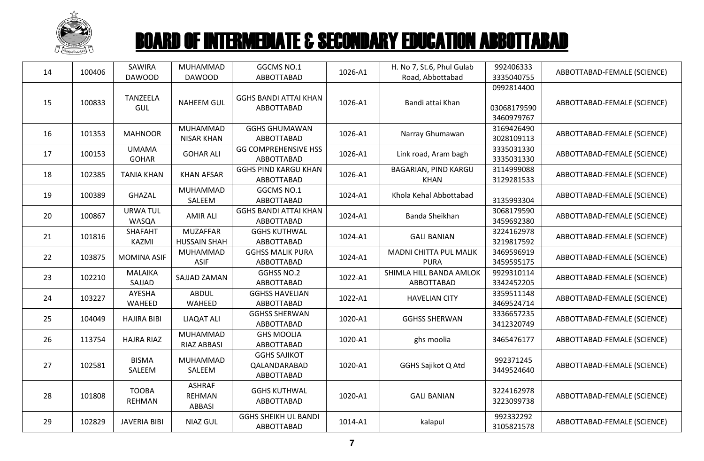

| 14 | 100406 | SAWIRA<br><b>DAWOOD</b>       | MUHAMMAD<br><b>DAWOOD</b>                | GGCMS NO.1<br>ABBOTTABAD                          | 1026-A1 | H. No 7, St.6, Phul Gulab<br>Road, Abbottabad | 992406333<br>3335040755                 | ABBOTTABAD-FEMALE (SCIENCE) |
|----|--------|-------------------------------|------------------------------------------|---------------------------------------------------|---------|-----------------------------------------------|-----------------------------------------|-----------------------------|
| 15 | 100833 | <b>TANZEELA</b><br>GUL        | <b>NAHEEM GUL</b>                        | <b>GGHS BANDI ATTAI KHAN</b><br>ABBOTTABAD        | 1026-A1 | Bandi attai Khan                              | 0992814400<br>03068179590<br>3460979767 | ABBOTTABAD-FEMALE (SCIENCE) |
| 16 | 101353 | <b>MAHNOOR</b>                | MUHAMMAD<br><b>NISAR KHAN</b>            | <b>GGHS GHUMAWAN</b><br>ABBOTTABAD                | 1026-A1 | Narray Ghumawan                               | 3169426490<br>3028109113                | ABBOTTABAD-FEMALE (SCIENCE) |
| 17 | 100153 | <b>UMAMA</b><br><b>GOHAR</b>  | <b>GOHAR ALI</b>                         | <b>GG COMPREHENSIVE HSS</b><br>ABBOTTABAD         | 1026-A1 | Link road, Aram bagh                          | 3335031330<br>3335031330                | ABBOTTABAD-FEMALE (SCIENCE) |
| 18 | 102385 | <b>TANIA KHAN</b>             | <b>KHAN AFSAR</b>                        | <b>GGHS PIND KARGU KHAN</b><br>ABBOTTABAD         | 1026-A1 | BAGARIAN, PIND KARGU<br><b>KHAN</b>           | 3114999088<br>3129281533                | ABBOTTABAD-FEMALE (SCIENCE) |
| 19 | 100389 | <b>GHAZAL</b>                 | MUHAMMAD<br>SALEEM                       | GGCMS NO.1<br>ABBOTTABAD                          | 1024-A1 | Khola Kehal Abbottabad                        | 3135993304                              | ABBOTTABAD-FEMALE (SCIENCE) |
| 20 | 100867 | <b>URWA TUL</b><br>WASQA      | <b>AMIR ALI</b>                          | <b>GGHS BANDI ATTAI KHAN</b><br>ABBOTTABAD        | 1024-A1 | Banda Sheikhan                                | 3068179590<br>3459692380                | ABBOTTABAD-FEMALE (SCIENCE) |
| 21 | 101816 | <b>SHAFAHT</b><br>KAZMI       | <b>MUZAFFAR</b><br><b>HUSSAIN SHAH</b>   | <b>GGHS KUTHWAL</b><br>ABBOTTABAD                 | 1024-A1 | <b>GALI BANIAN</b>                            | 3224162978<br>3219817592                | ABBOTTABAD-FEMALE (SCIENCE) |
| 22 | 103875 | <b>MOMINA ASIF</b>            | MUHAMMAD<br><b>ASIF</b>                  | <b>GGHSS MALIK PURA</b><br>ABBOTTABAD             | 1024-A1 | MADNI CHITTA PUL MALIK<br><b>PURA</b>         | 3469596919<br>3459595175                | ABBOTTABAD-FEMALE (SCIENCE) |
| 23 | 102210 | <b>MALAIKA</b><br>SAJJAD      | SAJJAD ZAMAN                             | GGHSS NO.2<br>ABBOTTABAD                          | 1022-A1 | SHIMLA HILL BANDA AMLOK<br>ABBOTTABAD         | 9929310114<br>3342452205                | ABBOTTABAD-FEMALE (SCIENCE) |
| 24 | 103227 | AYESHA<br>WAHEED              | <b>ABDUL</b><br>WAHEED                   | <b>GGHSS HAVELIAN</b><br>ABBOTTABAD               | 1022-A1 | <b>HAVELIAN CITY</b>                          | 3359511148<br>3469524714                | ABBOTTABAD-FEMALE (SCIENCE) |
| 25 | 104049 | <b>HAJIRA BIBI</b>            | <b>LIAQAT ALI</b>                        | <b>GGHSS SHERWAN</b><br>ABBOTTABAD                | 1020-A1 | <b>GGHSS SHERWAN</b>                          | 3336657235<br>3412320749                | ABBOTTABAD-FEMALE (SCIENCE) |
| 26 | 113754 | <b>HAJRA RIAZ</b>             | MUHAMMAD<br>RIAZ ABBASI                  | <b>GHS MOOLIA</b><br>ABBOTTABAD                   | 1020-A1 | ghs moolia                                    | 3465476177                              | ABBOTTABAD-FEMALE (SCIENCE) |
| 27 | 102581 | <b>BISMA</b><br>SALEEM        | MUHAMMAD<br>SALEEM                       | <b>GGHS SAJIKOT</b><br>QALANDARABAD<br>ABBOTTABAD | 1020-A1 | <b>GGHS Sajikot Q Atd</b>                     | 992371245<br>3449524640                 | ABBOTTABAD-FEMALE (SCIENCE) |
| 28 | 101808 | <b>TOOBA</b><br><b>REHMAN</b> | <b>ASHRAF</b><br><b>REHMAN</b><br>ABBASI | <b>GGHS KUTHWAL</b><br>ABBOTTABAD                 | 1020-A1 | <b>GALI BANIAN</b>                            | 3224162978<br>3223099738                | ABBOTTABAD-FEMALE (SCIENCE) |
| 29 | 102829 | <b>JAVERIA BIBI</b>           | <b>NIAZ GUL</b>                          | <b>GGHS SHEIKH UL BANDI</b><br>ABBOTTABAD         | 1014-A1 | kalapul                                       | 992332292<br>3105821578                 | ABBOTTABAD-FEMALE (SCIENCE) |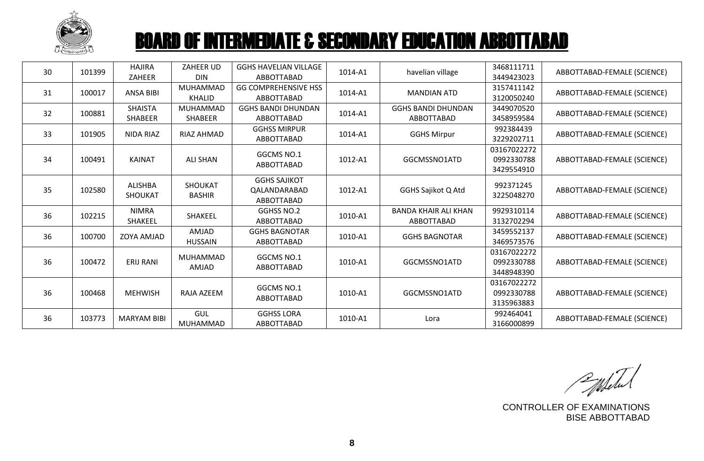

| 30 | 101399 | <b>HAJIRA</b><br>ZAHEER          | ZAHEER UD<br><b>DIN</b>          | <b>GGHS HAVELIAN VILLAGE</b><br>ABBOTTABAD        | 1014-A1 | havelian village                          | 3468111711<br>3449423023                | ABBOTTABAD-FEMALE (SCIENCE) |
|----|--------|----------------------------------|----------------------------------|---------------------------------------------------|---------|-------------------------------------------|-----------------------------------------|-----------------------------|
| 31 | 100017 | <b>ANSA BIBI</b>                 | <b>MUHAMMAD</b><br><b>KHALID</b> | <b>GG COMPREHENSIVE HSS</b><br>ABBOTTABAD         | 1014-A1 | <b>MANDIAN ATD</b>                        | 3157411142<br>3120050240                | ABBOTTABAD-FEMALE (SCIENCE) |
| 32 | 100881 | <b>SHAISTA</b><br><b>SHABEER</b> | MUHAMMAD<br><b>SHABEER</b>       | <b>GGHS BANDI DHUNDAN</b><br>ABBOTTABAD           | 1014-A1 | <b>GGHS BANDI DHUNDAN</b><br>ABBOTTABAD   | 3449070520<br>3458959584                | ABBOTTABAD-FEMALE (SCIENCE) |
| 33 | 101905 | NIDA RIAZ                        | RIAZ AHMAD                       | <b>GGHSS MIRPUR</b><br>ABBOTTABAD                 | 1014-A1 | <b>GGHS Mirpur</b>                        | 992384439<br>3229202711                 | ABBOTTABAD-FEMALE (SCIENCE) |
| 34 | 100491 | <b>KAINAT</b>                    | <b>ALI SHAN</b>                  | GGCMS NO.1<br>ABBOTTABAD                          | 1012-A1 | GGCMSSNO1ATD                              | 03167022272<br>0992330788<br>3429554910 | ABBOTTABAD-FEMALE (SCIENCE) |
| 35 | 102580 | <b>ALISHBA</b><br><b>SHOUKAT</b> | SHOUKAT<br><b>BASHIR</b>         | <b>GGHS SAJIKOT</b><br>QALANDARABAD<br>ABBOTTABAD | 1012-A1 | <b>GGHS Sajikot Q Atd</b>                 | 992371245<br>3225048270                 | ABBOTTABAD-FEMALE (SCIENCE) |
| 36 | 102215 | <b>NIMRA</b><br>SHAKEEL          | <b>SHAKEEL</b>                   | GGHSS NO.2<br>ABBOTTABAD                          | 1010-A1 | <b>BANDA KHAIR ALI KHAN</b><br>ABBOTTABAD | 9929310114<br>3132702294                | ABBOTTABAD-FEMALE (SCIENCE) |
| 36 | 100700 | <b>ZOYA AMJAD</b>                | <b>AMJAD</b><br><b>HUSSAIN</b>   | <b>GGHS BAGNOTAR</b><br>ABBOTTABAD                | 1010-A1 | <b>GGHS BAGNOTAR</b>                      | 3459552137<br>3469573576                | ABBOTTABAD-FEMALE (SCIENCE) |
| 36 | 100472 | <b>ERIJ RANI</b>                 | MUHAMMAD<br>AMJAD                | GGCMS NO.1<br>ABBOTTABAD                          | 1010-A1 | GGCMSSNO1ATD                              | 03167022272<br>0992330788<br>3448948390 | ABBOTTABAD-FEMALE (SCIENCE) |
| 36 | 100468 | <b>MEHWISH</b>                   | RAJA AZEEM                       | GGCMS NO.1<br>ABBOTTABAD                          | 1010-A1 | GGCMSSNO1ATD                              | 03167022272<br>0992330788<br>3135963883 | ABBOTTABAD-FEMALE (SCIENCE) |
| 36 | 103773 | <b>MARYAM BIBI</b>               | GUL<br>MUHAMMAD                  | <b>GGHSS LORA</b><br>ABBOTTABAD                   | 1010-A1 | Lora                                      | 992464041<br>3166000899                 | ABBOTTABAD-FEMALE (SCIENCE) |

Publited

CONTROLLER OF EXAMINATIONS BISE ABBOTTABAD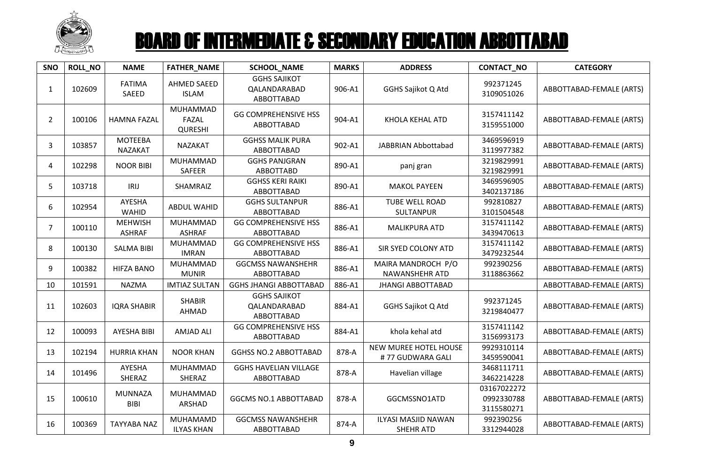

| SNO            | ROLL_NO | <b>NAME</b>                     | FATHER_NAME                         | <b>SCHOOL_NAME</b>                                | <b>MARKS</b> | <b>ADDRESS</b>                                 | <b>CONTACT_NO</b>                       | <b>CATEGORY</b>          |
|----------------|---------|---------------------------------|-------------------------------------|---------------------------------------------------|--------------|------------------------------------------------|-----------------------------------------|--------------------------|
| $\mathbf{1}$   | 102609  | <b>FATIMA</b><br>SAEED          | <b>AHMED SAEED</b><br><b>ISLAM</b>  | <b>GGHS SAJIKOT</b><br>QALANDARABAD<br>ABBOTTABAD | 906-A1       | GGHS Sajikot Q Atd                             | 992371245<br>3109051026                 | ABBOTTABAD-FEMALE (ARTS) |
| $\overline{2}$ | 100106  | <b>HAMNA FAZAL</b>              | MUHAMMAD<br>FAZAL<br><b>QURESHI</b> | <b>GG COMPREHENSIVE HSS</b><br>ABBOTTABAD         | 904-A1       | KHOLA KEHAL ATD                                | 3157411142<br>3159551000                | ABBOTTABAD-FEMALE (ARTS) |
| 3              | 103857  | <b>MOTEEBA</b><br>NAZAKAT       | <b>NAZAKAT</b>                      | <b>GGHSS MALIK PURA</b><br>ABBOTTABAD             | 902-A1       | JABBRIAN Abbottabad                            | 3469596919<br>3119977382                | ABBOTTABAD-FEMALE (ARTS) |
| 4              | 102298  | <b>NOOR BIBI</b>                | MUHAMMAD<br>SAFEER                  | <b>GGHS PANJGRAN</b><br>ABBOTTABD                 | 890-A1       | panj gran                                      | 3219829991<br>3219829991                | ABBOTTABAD-FEMALE (ARTS) |
| 5              | 103718  | IRIJ                            | SHAMRAIZ                            | <b>GGHSS KERI RAIKI</b><br>ABBOTTABAD             | 890-A1       | <b>MAKOL PAYEEN</b>                            | 3469596905<br>3402137186                | ABBOTTABAD-FEMALE (ARTS) |
| 6              | 102954  | AYESHA<br>WAHID                 | ABDUL WAHID                         | <b>GGHS SULTANPUR</b><br>ABBOTTABAD               | 886-A1       | TUBE WELL ROAD<br>SULTANPUR                    | 992810827<br>3101504548                 | ABBOTTABAD-FEMALE (ARTS) |
| $\overline{7}$ | 100110  | <b>MEHWISH</b><br><b>ASHRAF</b> | MUHAMMAD<br><b>ASHRAF</b>           | <b>GG COMPREHENSIVE HSS</b><br>ABBOTTABAD         | 886-A1       | <b>MALIKPURA ATD</b>                           | 3157411142<br>3439470613                | ABBOTTABAD-FEMALE (ARTS) |
| 8              | 100130  | <b>SALMA BIBI</b>               | MUHAMMAD<br><b>IMRAN</b>            | <b>GG COMPREHENSIVE HSS</b><br>ABBOTTABAD         | 886-A1       | SIR SYED COLONY ATD                            | 3157411142<br>3479232544                | ABBOTTABAD-FEMALE (ARTS) |
| 9              | 100382  | <b>HIFZA BANO</b>               | MUHAMMAD<br><b>MUNIR</b>            | <b>GGCMSS NAWANSHEHR</b><br>ABBOTTABAD            | 886-A1       | MAIRA MANDROCH P/O<br>NAWANSHEHR ATD           | 992390256<br>3118863662                 | ABBOTTABAD-FEMALE (ARTS) |
| 10             | 101591  | <b>NAZMA</b>                    | <b>IMTIAZ SULTAN</b>                | <b>GGHS JHANGI ABBOTTABAD</b>                     | 886-A1       | <b>JHANGI ABBOTTABAD</b>                       |                                         | ABBOTTABAD-FEMALE (ARTS) |
| 11             | 102603  | <b>IQRA SHABIR</b>              | <b>SHABIR</b><br>AHMAD              | <b>GGHS SAJIKOT</b><br>QALANDARABAD<br>ABBOTTABAD | 884-A1       | <b>GGHS Sajikot Q Atd</b>                      | 992371245<br>3219840477                 | ABBOTTABAD-FEMALE (ARTS) |
| 12             | 100093  | AYESHA BIBI                     | AMJAD ALI                           | <b>GG COMPREHENSIVE HSS</b><br>ABBOTTABAD         | 884-A1       | khola kehal atd                                | 3157411142<br>3156993173                | ABBOTTABAD-FEMALE (ARTS) |
| 13             | 102194  | <b>HURRIA KHAN</b>              | <b>NOOR KHAN</b>                    | <b>GGHSS NO.2 ABBOTTABAD</b>                      | 878-A        | NEW MUREE HOTEL HOUSE<br>#77 GUDWARA GALI      | 9929310114<br>3459590041                | ABBOTTABAD-FEMALE (ARTS) |
| 14             | 101496  | AYESHA<br>SHERAZ                | MUHAMMAD<br>SHERAZ                  | <b>GGHS HAVELIAN VILLAGE</b><br>ABBOTTABAD        | 878-A        | Havelian village                               | 3468111711<br>3462214228                | ABBOTTABAD-FEMALE (ARTS) |
| 15             | 100610  | <b>MUNNAZA</b><br><b>BIBI</b>   | MUHAMMAD<br>ARSHAD                  | <b>GGCMS NO.1 ABBOTTABAD</b>                      | 878-A        | GGCMSSNO1ATD                                   | 03167022272<br>0992330788<br>3115580271 | ABBOTTABAD-FEMALE (ARTS) |
| 16             | 100369  | <b>TAYYABA NAZ</b>              | MUHAMAMD<br><b>ILYAS KHAN</b>       | <b>GGCMSS NAWANSHEHR</b><br>ABBOTTABAD            | 874-A        | <b>ILYASI MASJID NAWAN</b><br><b>SHEHR ATD</b> | 992390256<br>3312944028                 | ABBOTTABAD-FEMALE (ARTS) |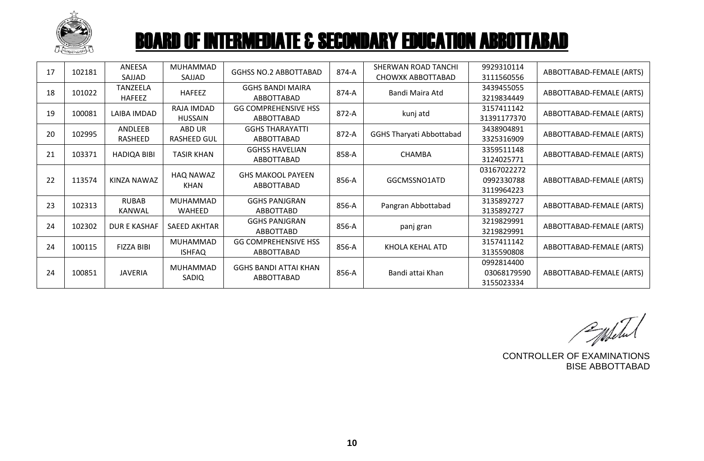

| 17 | 102181 | ANEESA<br>SAJJAD              | MUHAMMAD<br>SAJJAD           | <b>GGHSS NO.2 ABBOTTABAD</b>               | 874-A | SHERWAN ROAD TANCHI<br>CHOWXK ABBOTTABAD | 9929310114<br>3111560556                | ABBOTTABAD-FEMALE (ARTS) |
|----|--------|-------------------------------|------------------------------|--------------------------------------------|-------|------------------------------------------|-----------------------------------------|--------------------------|
| 18 | 101022 | TANZEELA<br><b>HAFEEZ</b>     | <b>HAFEEZ</b>                | <b>GGHS BANDI MAIRA</b><br>ABBOTTABAD      | 874-A | Bandi Maira Atd                          | 3439455055<br>3219834449                | ABBOTTABAD-FEMALE (ARTS) |
| 19 | 100081 | LAIBA IMDAD                   | RAJA IMDAD<br><b>HUSSAIN</b> | <b>GG COMPREHENSIVE HSS</b><br>ABBOTTABAD  | 872-A | kunj atd                                 | 3157411142<br>31391177370               | ABBOTTABAD-FEMALE (ARTS) |
| 20 | 102995 | ANDLEEB<br>RASHEED            | ABD UR<br><b>RASHEED GUL</b> | <b>GGHS THARAYATTI</b><br>ABBOTTABAD       | 872-A | <b>GGHS Tharyati Abbottabad</b>          | 3438904891<br>3325316909                | ABBOTTABAD-FEMALE (ARTS) |
| 21 | 103371 | <b>HADIQA BIBI</b>            | <b>TASIR KHAN</b>            | <b>GGHSS HAVELIAN</b><br>ABBOTTABAD        | 858-A | <b>CHAMBA</b>                            | 3359511148<br>3124025771                | ABBOTTABAD-FEMALE (ARTS) |
| 22 | 113574 | KINZA NAWAZ                   | HAQ NAWAZ<br>KHAN            | <b>GHS MAKOOL PAYEEN</b><br>ABBOTTABAD     | 856-A | GGCMSSNO1ATD                             | 03167022272<br>0992330788<br>3119964223 | ABBOTTABAD-FEMALE (ARTS) |
| 23 | 102313 | <b>RUBAB</b><br><b>KANWAL</b> | MUHAMMAD<br><b>WAHEED</b>    | <b>GGHS PANJGRAN</b><br><b>ABBOTTABD</b>   | 856-A | Pangran Abbottabad                       | 3135892727<br>3135892727                | ABBOTTABAD-FEMALE (ARTS) |
| 24 | 102302 | <b>DUR E KASHAF</b>           | <b>SAEED AKHTAR</b>          | <b>GGHS PANJGRAN</b><br>ABBOTTABD          | 856-A | panj gran                                | 3219829991<br>3219829991                | ABBOTTABAD-FEMALE (ARTS) |
| 24 | 100115 | <b>FIZZA BIBI</b>             | MUHAMMAD<br><b>ISHFAQ</b>    | <b>GG COMPREHENSIVE HSS</b><br>ABBOTTABAD  | 856-A | KHOLA KEHAL ATD                          | 3157411142<br>3135590808                | ABBOTTABAD-FEMALE (ARTS) |
| 24 | 100851 | <b>JAVERIA</b>                | MUHAMMAD<br>SADIQ            | <b>GGHS BANDI ATTAI KHAN</b><br>ABBOTTABAD | 856-A | Bandi attai Khan                         | 0992814400<br>03068179590<br>3155023334 | ABBOTTABAD-FEMALE (ARTS) |

Entertal

CONTROLLER OF EXAMINATIONS BISE ABBOTTABAD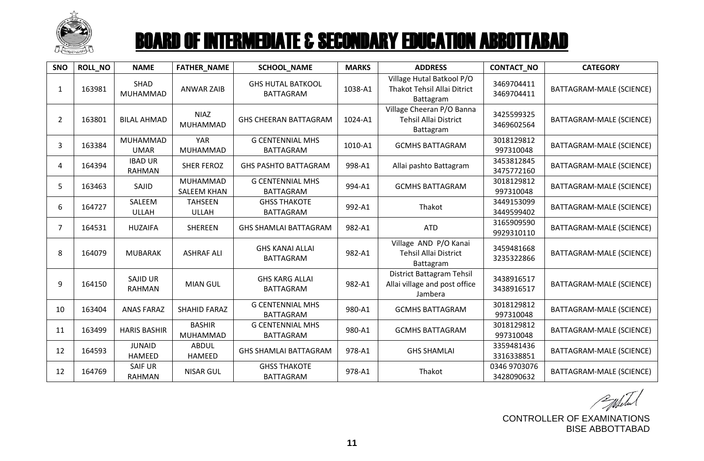

| SNO            | <b>ROLL NO</b> | <b>NAME</b>                      | <b>FATHER_NAME</b>             | <b>SCHOOL_NAME</b>                           | <b>MARKS</b> | <b>ADDRESS</b>                                                               | <b>CONTACT_NO</b>          | <b>CATEGORY</b>                 |
|----------------|----------------|----------------------------------|--------------------------------|----------------------------------------------|--------------|------------------------------------------------------------------------------|----------------------------|---------------------------------|
| 1              | 163981         | SHAD<br>MUHAMMAD                 | <b>ANWAR ZAIB</b>              | <b>GHS HUTAL BATKOOL</b><br><b>BATTAGRAM</b> | 1038-A1      | Village Hutal Batkool P/O<br>Thakot Tehsil Allai Ditrict<br>Battagram        | 3469704411<br>3469704411   | BATTAGRAM-MALE (SCIENCE)        |
| 2              | 163801         | <b>BILAL AHMAD</b>               | <b>NIAZ</b><br>MUHAMMAD        | <b>GHS CHEERAN BATTAGRAM</b>                 | 1024-A1      | Village Cheeran P/O Banna<br><b>Tehsil Allai District</b><br>Battagram       | 3425599325<br>3469602564   | BATTAGRAM-MALE (SCIENCE)        |
| 3              | 163384         | MUHAMMAD<br><b>UMAR</b>          | <b>YAR</b><br>MUHAMMAD         | <b>G CENTENNIAL MHS</b><br><b>BATTAGRAM</b>  | 1010-A1      | <b>GCMHS BATTAGRAM</b>                                                       | 3018129812<br>997310048    | BATTAGRAM-MALE (SCIENCE)        |
| 4              | 164394         | <b>IBAD UR</b><br><b>RAHMAN</b>  | <b>SHER FEROZ</b>              | <b>GHS PASHTO BATTAGRAM</b>                  | 998-A1       | Allai pashto Battagram                                                       | 3453812845<br>3475772160   | BATTAGRAM-MALE (SCIENCE)        |
| 5              | 163463         | SAJID                            | MUHAMMAD<br><b>SALEEM KHAN</b> | <b>G CENTENNIAL MHS</b><br><b>BATTAGRAM</b>  | 994-A1       | <b>GCMHS BATTAGRAM</b>                                                       | 3018129812<br>997310048    | BATTAGRAM-MALE (SCIENCE)        |
| 6              | 164727         | SALEEM<br><b>ULLAH</b>           | <b>TAHSEEN</b><br><b>ULLAH</b> | <b>GHSS THAKOTE</b><br><b>BATTAGRAM</b>      | 992-A1       | Thakot                                                                       | 3449153099<br>3449599402   | <b>BATTAGRAM-MALE (SCIENCE)</b> |
| $\overline{7}$ | 164531         | <b>HUZAIFA</b>                   | <b>SHEREEN</b>                 | <b>GHS SHAMLAI BATTAGRAM</b>                 | 982-A1       | <b>ATD</b>                                                                   | 3165909590<br>9929310110   | BATTAGRAM-MALE (SCIENCE)        |
| 8              | 164079         | <b>MUBARAK</b>                   | <b>ASHRAF ALI</b>              | <b>GHS KANAI ALLAI</b><br><b>BATTAGRAM</b>   | 982-A1       | Village AND P/O Kanai<br><b>Tehsil Allai District</b><br>Battagram           | 3459481668<br>3235322866   | BATTAGRAM-MALE (SCIENCE)        |
| 9              | 164150         | <b>SAJID UR</b><br><b>RAHMAN</b> | <b>MIAN GUL</b>                | <b>GHS KARG ALLAI</b><br><b>BATTAGRAM</b>    | 982-A1       | <b>District Battagram Tehsil</b><br>Allai village and post office<br>Jambera | 3438916517<br>3438916517   | BATTAGRAM-MALE (SCIENCE)        |
| 10             | 163404         | <b>ANAS FARAZ</b>                | <b>SHAHID FARAZ</b>            | <b>G CENTENNIAL MHS</b><br><b>BATTAGRAM</b>  | 980-A1       | <b>GCMHS BATTAGRAM</b>                                                       | 3018129812<br>997310048    | BATTAGRAM-MALE (SCIENCE)        |
| 11             | 163499         | <b>HARIS BASHIR</b>              | <b>BASHIR</b><br>MUHAMMAD      | <b>G CENTENNIAL MHS</b><br><b>BATTAGRAM</b>  | 980-A1       | <b>GCMHS BATTAGRAM</b>                                                       | 3018129812<br>997310048    | BATTAGRAM-MALE (SCIENCE)        |
| 12             | 164593         | <b>JUNAID</b><br>HAMEED          | <b>ABDUL</b><br>HAMEED         | <b>GHS SHAMLAI BATTAGRAM</b>                 | 978-A1       | <b>GHS SHAMLAI</b>                                                           | 3359481436<br>3316338851   | BATTAGRAM-MALE (SCIENCE)        |
| 12             | 164769         | <b>SAIF UR</b><br><b>RAHMAN</b>  | <b>NISAR GUL</b>               | <b>GHSS THAKOTE</b><br><b>BATTAGRAM</b>      | 978-A1       | Thakot                                                                       | 0346 9703076<br>3428090632 | BATTAGRAM-MALE (SCIENCE)        |

Populated

CONTROLLER OF EXAMINATIONS BISE ABBOTTABAD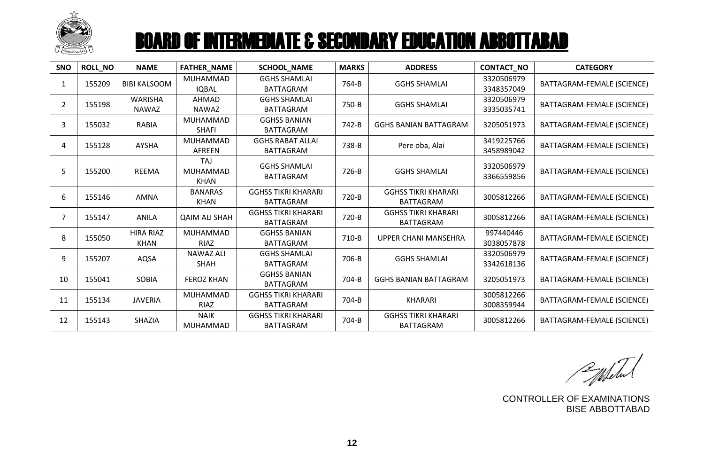

| SNO            | ROLL NO | <b>NAME</b>                     | <b>FATHER_NAME</b>              | SCHOOL_NAME                                    | <b>MARKS</b> | <b>ADDRESS</b>                                 | CONTACT_NO               | <b>CATEGORY</b>            |
|----------------|---------|---------------------------------|---------------------------------|------------------------------------------------|--------------|------------------------------------------------|--------------------------|----------------------------|
| $\mathbf{1}$   | 155209  | <b>BIBI KALSOOM</b>             | <b>MUHAMMAD</b><br><b>IQBAL</b> | <b>GGHS SHAMLAI</b><br><b>BATTAGRAM</b>        | 764-B        | <b>GGHS SHAMLAI</b>                            | 3320506979<br>3348357049 | BATTAGRAM-FEMALE (SCIENCE) |
| $\overline{2}$ | 155198  | <b>WARISHA</b><br><b>NAWAZ</b>  | <b>AHMAD</b><br>NAWAZ           | <b>GGHS SHAMLAI</b><br><b>BATTAGRAM</b>        | 750-B        | <b>GGHS SHAMLAI</b>                            | 3320506979<br>3335035741 | BATTAGRAM-FEMALE (SCIENCE) |
| 3              | 155032  | <b>RABIA</b>                    | MUHAMMAD<br><b>SHAFI</b>        | <b>GGHSS BANIAN</b><br><b>BATTAGRAM</b>        | 742-B        | <b>GGHS BANIAN BATTAGRAM</b>                   | 3205051973               | BATTAGRAM-FEMALE (SCIENCE) |
| 4              | 155128  | <b>AYSHA</b>                    | <b>MUHAMMAD</b><br>AFREEN       | <b>GGHS RABAT ALLAI</b><br><b>BATTAGRAM</b>    | 738-B        | Pere oba, Alai                                 | 3419225766<br>3458989042 | BATTAGRAM-FEMALE (SCIENCE) |
| 5              | 155200  | <b>REEMA</b>                    | TAJ<br>MUHAMMAD<br><b>KHAN</b>  | <b>GGHS SHAMLAI</b><br><b>BATTAGRAM</b>        | 726-B        | <b>GGHS SHAMLAI</b>                            | 3320506979<br>3366559856 | BATTAGRAM-FEMALE (SCIENCE) |
| 6              | 155146  | <b>AMNA</b>                     | <b>BANARAS</b><br><b>KHAN</b>   | <b>GGHSS TIKRI KHARARI</b><br><b>BATTAGRAM</b> | 720-B        | <b>GGHSS TIKRI KHARARI</b><br><b>BATTAGRAM</b> | 3005812266               | BATTAGRAM-FEMALE (SCIENCE) |
| $\overline{7}$ | 155147  | <b>ANILA</b>                    | <b>QAIM ALI SHAH</b>            | <b>GGHSS TIKRI KHARARI</b><br><b>BATTAGRAM</b> | 720-B        | <b>GGHSS TIKRI KHARARI</b><br><b>BATTAGRAM</b> | 3005812266               | BATTAGRAM-FEMALE (SCIENCE) |
| 8              | 155050  | <b>HIRA RIAZ</b><br><b>KHAN</b> | MUHAMMAD<br>RIAZ                | <b>GGHSS BANIAN</b><br><b>BATTAGRAM</b>        | 710-B        | <b>UPPER CHANI MANSEHRA</b>                    | 997440446<br>3038057878  | BATTAGRAM-FEMALE (SCIENCE) |
| 9              | 155207  | AQSA                            | <b>NAWAZ ALI</b><br><b>SHAH</b> | <b>GGHS SHAMLAI</b><br><b>BATTAGRAM</b>        | 706-B        | <b>GGHS SHAMLAI</b>                            | 3320506979<br>3342618136 | BATTAGRAM-FEMALE (SCIENCE) |
| 10             | 155041  | <b>SOBIA</b>                    | <b>FEROZ KHAN</b>               | <b>GGHSS BANIAN</b><br><b>BATTAGRAM</b>        | 704-B        | <b>GGHS BANIAN BATTAGRAM</b>                   | 3205051973               | BATTAGRAM-FEMALE (SCIENCE) |
| 11             | 155134  | <b>JAVERIA</b>                  | MUHAMMAD<br><b>RIAZ</b>         | <b>GGHSS TIKRI KHARARI</b><br><b>BATTAGRAM</b> | 704-B        | <b>KHARARI</b>                                 | 3005812266<br>3008359944 | BATTAGRAM-FEMALE (SCIENCE) |
| 12             | 155143  | SHAZIA                          | <b>NAIK</b><br><b>MUHAMMAD</b>  | <b>GGHSS TIKRI KHARARI</b><br><b>BATTAGRAM</b> | 704-B        | <b>GGHSS TIKRI KHARARI</b><br><b>BATTAGRAM</b> | 3005812266               | BATTAGRAM-FEMALE (SCIENCE) |

Pulletul

CONTROLLER OF EXAMINATIONS BISE ABBOTTABAD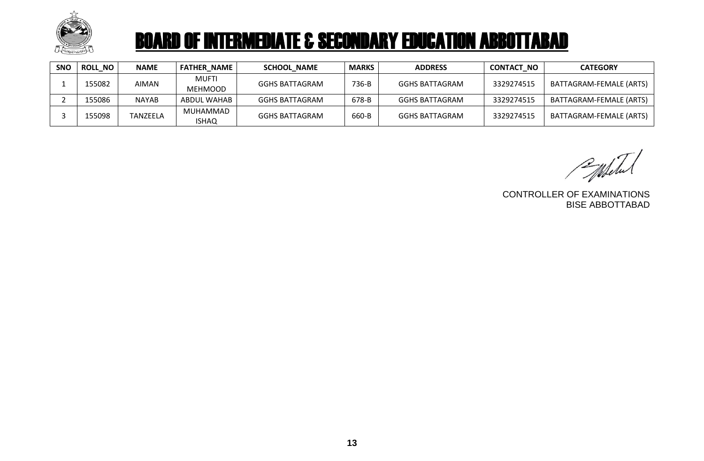

| <b>SNO</b> | <b>ROLL NO</b> | <b>NAME</b>  | <b>FATHER NAME</b>      | <b>SCHOOL NAME</b>    | <b>MARKS</b> | <b>ADDRESS</b>        | <b>CONTACT NO</b> | <b>CATEGORY</b>         |
|------------|----------------|--------------|-------------------------|-----------------------|--------------|-----------------------|-------------------|-------------------------|
|            | 155082         | AIMAN        | MUFTI<br><b>MEHMOOD</b> | <b>GGHS BATTAGRAM</b> | 736-B        | <b>GGHS BATTAGRAM</b> | 3329274515        | BATTAGRAM-FEMALE (ARTS) |
|            | 155086         | <b>NAYAB</b> | ABDUL WAHAB             | GGHS BATTAGRAM        | 678-B        | <b>GGHS BATTAGRAM</b> | 3329274515        | BATTAGRAM-FEMALE (ARTS) |
|            | 155098         | TANZEELA     | MUHAMMAD<br>ISHAQ       | <b>GGHS BATTAGRAM</b> | 660-B        | <b>GGHS BATTAGRAM</b> | 3329274515        | BATTAGRAM-FEMALE (ARTS) |

Publich

CONTROLLER OF EXAMINATIONS BISE ABBOTTABAD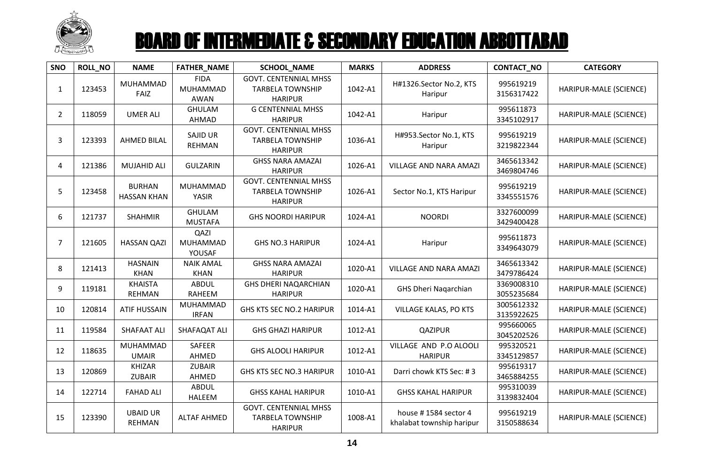

| SNO            | <b>ROLL_NO</b> | <b>NAME</b>                         | <b>FATHER_NAME</b>                     | <b>SCHOOL_NAME</b>                                                        | <b>MARKS</b> | <b>ADDRESS</b>                                    | CONTACT_NO               | <b>CATEGORY</b>        |
|----------------|----------------|-------------------------------------|----------------------------------------|---------------------------------------------------------------------------|--------------|---------------------------------------------------|--------------------------|------------------------|
| 1              | 123453         | <b>MUHAMMAD</b><br>FAIZ             | <b>FIDA</b><br>MUHAMMAD<br><b>AWAN</b> | <b>GOVT. CENTENNIAL MHSS</b><br><b>TARBELA TOWNSHIP</b><br><b>HARIPUR</b> | 1042-A1      | H#1326.Sector No.2, KTS<br>Haripur                | 995619219<br>3156317422  | HARIPUR-MALE (SCIENCE) |
| $\overline{2}$ | 118059         | <b>UMER ALI</b>                     | <b>GHULAM</b><br><b>AHMAD</b>          | <b>G CENTENNIAL MHSS</b><br><b>HARIPUR</b>                                | 1042-A1      | Haripur                                           | 995611873<br>3345102917  | HARIPUR-MALE (SCIENCE) |
| 3              | 123393         | <b>AHMED BILAL</b>                  | SAJID UR<br><b>REHMAN</b>              | <b>GOVT. CENTENNIAL MHSS</b><br><b>TARBELA TOWNSHIP</b><br><b>HARIPUR</b> | 1036-A1      | H#953.Sector No.1, KTS<br>Haripur                 | 995619219<br>3219822344  | HARIPUR-MALE (SCIENCE) |
| 4              | 121386         | <b>MUJAHID ALI</b>                  | <b>GULZARIN</b>                        | <b>GHSS NARA AMAZAI</b><br><b>HARIPUR</b>                                 | 1026-A1      | VILLAGE AND NARA AMAZI                            | 3465613342<br>3469804746 | HARIPUR-MALE (SCIENCE) |
| 5              | 123458         | <b>BURHAN</b><br><b>HASSAN KHAN</b> | <b>MUHAMMAD</b><br><b>YASIR</b>        | <b>GOVT. CENTENNIAL MHSS</b><br><b>TARBELA TOWNSHIP</b><br><b>HARIPUR</b> | 1026-A1      | Sector No.1, KTS Haripur                          | 995619219<br>3345551576  | HARIPUR-MALE (SCIENCE) |
| 6              | 121737         | <b>SHAHMIR</b>                      | <b>GHULAM</b><br><b>MUSTAFA</b>        | <b>GHS NOORDI HARIPUR</b>                                                 | 1024-A1      | <b>NOORDI</b>                                     | 3327600099<br>3429400428 | HARIPUR-MALE (SCIENCE) |
| 7              | 121605         | <b>HASSAN QAZI</b>                  | QAZI<br><b>MUHAMMAD</b><br>YOUSAF      | <b>GHS NO.3 HARIPUR</b>                                                   | 1024-A1      | Haripur                                           | 995611873<br>3349643079  | HARIPUR-MALE (SCIENCE) |
| 8              | 121413         | <b>HASNAIN</b><br><b>KHAN</b>       | <b>NAIK AMAL</b><br><b>KHAN</b>        | <b>GHSS NARA AMAZAI</b><br><b>HARIPUR</b>                                 | 1020-A1      | VILLAGE AND NARA AMAZI                            | 3465613342<br>3479786424 | HARIPUR-MALE (SCIENCE) |
| 9              | 119181         | <b>KHAISTA</b><br><b>REHMAN</b>     | <b>ABDUL</b><br><b>RAHEEM</b>          | <b>GHS DHERI NAQARCHIAN</b><br><b>HARIPUR</b>                             | 1020-A1      | <b>GHS Dheri Nagarchian</b>                       | 3369008310<br>3055235684 | HARIPUR-MALE (SCIENCE) |
| 10             | 120814         | <b>ATIF HUSSAIN</b>                 | MUHAMMAD<br><b>IRFAN</b>               | <b>GHS KTS SEC NO.2 HARIPUR</b>                                           | 1014-A1      | <b>VILLAGE KALAS, PO KTS</b>                      | 3005612332<br>3135922625 | HARIPUR-MALE (SCIENCE) |
| 11             | 119584         | <b>SHAFAAT ALI</b>                  | SHAFAQAT ALI                           | <b>GHS GHAZI HARIPUR</b>                                                  | 1012-A1      | <b>QAZIPUR</b>                                    | 995660065<br>3045202526  | HARIPUR-MALE (SCIENCE) |
| 12             | 118635         | MUHAMMAD<br><b>UMAIR</b>            | SAFEER<br>AHMED                        | <b>GHS ALOOLI HARIPUR</b>                                                 | 1012-A1      | VILLAGE AND P.O ALOOLI<br><b>HARIPUR</b>          | 995320521<br>3345129857  | HARIPUR-MALE (SCIENCE) |
| 13             | 120869         | <b>KHIZAR</b><br><b>ZUBAIR</b>      | <b>ZUBAIR</b><br>AHMED                 | <b>GHS KTS SEC NO.3 HARIPUR</b>                                           | 1010-A1      | Darri chowk KTS Sec: #3                           | 995619317<br>3465884255  | HARIPUR-MALE (SCIENCE) |
| 14             | 122714         | <b>FAHAD ALI</b>                    | <b>ABDUL</b><br><b>HALEEM</b>          | <b>GHSS KAHAL HARIPUR</b>                                                 | 1010-A1      | <b>GHSS KAHAL HARIPUR</b>                         | 995310039<br>3139832404  | HARIPUR-MALE (SCIENCE) |
| 15             | 123390         | <b>UBAID UR</b><br><b>REHMAN</b>    | <b>ALTAF AHMED</b>                     | <b>GOVT. CENTENNIAL MHSS</b><br><b>TARBELA TOWNSHIP</b><br><b>HARIPUR</b> | 1008-A1      | house #1584 sector 4<br>khalabat township haripur | 995619219<br>3150588634  | HARIPUR-MALE (SCIENCE) |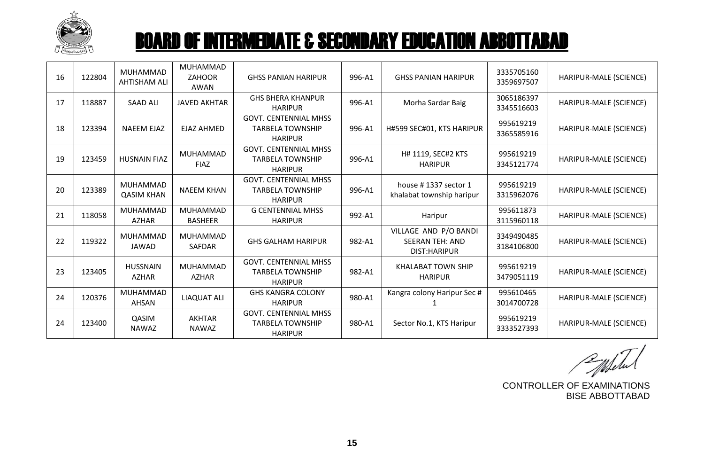

| 16 | 122804 | MUHAMMAD<br><b>AHTISHAM ALI</b> | <b>MUHAMMAD</b><br><b>ZAHOOR</b><br><b>AWAN</b> | <b>GHSS PANIAN HARIPUR</b>                                                | 996-A1 | <b>GHSS PANIAN HARIPUR</b>                                       | 3335705160<br>3359697507 | HARIPUR-MALE (SCIENCE) |
|----|--------|---------------------------------|-------------------------------------------------|---------------------------------------------------------------------------|--------|------------------------------------------------------------------|--------------------------|------------------------|
| 17 | 118887 | <b>SAAD ALI</b>                 | <b>JAVED AKHTAR</b>                             | <b>GHS BHERA KHANPUR</b><br><b>HARIPUR</b>                                | 996-A1 | Morha Sardar Baig                                                | 3065186397<br>3345516603 | HARIPUR-MALE (SCIENCE) |
| 18 | 123394 | <b>NAEEM EJAZ</b>               | <b>EJAZ AHMED</b>                               | <b>GOVT. CENTENNIAL MHSS</b><br><b>TARBELA TOWNSHIP</b><br><b>HARIPUR</b> | 996-A1 | H#599 SEC#01, KTS HARIPUR                                        | 995619219<br>3365585916  | HARIPUR-MALE (SCIENCE) |
| 19 | 123459 | <b>HUSNAIN FIAZ</b>             | MUHAMMAD<br><b>FIAZ</b>                         | <b>GOVT. CENTENNIAL MHSS</b><br><b>TARBELA TOWNSHIP</b><br><b>HARIPUR</b> | 996-A1 | H# 1119, SEC#2 KTS<br><b>HARIPUR</b>                             | 995619219<br>3345121774  | HARIPUR-MALE (SCIENCE) |
| 20 | 123389 | MUHAMMAD<br><b>QASIM KHAN</b>   | <b>NAEEM KHAN</b>                               | <b>GOVT. CENTENNIAL MHSS</b><br><b>TARBELA TOWNSHIP</b><br><b>HARIPUR</b> | 996-A1 | house #1337 sector 1<br>khalabat township haripur                | 995619219<br>3315962076  | HARIPUR-MALE (SCIENCE) |
| 21 | 118058 | MUHAMMAD<br><b>AZHAR</b>        | <b>MUHAMMAD</b><br><b>BASHEER</b>               | <b>G CENTENNIAL MHSS</b><br><b>HARIPUR</b>                                | 992-A1 | Haripur                                                          | 995611873<br>3115960118  | HARIPUR-MALE (SCIENCE) |
| 22 | 119322 | <b>MUHAMMAD</b><br><b>JAWAD</b> | MUHAMMAD<br><b>SAFDAR</b>                       | <b>GHS GALHAM HARIPUR</b>                                                 | 982-A1 | VILLAGE AND P/O BANDI<br><b>SEERAN TEH: AND</b><br>DIST: HARIPUR | 3349490485<br>3184106800 | HARIPUR-MALE (SCIENCE) |
| 23 | 123405 | <b>HUSSNAIN</b><br><b>AZHAR</b> | MUHAMMAD<br><b>AZHAR</b>                        | <b>GOVT. CENTENNIAL MHSS</b><br><b>TARBELA TOWNSHIP</b><br><b>HARIPUR</b> | 982-A1 | <b>KHALABAT TOWN SHIP</b><br><b>HARIPUR</b>                      | 995619219<br>3479051119  | HARIPUR-MALE (SCIENCE) |
| 24 | 120376 | MUHAMMAD<br><b>AHSAN</b>        | <b>LIAQUAT ALI</b>                              | <b>GHS KANGRA COLONY</b><br><b>HARIPUR</b>                                | 980-A1 | Kangra colony Haripur Sec #                                      | 995610465<br>3014700728  | HARIPUR-MALE (SCIENCE) |
| 24 | 123400 | QASIM<br><b>NAWAZ</b>           | <b>AKHTAR</b><br><b>NAWAZ</b>                   | <b>GOVT. CENTENNIAL MHSS</b><br><b>TARBELA TOWNSHIP</b><br><b>HARIPUR</b> | 980-A1 | Sector No.1, KTS Haripur                                         | 995619219<br>3333527393  | HARIPUR-MALE (SCIENCE) |

CONTROLLER OF EXAMINATIONS BISE ABBOTTABAD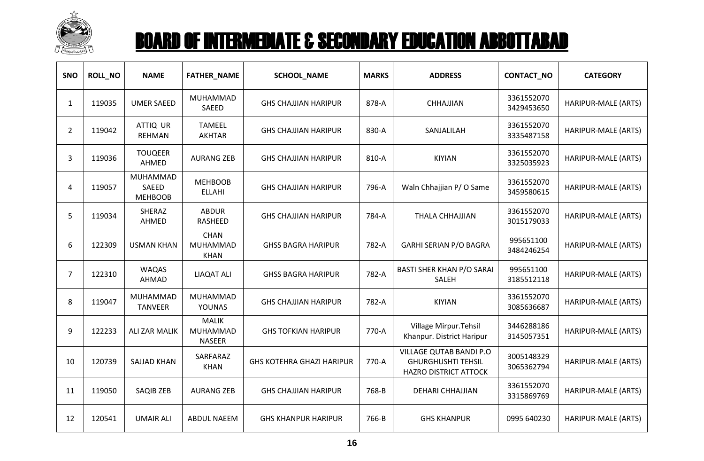

| SNO            | <b>ROLL_NO</b> | <b>NAME</b>                                | <b>FATHER_NAME</b>                        | <b>SCHOOL_NAME</b>               | <b>MARKS</b> | <b>ADDRESS</b>                                                                | CONTACT_NO               | <b>CATEGORY</b>     |
|----------------|----------------|--------------------------------------------|-------------------------------------------|----------------------------------|--------------|-------------------------------------------------------------------------------|--------------------------|---------------------|
| $\mathbf{1}$   | 119035         | <b>UMER SAEED</b>                          | MUHAMMAD<br>SAEED                         | <b>GHS CHAJJIAN HARIPUR</b>      | 878-A        | CHHAJJIAN                                                                     | 3361552070<br>3429453650 | HARIPUR-MALE (ARTS) |
| $\overline{2}$ | 119042         | ATTIQ UR<br><b>REHMAN</b>                  | <b>TAMEEL</b><br><b>AKHTAR</b>            | <b>GHS CHAJJIAN HARIPUR</b>      | 830-A        | SANJALILAH                                                                    | 3361552070<br>3335487158 | HARIPUR-MALE (ARTS) |
| 3              | 119036         | <b>TOUQEER</b><br><b>AHMED</b>             | <b>AURANG ZEB</b>                         | <b>GHS CHAJJIAN HARIPUR</b>      | 810-A        | <b>KIYIAN</b>                                                                 | 3361552070<br>3325035923 | HARIPUR-MALE (ARTS) |
| 4              | 119057         | MUHAMMAD<br><b>SAEED</b><br><b>MEHBOOB</b> | <b>MEHBOOB</b><br><b>ELLAHI</b>           | <b>GHS CHAJJIAN HARIPUR</b>      | 796-A        | Waln Chhajjian P/O Same                                                       | 3361552070<br>3459580615 | HARIPUR-MALE (ARTS) |
| 5              | 119034         | SHERAZ<br>AHMED                            | <b>ABDUR</b><br>RASHEED                   | <b>GHS CHAJJIAN HARIPUR</b>      | 784-A        | <b>THALA CHHAJJIAN</b>                                                        | 3361552070<br>3015179033 | HARIPUR-MALE (ARTS) |
| 6              | 122309         | <b>USMAN KHAN</b>                          | <b>CHAN</b><br>MUHAMMAD<br><b>KHAN</b>    | <b>GHSS BAGRA HARIPUR</b>        | 782-A        | <b>GARHI SERIAN P/O BAGRA</b>                                                 | 995651100<br>3484246254  | HARIPUR-MALE (ARTS) |
| $\overline{7}$ | 122310         | <b>WAQAS</b><br>AHMAD                      | <b>LIAQAT ALI</b>                         | <b>GHSS BAGRA HARIPUR</b>        | 782-A        | <b>BASTI SHER KHAN P/O SARAI</b><br>SALEH                                     | 995651100<br>3185512118  | HARIPUR-MALE (ARTS) |
| 8              | 119047         | MUHAMMAD<br><b>TANVEER</b>                 | MUHAMMAD<br><b>YOUNAS</b>                 | <b>GHS CHAJJIAN HARIPUR</b>      | 782-A        | <b>KIYIAN</b>                                                                 | 3361552070<br>3085636687 | HARIPUR-MALE (ARTS) |
| 9              | 122233         | <b>ALI ZAR MALIK</b>                       | <b>MALIK</b><br>MUHAMMAD<br><b>NASEER</b> | <b>GHS TOFKIAN HARIPUR</b>       | 770-A        | Village Mirpur. Tehsil<br>Khanpur. District Haripur                           | 3446288186<br>3145057351 | HARIPUR-MALE (ARTS) |
| 10             | 120739         | <b>SAJJAD KHAN</b>                         | SARFARAZ<br><b>KHAN</b>                   | <b>GHS KOTEHRA GHAZI HARIPUR</b> | 770-A        | VILLAGE QUTAB BANDI P.O<br><b>GHURGHUSHTI TEHSIL</b><br>HAZRO DISTRICT ATTOCK | 3005148329<br>3065362794 | HARIPUR-MALE (ARTS) |
| 11             | 119050         | SAQIB ZEB                                  | <b>AURANG ZEB</b>                         | <b>GHS CHAJJIAN HARIPUR</b>      | 768-B        | <b>DEHARI CHHAJJIAN</b>                                                       | 3361552070<br>3315869769 | HARIPUR-MALE (ARTS) |
| 12             | 120541         | <b>UMAIR ALI</b>                           | <b>ABDUL NAEEM</b>                        | <b>GHS KHANPUR HARIPUR</b>       | 766-B        | <b>GHS KHANPUR</b>                                                            | 0995 640230              | HARIPUR-MALE (ARTS) |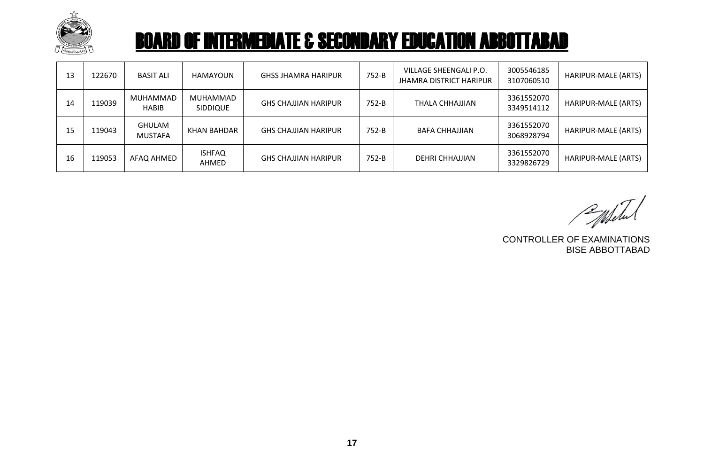

| 13 | 122670 | <b>BASIT ALI</b>                | HAMAYOUN                    | <b>GHSS JHAMRA HARIPUR</b>  | 752-B | VILLAGE SHEENGALI P.O.<br><b>JHAMRA DISTRICT HARIPUR</b> | 3005546185<br>3107060510 | HARIPUR-MALE (ARTS) |
|----|--------|---------------------------------|-----------------------------|-----------------------------|-------|----------------------------------------------------------|--------------------------|---------------------|
| 14 | 119039 | MUHAMMAD<br><b>HABIB</b>        | MUHAMMAD<br><b>SIDDIQUE</b> | <b>GHS CHAJJIAN HARIPUR</b> | 752-B | THALA CHHAJJIAN                                          | 3361552070<br>3349514112 | HARIPUR-MALE (ARTS) |
| 15 | 119043 | <b>GHULAM</b><br><b>MUSTAFA</b> | <b>KHAN BAHDAR</b>          | <b>GHS CHAJJIAN HARIPUR</b> | 752-B | BAFA CHHAJJIAN                                           | 3361552070<br>3068928794 | HARIPUR-MALE (ARTS) |
| 16 | 119053 | AFAQ AHMED                      | <b>ISHFAQ</b><br>AHMED      | <b>GHS CHAJJIAN HARIPUR</b> | 752-B | DEHRI CHHAJJIAN                                          | 3361552070<br>3329826729 | HARIPUR-MALE (ARTS) |

Populated

CONTROLLER OF EXAMINATIONS BISE ABBOTTABAD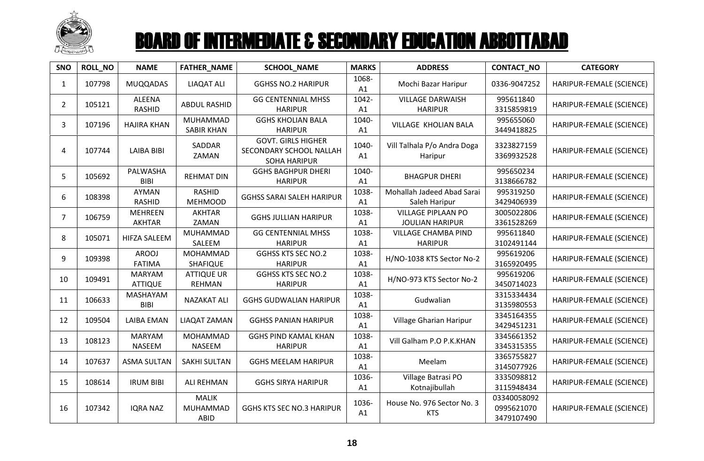

| SNO            | <b>ROLL_NO</b> | <b>NAME</b>                     | <b>FATHER_NAME</b>                 | SCHOOL_NAME                                                                 | <b>MARKS</b> | <b>ADDRESS</b>                                      | CONTACT_NO                              | <b>CATEGORY</b>          |
|----------------|----------------|---------------------------------|------------------------------------|-----------------------------------------------------------------------------|--------------|-----------------------------------------------------|-----------------------------------------|--------------------------|
| $\mathbf{1}$   | 107798         | <b>MUQQADAS</b>                 | <b>LIAQAT ALI</b>                  | <b>GGHSS NO.2 HARIPUR</b>                                                   | 1068-<br>A1  | Mochi Bazar Haripur                                 | 0336-9047252                            | HARIPUR-FEMALE (SCIENCE) |
| $\overline{2}$ | 105121         | <b>ALEENA</b><br><b>RASHID</b>  | <b>ABDUL RASHID</b>                | <b>GG CENTENNIAL MHSS</b><br><b>HARIPUR</b>                                 | 1042-<br>A1  | <b>VILLAGE DARWAISH</b><br><b>HARIPUR</b>           | 995611840<br>3315859819                 | HARIPUR-FEMALE (SCIENCE) |
| 3              | 107196         | <b>HAJIRA KHAN</b>              | MUHAMMAD<br><b>SABIR KHAN</b>      | <b>GGHS KHOLIAN BALA</b><br><b>HARIPUR</b>                                  | 1040-<br>A1  | VILLAGE KHOLIAN BALA                                | 995655060<br>3449418825                 | HARIPUR-FEMALE (SCIENCE) |
| 4              | 107744         | <b>LAIBA BIBI</b>               | SADDAR<br>ZAMAN                    | <b>GOVT. GIRLS HIGHER</b><br>SECONDARY SCHOOL NALLAH<br><b>SOHA HARIPUR</b> | 1040-<br>A1  | Vill Talhala P/o Andra Doga<br>Haripur              | 3323827159<br>3369932528                | HARIPUR-FEMALE (SCIENCE) |
| 5              | 105692         | PALWASHA<br><b>BIBI</b>         | <b>REHMAT DIN</b>                  | <b>GGHS BAGHPUR DHERI</b><br><b>HARIPUR</b>                                 | 1040-<br>A1  | <b>BHAGPUR DHERI</b>                                | 995650234<br>3138666782                 | HARIPUR-FEMALE (SCIENCE) |
| 6              | 108398         | AYMAN<br><b>RASHID</b>          | <b>RASHID</b><br><b>MEHMOOD</b>    | <b>GGHSS SARAI SALEH HARIPUR</b>                                            | 1038-<br>A1  | Mohallah Jadeed Abad Sarai<br>Saleh Haripur         | 995319250<br>3429406939                 | HARIPUR-FEMALE (SCIENCE) |
| $\overline{7}$ | 106759         | <b>MEHREEN</b><br><b>AKHTAR</b> | <b>AKHTAR</b><br>ZAMAN             | <b>GGHS JULLIAN HARIPUR</b>                                                 | 1038-<br>A1  | <b>VILLAGE PIPLAAN PO</b><br><b>JOULIAN HARIPUR</b> | 3005022806<br>3361528269                | HARIPUR-FEMALE (SCIENCE) |
| 8              | 105071         | <b>HIFZA SALEEM</b>             | MUHAMMAD<br>SALEEM                 | <b>GG CENTENNIAL MHSS</b><br><b>HARIPUR</b>                                 | 1038-<br>A1  | <b>VILLAGE CHAMBA PIND</b><br><b>HARIPUR</b>        | 995611840<br>3102491144                 | HARIPUR-FEMALE (SCIENCE) |
| 9              | 109398         | <b>AROOJ</b><br><b>FATIMA</b>   | MOHAMMAD<br>SHAFIQUE               | <b>GGHSS KTS SEC NO.2</b><br><b>HARIPUR</b>                                 | 1038-<br>A1  | H/NO-1038 KTS Sector No-2                           | 995619206<br>3165920495                 | HARIPUR-FEMALE (SCIENCE) |
| 10             | 109491         | <b>MARYAM</b><br><b>ATTIQUE</b> | <b>ATTIQUE UR</b><br><b>REHMAN</b> | <b>GGHSS KTS SEC NO.2</b><br><b>HARIPUR</b>                                 | 1038-<br>A1  | H/NO-973 KTS Sector No-2                            | 995619206<br>3450714023                 | HARIPUR-FEMALE (SCIENCE) |
| 11             | 106633         | MASHAYAM<br><b>BIBI</b>         | <b>NAZAKAT ALI</b>                 | <b>GGHS GUDWALIAN HARIPUR</b>                                               | 1038-<br>A1  | Gudwalian                                           | 3315334434<br>3135980553                | HARIPUR-FEMALE (SCIENCE) |
| 12             | 109504         | <b>LAIBA EMAN</b>               | LIAQAT ZAMAN                       | <b>GGHSS PANIAN HARIPUR</b>                                                 | 1038-<br>A1  | Village Gharian Haripur                             | 3345164355<br>3429451231                | HARIPUR-FEMALE (SCIENCE) |
| 13             | 108123         | <b>MARYAM</b><br>NASEEM         | MOHAMMAD<br><b>NASEEM</b>          | <b>GGHS PIND KAMAL KHAN</b><br><b>HARIPUR</b>                               | 1038-<br>A1  | Vill Galham P.O P.K.KHAN                            | 3345661352<br>3345315355                | HARIPUR-FEMALE (SCIENCE) |
| 14             | 107637         | <b>ASMA SULTAN</b>              | <b>SAKHI SULTAN</b>                | <b>GGHS MEELAM HARIPUR</b>                                                  | 1038-<br>A1  | Meelam                                              | 3365755827<br>3145077926                | HARIPUR-FEMALE (SCIENCE) |
| 15             | 108614         | <b>IRUM BIBI</b>                | <b>ALI REHMAN</b>                  | <b>GGHS SIRYA HARIPUR</b>                                                   | 1036-<br>A1  | Village Batrasi PO<br>Kotnajibullah                 | 3335098812<br>3115948434                | HARIPUR-FEMALE (SCIENCE) |
| 16             | 107342         | <b>IQRA NAZ</b>                 | <b>MALIK</b><br>MUHAMMAD<br>ABID   | <b>GGHS KTS SEC NO.3 HARIPUR</b>                                            | 1036-<br>A1  | House No. 976 Sector No. 3<br><b>KTS</b>            | 03340058092<br>0995621070<br>3479107490 | HARIPUR-FEMALE (SCIENCE) |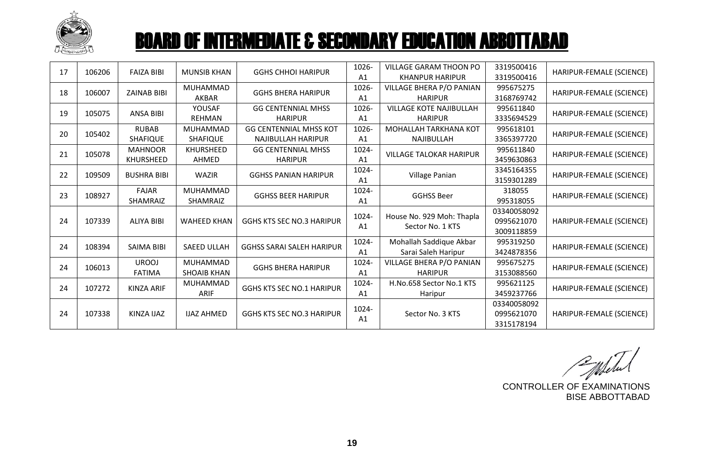

| 17 | 106206 | <b>FAIZA BIBI</b>  | <b>MUNSIB KHAN</b> | <b>GGHS CHHOI HARIPUR</b>        | 1026-          | VILLAGE GARAM THOON PO                        | 3319500416  | HARIPUR-FEMALE (SCIENCE) |
|----|--------|--------------------|--------------------|----------------------------------|----------------|-----------------------------------------------|-------------|--------------------------|
|    |        |                    |                    |                                  | A <sub>1</sub> | <b>KHANPUR HARIPUR</b>                        | 3319500416  |                          |
| 18 | 106007 | <b>ZAINAB BIBI</b> | MUHAMMAD           | <b>GGHS BHERA HARIPUR</b>        | 1026-          | VILLAGE BHERA P/O PANIAN                      | 995675275   | HARIPUR-FEMALE (SCIENCE) |
|    |        |                    | <b>AKBAR</b>       |                                  | A <sub>1</sub> | <b>HARIPUR</b>                                | 3168769742  |                          |
| 19 | 105075 | <b>ANSA BIBI</b>   | YOUSAF             | <b>GG CENTENNIAL MHSS</b>        | 1026-          | <b>VILLAGE KOTE NAJIBULLAH</b>                | 995611840   |                          |
|    |        |                    | <b>REHMAN</b>      | <b>HARIPUR</b>                   | A <sub>1</sub> | <b>HARIPUR</b>                                | 3335694529  | HARIPUR-FEMALE (SCIENCE) |
| 20 | 105402 | <b>RUBAB</b>       | <b>MUHAMMAD</b>    | <b>GG CENTENNIAL MHSS KOT</b>    | 1026-          | MOHALLAH TARKHANA KOT                         | 995618101   |                          |
|    |        | <b>SHAFIQUE</b>    | <b>SHAFIQUE</b>    | <b>NAJIBULLAH HARIPUR</b>        | A <sub>1</sub> | NAJIBULLAH                                    | 3365397720  | HARIPUR-FEMALE (SCIENCE) |
|    |        | <b>MAHNOOR</b>     | KHURSHEED          | <b>GG CENTENNIAL MHSS</b>        | 1024-          |                                               | 995611840   |                          |
| 21 | 105078 | KHURSHEED          | AHMED              | <b>HARIPUR</b>                   | A <sub>1</sub> | <b>VILLAGE TALOKAR HARIPUR</b>                | 3459630863  | HARIPUR-FEMALE (SCIENCE) |
|    |        |                    |                    |                                  | 1024-          |                                               | 3345164355  |                          |
| 22 | 109509 | <b>BUSHRA BIBI</b> | <b>WAZIR</b>       | <b>GGHSS PANIAN HARIPUR</b>      | A <sub>1</sub> | Village Panian                                | 3159301289  | HARIPUR-FEMALE (SCIENCE) |
| 23 | 108927 | <b>FAJAR</b>       | MUHAMMAD           |                                  | 1024-          |                                               | 318055      |                          |
|    |        | SHAMRAIZ           | SHAMRAIZ           | <b>GGHSS BEER HARIPUR</b>        | A <sub>1</sub> | <b>GGHSS Beer</b>                             | 995318055   | HARIPUR-FEMALE (SCIENCE) |
|    |        |                    |                    |                                  | 1024-          |                                               | 03340058092 |                          |
| 24 | 107339 | <b>ALIYA BIBI</b>  | <b>WAHEED KHAN</b> | <b>GGHS KTS SEC NO.3 HARIPUR</b> | A <sub>1</sub> | House No. 929 Moh: Thapla<br>Sector No. 1 KTS | 0995621070  | HARIPUR-FEMALE (SCIENCE) |
|    |        |                    |                    |                                  |                |                                               | 3009118859  |                          |
|    | 108394 | <b>SAIMA BIBI</b>  | <b>SAEED ULLAH</b> | <b>GGHSS SARAI SALEH HARIPUR</b> | 1024-          | Mohallah Saddique Akbar                       | 995319250   |                          |
| 24 |        |                    |                    |                                  | A <sub>1</sub> | Sarai Saleh Haripur                           | 3424878356  | HARIPUR-FEMALE (SCIENCE) |
| 24 |        | <b>UROOJ</b>       | <b>MUHAMMAD</b>    |                                  | 1024-          | VILLAGE BHERA P/O PANIAN                      | 995675275   |                          |
|    | 106013 | <b>FATIMA</b>      | <b>SHOAIB KHAN</b> | <b>GGHS BHERA HARIPUR</b>        | A <sub>1</sub> | <b>HARIPUR</b>                                | 3153088560  | HARIPUR-FEMALE (SCIENCE) |
| 24 | 107272 | <b>KINZA ARIF</b>  | MUHAMMAD           | <b>GGHS KTS SEC NO.1 HARIPUR</b> | 1024-          | H.No.658 Sector No.1 KTS                      | 995621125   |                          |
|    |        |                    | <b>ARIF</b>        |                                  | A <sub>1</sub> | Haripur                                       | 3459237766  | HARIPUR-FEMALE (SCIENCE) |
|    |        |                    |                    |                                  |                |                                               | 03340058092 |                          |
| 24 | 107338 | <b>KINZA IJAZ</b>  | <b>IJAZ AHMED</b>  | <b>GGHS KTS SEC NO.3 HARIPUR</b> | 1024-          | Sector No. 3 KTS                              | 0995621070  | HARIPUR-FEMALE (SCIENCE) |
|    |        |                    |                    |                                  | A1             |                                               | 3315178194  |                          |

Whele

CONTROLLER OF EXAMINATIONS BISE ABBOTTABAD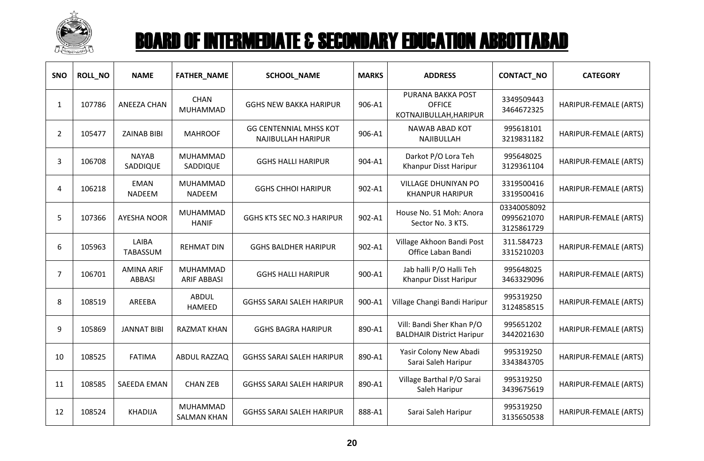

| SNO | <b>ROLL NO</b> | <b>NAME</b>                        | <b>FATHER_NAME</b>              | <b>SCHOOL_NAME</b>                                  | <b>MARKS</b> | <b>ADDRESS</b>                                                | <b>CONTACT_NO</b>                       | <b>CATEGORY</b>       |
|-----|----------------|------------------------------------|---------------------------------|-----------------------------------------------------|--------------|---------------------------------------------------------------|-----------------------------------------|-----------------------|
| 1   | 107786         | <b>ANEEZA CHAN</b>                 | <b>CHAN</b><br><b>MUHAMMAD</b>  | <b>GGHS NEW BAKKA HARIPUR</b>                       | 906-A1       | PURANA BAKKA POST<br><b>OFFICE</b><br>KOTNAJIBULLAH, HARIPUR  | 3349509443<br>3464672325                | HARIPUR-FEMALE (ARTS) |
| 2   | 105477         | <b>ZAINAB BIBI</b>                 | <b>MAHROOF</b>                  | <b>GG CENTENNIAL MHSS KOT</b><br>NAJIBULLAH HARIPUR | 906-A1       | NAWAB ABAD KOT<br>NAJIBULLAH                                  | 995618101<br>3219831182                 | HARIPUR-FEMALE (ARTS) |
| 3   | 106708         | <b>NAYAB</b><br>SADDIQUE           | MUHAMMAD<br>SADDIQUE            | <b>GGHS HALLI HARIPUR</b>                           | 904-A1       | Darkot P/O Lora Teh<br>Khanpur Disst Haripur                  | 995648025<br>3129361104                 | HARIPUR-FEMALE (ARTS) |
| 4   | 106218         | <b>EMAN</b><br><b>NADEEM</b>       | MUHAMMAD<br>NADEEM              | <b>GGHS CHHOI HARIPUR</b>                           | 902-A1       | <b>VILLAGE DHUNIYAN PO</b><br><b>KHANPUR HARIPUR</b>          | 3319500416<br>3319500416                | HARIPUR-FEMALE (ARTS) |
| 5   | 107366         | <b>AYESHA NOOR</b>                 | <b>MUHAMMAD</b><br><b>HANIF</b> | <b>GGHS KTS SEC NO.3 HARIPUR</b>                    | 902-A1       | House No. 51 Moh: Anora<br>Sector No. 3 KTS.                  | 03340058092<br>0995621070<br>3125861729 | HARIPUR-FEMALE (ARTS) |
| 6   | 105963         | LAIBA<br>TABASSUM                  | <b>REHMAT DIN</b>               | <b>GGHS BALDHER HARIPUR</b>                         | 902-A1       | Village Akhoon Bandi Post<br>Office Laban Bandi               | 311.584723<br>3315210203                | HARIPUR-FEMALE (ARTS) |
| 7   | 106701         | <b>AMINA ARIF</b><br><b>ABBASI</b> | MUHAMMAD<br><b>ARIF ABBASI</b>  | <b>GGHS HALLI HARIPUR</b>                           | 900-A1       | Jab halli P/O Halli Teh<br>Khanpur Disst Haripur              | 995648025<br>3463329096                 | HARIPUR-FEMALE (ARTS) |
| 8   | 108519         | AREEBA                             | <b>ABDUL</b><br><b>HAMEED</b>   | <b>GGHSS SARAI SALEH HARIPUR</b>                    | 900-A1       | Village Changi Bandi Haripur                                  | 995319250<br>3124858515                 | HARIPUR-FEMALE (ARTS) |
| 9   | 105869         | <b>JANNAT BIBI</b>                 | <b>RAZMAT KHAN</b>              | <b>GGHS BAGRA HARIPUR</b>                           | 890-A1       | Vill: Bandi Sher Khan P/O<br><b>BALDHAIR District Haripur</b> | 995651202<br>3442021630                 | HARIPUR-FEMALE (ARTS) |
| 10  | 108525         | <b>FATIMA</b>                      | ABDUL RAZZAQ                    | <b>GGHSS SARAI SALEH HARIPUR</b>                    | 890-A1       | Yasir Colony New Abadi<br>Sarai Saleh Haripur                 | 995319250<br>3343843705                 | HARIPUR-FEMALE (ARTS) |
| 11  | 108585         | <b>SAEEDA EMAN</b>                 | <b>CHAN ZEB</b>                 | <b>GGHSS SARAI SALEH HARIPUR</b>                    | 890-A1       | Village Barthal P/O Sarai<br>Saleh Haripur                    | 995319250<br>3439675619                 | HARIPUR-FEMALE (ARTS) |
| 12  | 108524         | <b>KHADIJA</b>                     | MUHAMMAD<br><b>SALMAN KHAN</b>  | <b>GGHSS SARAI SALEH HARIPUR</b>                    | 888-A1       | Sarai Saleh Haripur                                           | 995319250<br>3135650538                 | HARIPUR-FEMALE (ARTS) |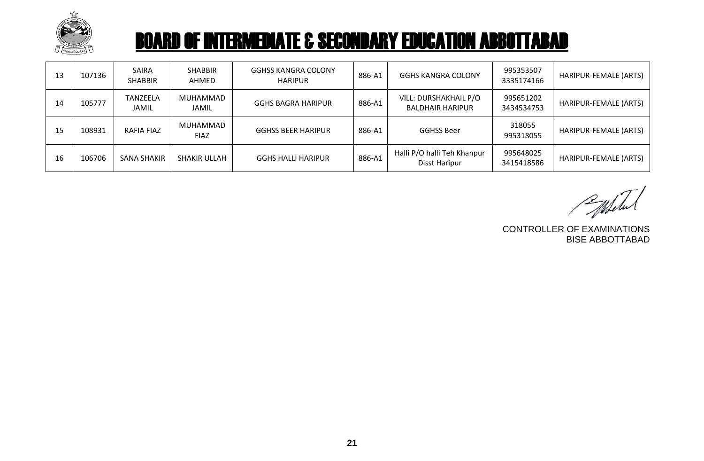

| 13 | 107136 | <b>SAIRA</b><br><b>SHABBIR</b>  | <b>SHABBIR</b><br>AHMED | <b>GGHSS KANGRA COLONY</b><br><b>HARIPUR</b> | 886-A1 | <b>GGHS KANGRA COLONY</b>                        | 995353507<br>3335174166 | HARIPUR-FEMALE (ARTS) |
|----|--------|---------------------------------|-------------------------|----------------------------------------------|--------|--------------------------------------------------|-------------------------|-----------------------|
| 14 | 105777 | <b>TANZEELA</b><br><b>JAMIL</b> | MUHAMMAD<br>JAMIL       | <b>GGHS BAGRA HARIPUR</b>                    | 886-A1 | VILL: DURSHAKHAIL P/O<br><b>BALDHAIR HARIPUR</b> | 995651202<br>3434534753 | HARIPUR-FEMALE (ARTS) |
| 15 | 108931 | RAFIA FIAZ                      | MUHAMMAD<br><b>FIAZ</b> | <b>GGHSS BEER HARIPUR</b>                    | 886-A1 | <b>GGHSS Beer</b>                                | 318055<br>995318055     | HARIPUR-FEMALE (ARTS) |
| 16 | 106706 | SANA SHAKIR                     | SHAKIR ULLAH            | <b>GGHS HALLI HARIPUR</b>                    | 886-A1 | Halli P/O halli Teh Khanpur<br>Disst Haripur     | 995648025<br>3415418586 | HARIPUR-FEMALE (ARTS) |

Entered

CONTROLLER OF EXAMINATIONS BISE ABBOTTABAD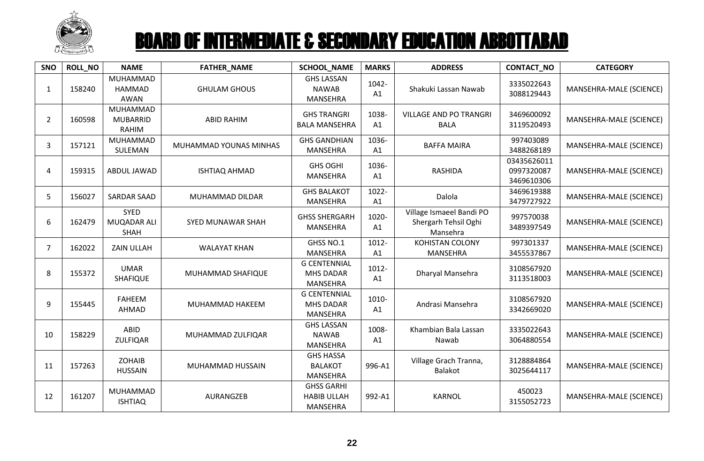

| SNO            | <b>ROLL_NO</b> | <b>NAME</b>                                 | <b>FATHER_NAME</b>       | <b>SCHOOL_NAME</b>                                         | <b>MARKS</b> | <b>ADDRESS</b>                                               | CONTACT_NO                              | <b>CATEGORY</b>         |
|----------------|----------------|---------------------------------------------|--------------------------|------------------------------------------------------------|--------------|--------------------------------------------------------------|-----------------------------------------|-------------------------|
| $\mathbf{1}$   | 158240         | MUHAMMAD<br><b>HAMMAD</b><br><b>AWAN</b>    | <b>GHULAM GHOUS</b>      | <b>GHS LASSAN</b><br><b>NAWAB</b><br>MANSEHRA              | 1042-<br>A1  | Shakuki Lassan Nawab                                         | 3335022643<br>3088129443                | MANSEHRA-MALE (SCIENCE) |
| $\overline{2}$ | 160598         | MUHAMMAD<br><b>MUBARRID</b><br><b>RAHIM</b> | <b>ABID RAHIM</b>        | <b>GHS TRANGRI</b><br><b>BALA MANSEHRA</b>                 | 1038-<br>A1  | <b>VILLAGE AND PO TRANGRI</b><br><b>BALA</b>                 | 3469600092<br>3119520493                | MANSEHRA-MALE (SCIENCE) |
| 3              | 157121         | MUHAMMAD<br>SULEMAN                         | MUHAMMAD YOUNAS MINHAS   | <b>GHS GANDHIAN</b><br><b>MANSEHRA</b>                     | 1036-<br>A1  | <b>BAFFA MAIRA</b>                                           | 997403089<br>3488268189                 | MANSEHRA-MALE (SCIENCE) |
| 4              | 159315         | ABDUL JAWAD                                 | <b>ISHTIAQ AHMAD</b>     | <b>GHS OGHI</b><br><b>MANSEHRA</b>                         | 1036-<br>A1  | <b>RASHIDA</b>                                               | 03435626011<br>0997320087<br>3469610306 | MANSEHRA-MALE (SCIENCE) |
| 5              | 156027         | <b>SARDAR SAAD</b>                          | MUHAMMAD DILDAR          | <b>GHS BALAKOT</b><br>MANSEHRA                             | 1022-<br>A1  | Dalola                                                       | 3469619388<br>3479727922                | MANSEHRA-MALE (SCIENCE) |
| 6              | 162479         | <b>SYED</b><br>MUQADAR ALI<br><b>SHAH</b>   | <b>SYED MUNAWAR SHAH</b> | <b>GHSS SHERGARH</b><br><b>MANSEHRA</b>                    | 1020-<br>A1  | Village Ismaeel Bandi PO<br>Shergarh Tehsil Oghi<br>Mansehra | 997570038<br>3489397549                 | MANSEHRA-MALE (SCIENCE) |
| $\overline{7}$ | 162022         | <b>ZAIN ULLAH</b>                           | <b>WALAYAT KHAN</b>      | GHSS NO.1<br><b>MANSEHRA</b>                               | 1012-<br>A1  | KOHISTAN COLONY<br><b>MANSEHRA</b>                           | 997301337<br>3455537867                 | MANSEHRA-MALE (SCIENCE) |
| 8              | 155372         | <b>UMAR</b><br>SHAFIQUE                     | MUHAMMAD SHAFIQUE        | <b>G CENTENNIAL</b><br><b>MHS DADAR</b><br><b>MANSEHRA</b> | 1012-<br>A1  | Dharyal Mansehra                                             | 3108567920<br>3113518003                | MANSEHRA-MALE (SCIENCE) |
| 9              | 155445         | <b>FAHEEM</b><br>AHMAD                      | MUHAMMAD HAKEEM          | <b>G CENTENNIAL</b><br><b>MHS DADAR</b><br><b>MANSEHRA</b> | 1010-<br>A1  | Andrasi Mansehra                                             | 3108567920<br>3342669020                | MANSEHRA-MALE (SCIENCE) |
| 10             | 158229         | ABID<br><b>ZULFIQAR</b>                     | MUHAMMAD ZULFIQAR        | <b>GHS LASSAN</b><br><b>NAWAB</b><br><b>MANSEHRA</b>       | 1008-<br>A1  | Khambian Bala Lassan<br>Nawab                                | 3335022643<br>3064880554                | MANSEHRA-MALE (SCIENCE) |
| 11             | 157263         | <b>ZOHAIB</b><br><b>HUSSAIN</b>             | MUHAMMAD HUSSAIN         | <b>GHS HASSA</b><br><b>BALAKOT</b><br><b>MANSEHRA</b>      | 996-A1       | Village Grach Tranna,<br><b>Balakot</b>                      | 3128884864<br>3025644117                | MANSEHRA-MALE (SCIENCE) |
| 12             | 161207         | <b>MUHAMMAD</b><br><b>ISHTIAQ</b>           | AURANGZEB                | <b>GHSS GARHI</b><br><b>HABIB ULLAH</b><br>MANSEHRA        | 992-A1       | KARNOL                                                       | 450023<br>3155052723                    | MANSEHRA-MALE (SCIENCE) |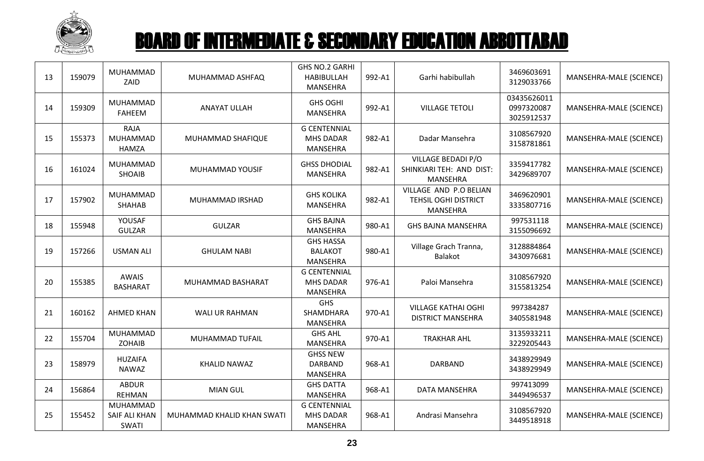

| 13 | 159079 | MUHAMMAD<br>ZAID                          | MUHAMMAD ASHFAQ            | GHS NO.2 GARHI<br><b>HABIBULLAH</b><br>MANSEHRA            | 992-A1 | Garhi habibullah                                                  | 3469603691<br>3129033766                | MANSEHRA-MALE (SCIENCE) |
|----|--------|-------------------------------------------|----------------------------|------------------------------------------------------------|--------|-------------------------------------------------------------------|-----------------------------------------|-------------------------|
| 14 | 159309 | MUHAMMAD<br><b>FAHEEM</b>                 | <b>ANAYAT ULLAH</b>        | <b>GHS OGHI</b><br><b>MANSEHRA</b>                         | 992-A1 | <b>VILLAGE TETOLI</b>                                             | 03435626011<br>0997320087<br>3025912537 | MANSEHRA-MALE (SCIENCE) |
| 15 | 155373 | <b>RAJA</b><br>MUHAMMAD<br><b>HAMZA</b>   | MUHAMMAD SHAFIQUE          | <b>G CENTENNIAL</b><br><b>MHS DADAR</b><br>MANSEHRA        | 982-A1 | Dadar Mansehra                                                    | 3108567920<br>3158781861                | MANSEHRA-MALE (SCIENCE) |
| 16 | 161024 | MUHAMMAD<br><b>SHOAIB</b>                 | MUHAMMAD YOUSIF            | <b>GHSS DHODIAL</b><br><b>MANSEHRA</b>                     | 982-A1 | VILLAGE BEDADI P/O<br>SHINKIARI TEH: AND DIST:<br>MANSEHRA        | 3359417782<br>3429689707                | MANSEHRA-MALE (SCIENCE) |
| 17 | 157902 | MUHAMMAD<br>SHAHAB                        | MUHAMMAD IRSHAD            | <b>GHS KOLIKA</b><br><b>MANSEHRA</b>                       | 982-A1 | VILLAGE AND P.O BELIAN<br><b>TEHSIL OGHI DISTRICT</b><br>MANSEHRA | 3469620901<br>3335807716                | MANSEHRA-MALE (SCIENCE) |
| 18 | 155948 | YOUSAF<br><b>GULZAR</b>                   | <b>GULZAR</b>              | <b>GHS BAJNA</b><br><b>MANSEHRA</b>                        | 980-A1 | <b>GHS BAJNA MANSEHRA</b>                                         | 997531118<br>3155096692                 | MANSEHRA-MALE (SCIENCE) |
| 19 | 157266 | <b>USMAN ALI</b>                          | <b>GHULAM NABI</b>         | <b>GHS HASSA</b><br><b>BALAKOT</b><br><b>MANSEHRA</b>      | 980-A1 | Village Grach Tranna,<br><b>Balakot</b>                           | 3128884864<br>3430976681                | MANSEHRA-MALE (SCIENCE) |
| 20 | 155385 | <b>AWAIS</b><br><b>BASHARAT</b>           | MUHAMMAD BASHARAT          | <b>G CENTENNIAL</b><br><b>MHS DADAR</b><br><b>MANSEHRA</b> | 976-A1 | Paloi Mansehra                                                    | 3108567920<br>3155813254                | MANSEHRA-MALE (SCIENCE) |
| 21 | 160162 | <b>AHMED KHAN</b>                         | WALI UR RAHMAN             | <b>GHS</b><br>SHAMDHARA<br><b>MANSEHRA</b>                 | 970-A1 | <b>VILLAGE KATHAI OGHI</b><br><b>DISTRICT MANSEHRA</b>            | 997384287<br>3405581948                 | MANSEHRA-MALE (SCIENCE) |
| 22 | 155704 | MUHAMMAD<br><b>ZOHAIB</b>                 | MUHAMMAD TUFAIL            | <b>GHS AHL</b><br><b>MANSEHRA</b>                          | 970-A1 | <b>TRAKHAR AHL</b>                                                | 3135933211<br>3229205443                | MANSEHRA-MALE (SCIENCE) |
| 23 | 158979 | <b>HUZAIFA</b><br><b>NAWAZ</b>            | KHALID NAWAZ               | <b>GHSS NEW</b><br><b>DARBAND</b><br>MANSEHRA              | 968-A1 | <b>DARBAND</b>                                                    | 3438929949<br>3438929949                | MANSEHRA-MALE (SCIENCE) |
| 24 | 156864 | <b>ABDUR</b><br><b>REHMAN</b>             | <b>MIAN GUL</b>            | <b>GHS DATTA</b><br><b>MANSEHRA</b>                        | 968-A1 | DATA MANSEHRA                                                     | 997413099<br>3449496537                 | MANSEHRA-MALE (SCIENCE) |
| 25 | 155452 | MUHAMMAD<br>SAIF ALI KHAN<br><b>SWATI</b> | MUHAMMAD KHALID KHAN SWATI | <b>G CENTENNIAL</b><br><b>MHS DADAR</b><br>MANSEHRA        | 968-A1 | Andrasi Mansehra                                                  | 3108567920<br>3449518918                | MANSEHRA-MALE (SCIENCE) |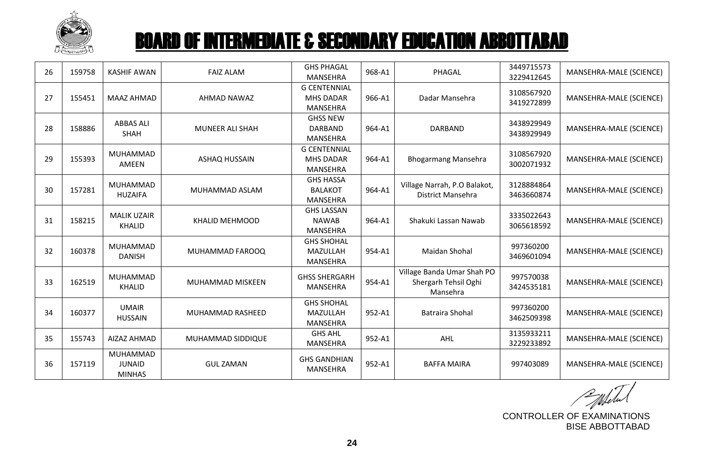

| 26 | 159758 | <b>KASHIF AWAN</b>                         | <b>FAIZ ALAM</b>       | <b>GHS PHAGAL</b><br><b>MANSEHRA</b>                       | 968-A1 | PHAGAL                                                         | 3449715573<br>3229412645 | MANSEHRA-MALE (SCIENCE) |
|----|--------|--------------------------------------------|------------------------|------------------------------------------------------------|--------|----------------------------------------------------------------|--------------------------|-------------------------|
| 27 | 155451 | MAAZ AHMAD                                 | AHMAD NAWAZ            | <b>G CENTENNIAL</b><br><b>MHS DADAR</b><br><b>MANSEHRA</b> | 966-A1 | Dadar Mansehra                                                 | 3108567920<br>3419272899 | MANSEHRA-MALE (SCIENCE) |
| 28 | 158886 | <b>ABBAS ALI</b><br><b>SHAH</b>            | <b>MUNEER ALI SHAH</b> | <b>GHSS NEW</b><br>DARBAND<br><b>MANSEHRA</b>              | 964-A1 | <b>DARBAND</b>                                                 | 3438929949<br>3438929949 | MANSEHRA-MALE (SCIENCE) |
| 29 | 155393 | MUHAMMAD<br><b>AMEEN</b>                   | ASHAQ HUSSAIN          | <b>G CENTENNIAL</b><br><b>MHS DADAR</b><br><b>MANSEHRA</b> | 964-A1 | <b>Bhogarmang Mansehra</b>                                     | 3108567920<br>3002071932 | MANSEHRA-MALE (SCIENCE) |
| 30 | 157281 | <b>MUHAMMAD</b><br><b>HUZAIFA</b>          | MUHAMMAD ASLAM         | <b>GHS HASSA</b><br><b>BALAKOT</b><br><b>MANSEHRA</b>      | 964-A1 | Village Narrah, P.O Balakot,<br>District Mansehra              | 3128884864<br>3463660874 | MANSEHRA-MALE (SCIENCE) |
| 31 | 158215 | <b>MALIK UZAIR</b><br>KHALID               | <b>KHALID MEHMOOD</b>  | <b>GHS LASSAN</b><br><b>NAWAB</b><br><b>MANSEHRA</b>       | 964-A1 | Shakuki Lassan Nawab                                           | 3335022643<br>3065618592 | MANSEHRA-MALE (SCIENCE) |
| 32 | 160378 | MUHAMMAD<br><b>DANISH</b>                  | MUHAMMAD FAROOQ        | <b>GHS SHOHAL</b><br>MAZULLAH<br><b>MANSEHRA</b>           | 954-A1 | Maidan Shohal                                                  | 997360200<br>3469601094  | MANSEHRA-MALE (SCIENCE) |
| 33 | 162519 | MUHAMMAD<br><b>KHALID</b>                  | MUHAMMAD MISKEEN       | <b>GHSS SHERGARH</b><br><b>MANSEHRA</b>                    | 954-A1 | Village Banda Umar Shah PO<br>Shergarh Tehsil Oghi<br>Mansehra | 997570038<br>3424535181  | MANSEHRA-MALE (SCIENCE) |
| 34 | 160377 | <b>UMAIR</b><br><b>HUSSAIN</b>             | MUHAMMAD RASHEED       | <b>GHS SHOHAL</b><br>MAZULLAH<br><b>MANSEHRA</b>           | 952-A1 | <b>Batraira Shohal</b>                                         | 997360200<br>3462509398  | MANSEHRA-MALE (SCIENCE) |
| 35 | 155743 | AIZAZ AHMAD                                | MUHAMMAD SIDDIQUE      | <b>GHS AHL</b><br><b>MANSEHRA</b>                          | 952-A1 | AHL                                                            | 3135933211<br>3229233892 | MANSEHRA-MALE (SCIENCE) |
| 36 | 157119 | MUHAMMAD<br><b>JUNAID</b><br><b>MINHAS</b> | <b>GUL ZAMAN</b>       | <b>GHS GANDHIAN</b><br><b>MANSEHRA</b>                     | 952-A1 | <b>BAFFA MAIRA</b>                                             | 997403089                | MANSEHRA-MALE (SCIENCE) |

Entertal

CONTROLLER OF EXAMINATIONS BISE ABBOTTABAD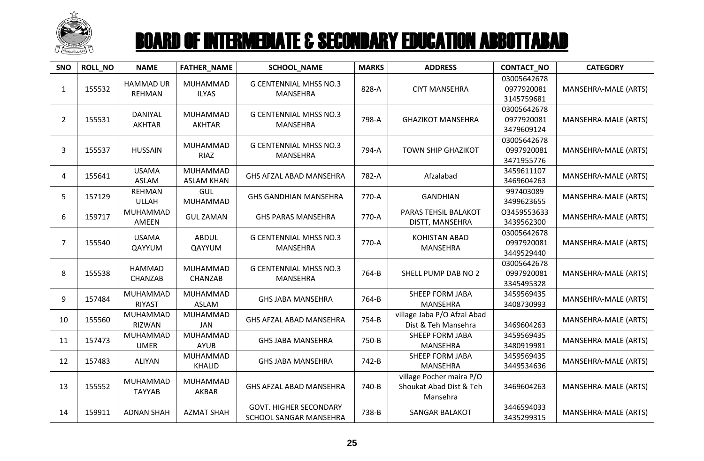

| SNO            | <b>ROLL_NO</b> | <b>NAME</b>                       | FATHER_NAME                          | <b>SCHOOL_NAME</b>                                      | <b>MARKS</b> | <b>ADDRESS</b>                                                  | CONTACT_NO                              | <b>CATEGORY</b>      |
|----------------|----------------|-----------------------------------|--------------------------------------|---------------------------------------------------------|--------------|-----------------------------------------------------------------|-----------------------------------------|----------------------|
| $\mathbf{1}$   | 155532         | <b>HAMMAD UR</b><br><b>REHMAN</b> | MUHAMMAD<br><b>ILYAS</b>             | <b>G CENTENNIAL MHSS NO.3</b><br>MANSEHRA               | 828-A        | <b>CIYT MANSEHRA</b>                                            | 03005642678<br>0977920081<br>3145759681 | MANSEHRA-MALE (ARTS) |
| $\overline{2}$ | 155531         | <b>DANIYAL</b><br><b>AKHTAR</b>   | MUHAMMAD<br><b>AKHTAR</b>            | <b>G CENTENNIAL MHSS NO.3</b><br>MANSEHRA               | 798-A        | <b>GHAZIKOT MANSEHRA</b>                                        | 03005642678<br>0977920081<br>3479609124 | MANSEHRA-MALE (ARTS) |
| 3              | 155537         | <b>HUSSAIN</b>                    | MUHAMMAD<br>RIAZ                     | <b>G CENTENNIAL MHSS NO.3</b><br><b>MANSEHRA</b>        | 794-A        | <b>TOWN SHIP GHAZIKOT</b>                                       | 03005642678<br>0997920081<br>3471955776 | MANSEHRA-MALE (ARTS) |
| 4              | 155641         | <b>USAMA</b><br><b>ASLAM</b>      | <b>MUHAMMAD</b><br><b>ASLAM KHAN</b> | GHS AFZAL ABAD MANSEHRA                                 | 782-A        | Afzalabad                                                       | 3459611107<br>3469604263                | MANSEHRA-MALE (ARTS) |
| 5              | 157129         | <b>REHMAN</b><br><b>ULLAH</b>     | GUL<br>MUHAMMAD                      | <b>GHS GANDHIAN MANSEHRA</b>                            | 770-A        | <b>GANDHIAN</b>                                                 | 997403089<br>3499623655                 | MANSEHRA-MALE (ARTS) |
| 6              | 159717         | MUHAMMAD<br>AMEEN                 | <b>GUL ZAMAN</b>                     | <b>GHS PARAS MANSEHRA</b>                               | 770-A        | PARAS TEHSIL BALAKOT<br>DISTT, MANSEHRA                         | 03459553633<br>3439562300               | MANSEHRA-MALE (ARTS) |
| $\overline{7}$ | 155540         | <b>USAMA</b><br>QAYYUM            | <b>ABDUL</b><br>QAYYUM               | <b>G CENTENNIAL MHSS NO.3</b><br>MANSEHRA               | 770-A        | KOHISTAN ABAD<br><b>MANSEHRA</b>                                | 03005642678<br>0997920081<br>3449529440 | MANSEHRA-MALE (ARTS) |
| 8              | 155538         | <b>HAMMAD</b><br>CHANZAB          | <b>MUHAMMAD</b><br>CHANZAB           | <b>G CENTENNIAL MHSS NO.3</b><br><b>MANSEHRA</b>        | 764-B        | SHELL PUMP DAB NO 2                                             | 03005642678<br>0997920081<br>3345495328 | MANSEHRA-MALE (ARTS) |
| 9              | 157484         | MUHAMMAD<br><b>RIYAST</b>         | MUHAMMAD<br><b>ASLAM</b>             | <b>GHS JABA MANSEHRA</b>                                | 764-B        | SHEEP FORM JABA<br><b>MANSEHRA</b>                              | 3459569435<br>3408730993                | MANSEHRA-MALE (ARTS) |
| 10             | 155560         | MUHAMMAD<br><b>RIZWAN</b>         | <b>MUHAMMAD</b><br><b>JAN</b>        | GHS AFZAL ABAD MANSEHRA                                 | 754-B        | village Jaba P/O Afzal Abad<br>Dist & Teh Mansehra              | 3469604263                              | MANSEHRA-MALE (ARTS) |
| 11             | 157473         | MUHAMMAD<br><b>UMER</b>           | <b>MUHAMMAD</b><br><b>AYUB</b>       | <b>GHS JABA MANSEHRA</b>                                | 750-B        | SHEEP FORM JABA<br><b>MANSEHRA</b>                              | 3459569435<br>3480919981                | MANSEHRA-MALE (ARTS) |
| 12             | 157483         | <b>ALIYAN</b>                     | MUHAMMAD<br><b>KHALID</b>            | <b>GHS JABA MANSEHRA</b>                                | 742-B        | <b>SHEEP FORM JABA</b><br><b>MANSEHRA</b>                       | 3459569435<br>3449534636                | MANSEHRA-MALE (ARTS) |
| 13             | 155552         | MUHAMMAD<br><b>TAYYAB</b>         | <b>MUHAMMAD</b><br>AKBAR             | GHS AFZAL ABAD MANSEHRA                                 | 740-B        | village Pocher maira P/O<br>Shoukat Abad Dist & Teh<br>Mansehra | 3469604263                              | MANSEHRA-MALE (ARTS) |
| 14             | 159911         | <b>ADNAN SHAH</b>                 | <b>AZMAT SHAH</b>                    | <b>GOVT. HIGHER SECONDARY</b><br>SCHOOL SANGAR MANSEHRA | 738-B        | SANGAR BALAKOT                                                  | 3446594033<br>3435299315                | MANSEHRA-MALE (ARTS) |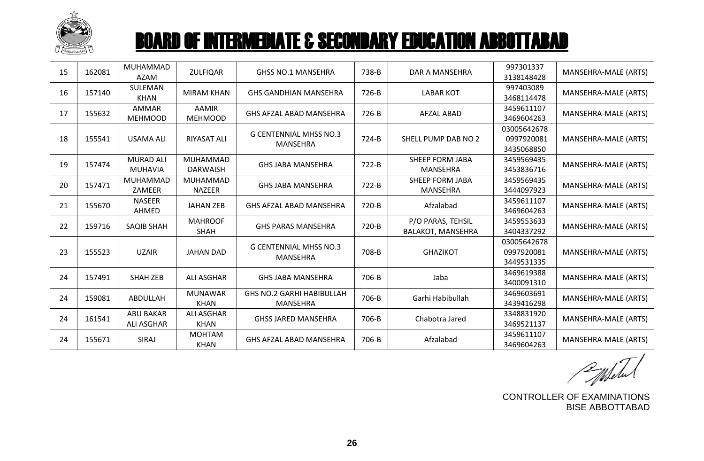

| 15 | 162081 | <b>MUHAMMAD</b><br>AZAM               | <b>ZULFIQAR</b>                  | <b>GHSS NO.1 MANSEHRA</b>                        | 738-B   | DAR A MANSEHRA                                | 997301337<br>3138148428                 | MANSEHRA-MALE (ARTS) |
|----|--------|---------------------------------------|----------------------------------|--------------------------------------------------|---------|-----------------------------------------------|-----------------------------------------|----------------------|
| 16 | 157140 | SULEMAN<br><b>KHAN</b>                | <b>MIRAM KHAN</b>                | <b>GHS GANDHIAN MANSEHRA</b>                     | 726-B   | <b>LABAR KOT</b>                              | 997403089<br>3468114478                 | MANSEHRA-MALE (ARTS) |
| 17 | 155632 | <b>AMMAR</b><br><b>MEHMOOD</b>        | <b>AAMIR</b><br><b>MEHMOOD</b>   | GHS AFZAL ABAD MANSEHRA                          | 726-B   | <b>AFZAL ABAD</b>                             | 3459611107<br>3469604263                | MANSEHRA-MALE (ARTS) |
| 18 | 155541 | <b>USAMA ALI</b>                      | <b>RIYASAT ALI</b>               | <b>G CENTENNIAL MHSS NO.3</b><br>MANSEHRA        | 724-B   | SHELL PUMP DAB NO 2                           | 03005642678<br>0997920081<br>3435068850 | MANSEHRA-MALE (ARTS) |
| 19 | 157474 | <b>MURAD ALI</b><br><b>MUHAVIA</b>    | MUHAMMAD<br><b>DARWAISH</b>      | <b>GHS JABA MANSEHRA</b>                         | $722-B$ | <b>SHEEP FORM JABA</b><br><b>MANSEHRA</b>     | 3459569435<br>3453836716                | MANSEHRA-MALE (ARTS) |
| 20 | 157471 | MUHAMMAD<br>ZAMEER                    | MUHAMMAD<br><b>NAZEER</b>        | <b>GHS JABA MANSEHRA</b>                         | 722-B   | <b>SHEEP FORM JABA</b><br><b>MANSEHRA</b>     | 3459569435<br>3444097923                | MANSEHRA-MALE (ARTS) |
| 21 | 155670 | <b>NASEER</b><br>AHMED                | <b>JAHAN ZEB</b>                 | <b>GHS AFZAL ABAD MANSEHRA</b>                   | 720-B   | Afzalabad                                     | 3459611107<br>3469604263                | MANSEHRA-MALE (ARTS) |
| 22 | 159716 | <b>SAQIB SHAH</b>                     | <b>MAHROOF</b><br><b>SHAH</b>    | <b>GHS PARAS MANSEHRA</b>                        | 720-B   | P/O PARAS, TEHSIL<br><b>BALAKOT, MANSEHRA</b> | 3459553633<br>3404337292                | MANSEHRA-MALE (ARTS) |
| 23 | 155523 | <b>UZAIR</b>                          | <b>JAHAN DAD</b>                 | <b>G CENTENNIAL MHSS NO.3</b><br><b>MANSEHRA</b> | 708-B   | <b>GHAZIKOT</b>                               | 03005642678<br>0997920081<br>3449531335 | MANSEHRA-MALE (ARTS) |
| 24 | 157491 | <b>SHAH ZEB</b>                       | <b>ALI ASGHAR</b>                | <b>GHS JABA MANSEHRA</b>                         | 706-B   | Jaba                                          | 3469619388<br>3400091310                | MANSEHRA-MALE (ARTS) |
| 24 | 159081 | ABDULLAH                              | <b>MUNAWAR</b><br><b>KHAN</b>    | <b>GHS NO.2 GARHI HABIBULLAH</b><br>MANSEHRA     | 706-B   | Garhi Habibullah                              | 3469603691<br>3439416298                | MANSEHRA-MALE (ARTS) |
| 24 | 161541 | <b>ABU BAKAR</b><br><b>ALI ASGHAR</b> | <b>ALI ASGHAR</b><br><b>KHAN</b> | <b>GHSS JARED MANSEHRA</b>                       | 706-B   | Chabotra Jared                                | 3348831920<br>3469521137                | MANSEHRA-MALE (ARTS) |
| 24 | 155671 | SIRAJ                                 | <b>MOHTAM</b><br><b>KHAN</b>     | GHS AFZAL ABAD MANSEHRA                          | 706-B   | Afzalabad                                     | 3459611107<br>3469604263                | MANSEHRA-MALE (ARTS) |

CONTROLLER OF EXAMINATIONS BISE ABBOTTABAD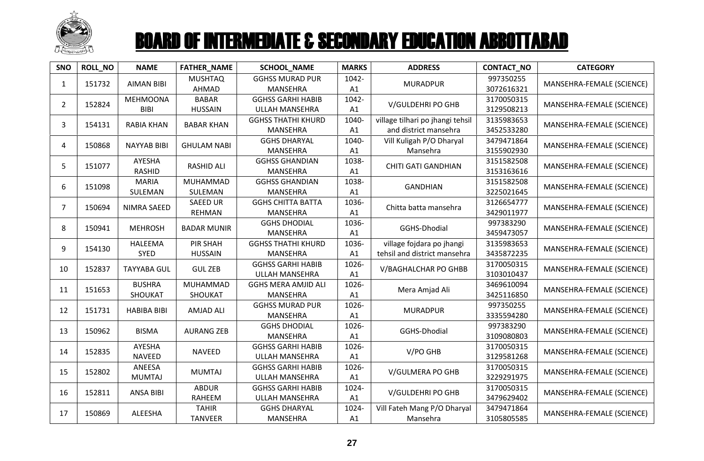

| SNO            | <b>ROLL_NO</b> | <b>NAME</b>                    | <b>FATHER_NAME</b>                | SCHOOL_NAME                                       | <b>MARKS</b> | <b>ADDRESS</b>                                            | CONTACT_NO               | <b>CATEGORY</b>           |
|----------------|----------------|--------------------------------|-----------------------------------|---------------------------------------------------|--------------|-----------------------------------------------------------|--------------------------|---------------------------|
| $\mathbf{1}$   | 151732         | <b>AIMAN BIBI</b>              | <b>MUSHTAQ</b><br>AHMAD           | <b>GGHSS MURAD PUR</b><br>MANSEHRA                | 1042-<br>A1  | <b>MURADPUR</b>                                           | 997350255<br>3072616321  | MANSEHRA-FEMALE (SCIENCE) |
| $\overline{2}$ | 152824         | <b>MEHMOONA</b><br><b>BIBI</b> | <b>BABAR</b><br><b>HUSSAIN</b>    | <b>GGHSS GARHI HABIB</b><br>ULLAH MANSEHRA        | 1042-<br>A1  | V/GULDEHRI PO GHB                                         | 3170050315<br>3129508213 | MANSEHRA-FEMALE (SCIENCE) |
| 3              | 154131         | <b>RABIA KHAN</b>              | <b>BABAR KHAN</b>                 | <b>GGHSS THATHI KHURD</b><br><b>MANSEHRA</b>      | 1040-<br>A1  | village tilhari po jhangi tehsil<br>and district mansehra | 3135983653<br>3452533280 | MANSEHRA-FEMALE (SCIENCE) |
| 4              | 150868         | <b>NAYYAB BIBI</b>             | <b>GHULAM NABI</b>                | <b>GGHS DHARYAL</b><br><b>MANSEHRA</b>            | 1040-<br>A1  | Vill Kuligah P/O Dharyal<br>Mansehra                      | 3479471864<br>3155902930 | MANSEHRA-FEMALE (SCIENCE) |
| 5              | 151077         | <b>AYESHA</b><br><b>RASHID</b> | <b>RASHID ALI</b>                 | <b>GGHSS GHANDIAN</b><br><b>MANSEHRA</b>          | 1038-<br>A1  | <b>CHITI GATI GANDHIAN</b>                                | 3151582508<br>3153163616 | MANSEHRA-FEMALE (SCIENCE) |
| 6              | 151098         | <b>MARIA</b><br>SULEMAN        | MUHAMMAD<br>SULEMAN               | <b>GGHSS GHANDIAN</b><br><b>MANSEHRA</b>          | 1038-<br>A1  | <b>GANDHIAN</b>                                           | 3151582508<br>3225021645 | MANSEHRA-FEMALE (SCIENCE) |
| $\overline{7}$ | 150694         | NIMRA SAEED                    | <b>SAEED UR</b><br><b>REHMAN</b>  | <b>GGHS CHITTA BATTA</b><br>MANSEHRA              | 1036-<br>A1  | Chitta batta mansehra                                     | 3126654777<br>3429011977 | MANSEHRA-FEMALE (SCIENCE) |
| 8              | 150941         | <b>MEHROSH</b>                 | <b>BADAR MUNIR</b>                | <b>GGHS DHODIAL</b><br><b>MANSEHRA</b>            | 1036-<br>A1  | GGHS-Dhodial                                              | 997383290<br>3459473057  | MANSEHRA-FEMALE (SCIENCE) |
| 9              | 154130         | <b>HALEEMA</b><br><b>SYED</b>  | <b>PIR SHAH</b><br><b>HUSSAIN</b> | <b>GGHSS THATHI KHURD</b><br>MANSEHRA             | 1036-<br>A1  | village fojdara po jhangi<br>tehsil and district mansehra | 3135983653<br>3435872235 | MANSEHRA-FEMALE (SCIENCE) |
| 10             | 152837         | <b>TAYYABA GUL</b>             | <b>GUL ZEB</b>                    | <b>GGHSS GARHI HABIB</b><br>ULLAH MANSEHRA        | 1026-<br>A1  | V/BAGHALCHAR PO GHBB                                      | 3170050315<br>3103010437 | MANSEHRA-FEMALE (SCIENCE) |
| 11             | 151653         | <b>BUSHRA</b><br>SHOUKAT       | MUHAMMAD<br>SHOUKAT               | <b>GGHS MERA AMJID ALI</b><br>MANSEHRA            | 1026-<br>A1  | Mera Amjad Ali                                            | 3469610094<br>3425116850 | MANSEHRA-FEMALE (SCIENCE) |
| 12             | 151731         | <b>HABIBA BIBI</b>             | <b>AMJAD ALI</b>                  | <b>GGHSS MURAD PUR</b><br><b>MANSEHRA</b>         | 1026-<br>A1  | <b>MURADPUR</b>                                           | 997350255<br>3335594280  | MANSEHRA-FEMALE (SCIENCE) |
| 13             | 150962         | <b>BISMA</b>                   | <b>AURANG ZEB</b>                 | <b>GGHS DHODIAL</b><br>MANSEHRA                   | 1026-<br>A1  | GGHS-Dhodial                                              | 997383290<br>3109080803  | MANSEHRA-FEMALE (SCIENCE) |
| 14             | 152835         | AYESHA<br><b>NAVEED</b>        | <b>NAVEED</b>                     | <b>GGHSS GARHI HABIB</b><br>ULLAH MANSEHRA        | 1026-<br>A1  | V/PO GHB                                                  | 3170050315<br>3129581268 | MANSEHRA-FEMALE (SCIENCE) |
| 15             | 152802         | ANEESA<br><b>MUMTAJ</b>        | <b>MUMTAJ</b>                     | <b>GGHSS GARHI HABIB</b><br><b>ULLAH MANSEHRA</b> | 1026-<br>A1  | V/GULMERA PO GHB                                          | 3170050315<br>3229291975 | MANSEHRA-FEMALE (SCIENCE) |
| 16             | 152811         | <b>ANSA BIBI</b>               | <b>ABDUR</b><br>RAHEEM            | <b>GGHSS GARHI HABIB</b><br>ULLAH MANSEHRA        | 1024-<br>A1  | V/GULDEHRI PO GHB                                         | 3170050315<br>3479629402 | MANSEHRA-FEMALE (SCIENCE) |
| 17             | 150869         | ALEESHA                        | <b>TAHIR</b><br><b>TANVEER</b>    | <b>GGHS DHARYAL</b><br><b>MANSEHRA</b>            | 1024-<br>A1  | Vill Fateh Mang P/O Dharyal<br>Mansehra                   | 3479471864<br>3105805585 | MANSEHRA-FEMALE (SCIENCE) |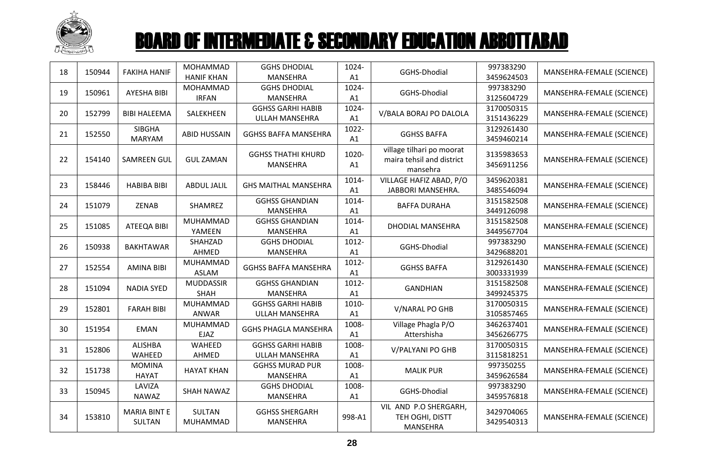

| 18 | 150944 | <b>FAKIHA HANIF</b>                  | MOHAMMAD<br><b>HANIF KHAN</b>   | <b>GGHS DHODIAL</b><br>MANSEHRA                   | 1024-<br>A1 | GGHS-Dhodial                                                       | 997383290<br>3459624503  | MANSEHRA-FEMALE (SCIENCE) |
|----|--------|--------------------------------------|---------------------------------|---------------------------------------------------|-------------|--------------------------------------------------------------------|--------------------------|---------------------------|
| 19 | 150961 | <b>AYESHA BIBI</b>                   | MOHAMMAD<br><b>IRFAN</b>        | <b>GGHS DHODIAL</b><br><b>MANSEHRA</b>            | 1024-<br>A1 | GGHS-Dhodial                                                       | 997383290<br>3125604729  | MANSEHRA-FEMALE (SCIENCE) |
| 20 | 152799 | <b>BIBI HALEEMA</b>                  | SALEKHEEN                       | <b>GGHSS GARHI HABIB</b><br>ULLAH MANSEHRA        | 1024-<br>A1 | V/BALA BORAJ PO DALOLA                                             | 3170050315<br>3151436229 | MANSEHRA-FEMALE (SCIENCE) |
| 21 | 152550 | <b>SIBGHA</b><br><b>MARYAM</b>       | <b>ABID HUSSAIN</b>             | <b>GGHSS BAFFA MANSEHRA</b>                       | 1022-<br>A1 | <b>GGHSS BAFFA</b>                                                 | 3129261430<br>3459460214 | MANSEHRA-FEMALE (SCIENCE) |
| 22 | 154140 | <b>SAMREEN GUL</b>                   | <b>GUL ZAMAN</b>                | <b>GGHSS THATHI KHURD</b><br>MANSEHRA             | 1020-<br>A1 | village tilhari po moorat<br>maira tehsil and district<br>mansehra | 3135983653<br>3456911256 | MANSEHRA-FEMALE (SCIENCE) |
| 23 | 158446 | <b>HABIBA BIBI</b>                   | <b>ABDUL JALIL</b>              | <b>GHS MAITHAL MANSEHRA</b>                       | 1014-<br>A1 | VILLAGE HAFIZ ABAD, P/O<br>JABBORI MANSEHRA.                       | 3459620381<br>3485546094 | MANSEHRA-FEMALE (SCIENCE) |
| 24 | 151079 | ZENAB                                | SHAMREZ                         | <b>GGHSS GHANDIAN</b><br><b>MANSEHRA</b>          | 1014-<br>A1 | <b>BAFFA DURAHA</b>                                                | 3151582508<br>3449126098 | MANSEHRA-FEMALE (SCIENCE) |
| 25 | 151085 | ATEEQA BIBI                          | MUHAMMAD<br>YAMEEN              | <b>GGHSS GHANDIAN</b><br><b>MANSEHRA</b>          | 1014-<br>A1 | <b>DHODIAL MANSEHRA</b>                                            | 3151582508<br>3449567704 | MANSEHRA-FEMALE (SCIENCE) |
| 26 | 150938 | <b>BAKHTAWAR</b>                     | SHAHZAD<br>AHMED                | <b>GGHS DHODIAL</b><br>MANSEHRA                   | 1012-<br>A1 | GGHS-Dhodial                                                       | 997383290<br>3429688201  | MANSEHRA-FEMALE (SCIENCE) |
| 27 | 152554 | <b>AMINA BIBI</b>                    | MUHAMMAD<br><b>ASLAM</b>        | <b>GGHSS BAFFA MANSEHRA</b>                       | 1012-<br>A1 | <b>GGHSS BAFFA</b>                                                 | 3129261430<br>3003331939 | MANSEHRA-FEMALE (SCIENCE) |
| 28 | 151094 | <b>NADIA SYED</b>                    | <b>MUDDASSIR</b><br>SHAH        | <b>GGHSS GHANDIAN</b><br>MANSEHRA                 | 1012-<br>A1 | <b>GANDHIAN</b>                                                    | 3151582508<br>3499245375 | MANSEHRA-FEMALE (SCIENCE) |
| 29 | 152801 | <b>FARAH BIBI</b>                    | <b>MUHAMMAD</b><br><b>ANWAR</b> | <b>GGHSS GARHI HABIB</b><br><b>ULLAH MANSEHRA</b> | 1010-<br>A1 | V/NARAL PO GHB                                                     | 3170050315<br>3105857465 | MANSEHRA-FEMALE (SCIENCE) |
| 30 | 151954 | <b>EMAN</b>                          | MUHAMMAD<br>EJAZ                | <b>GGHS PHAGLA MANSEHRA</b>                       | 1008-<br>A1 | Village Phagla P/O<br>Attershisha                                  | 3462637401<br>3456266775 | MANSEHRA-FEMALE (SCIENCE) |
| 31 | 152806 | <b>ALISHBA</b><br>WAHEED             | WAHEED<br>AHMED                 | <b>GGHSS GARHI HABIB</b><br>ULLAH MANSEHRA        | 1008-<br>A1 | V/PALYANI PO GHB                                                   | 3170050315<br>3115818251 | MANSEHRA-FEMALE (SCIENCE) |
| 32 | 151738 | <b>MOMINA</b><br><b>HAYAT</b>        | <b>HAYAT KHAN</b>               | <b>GGHSS MURAD PUR</b><br><b>MANSEHRA</b>         | 1008-<br>A1 | <b>MALIK PUR</b>                                                   | 997350255<br>3459626584  | MANSEHRA-FEMALE (SCIENCE) |
| 33 | 150945 | LAVIZA<br>NAWAZ                      | SHAH NAWAZ                      | <b>GGHS DHODIAL</b><br>MANSEHRA                   | 1008-<br>A1 | GGHS-Dhodial                                                       | 997383290<br>3459576818  | MANSEHRA-FEMALE (SCIENCE) |
| 34 | 153810 | <b>MARIA BINT E</b><br><b>SULTAN</b> | SULTAN<br>MUHAMMAD              | <b>GGHSS SHERGARH</b><br>MANSEHRA                 | 998-A1      | VIL AND P.O SHERGARH,<br>TEH OGHI, DISTT<br>MANSEHRA               | 3429704065<br>3429540313 | MANSEHRA-FEMALE (SCIENCE) |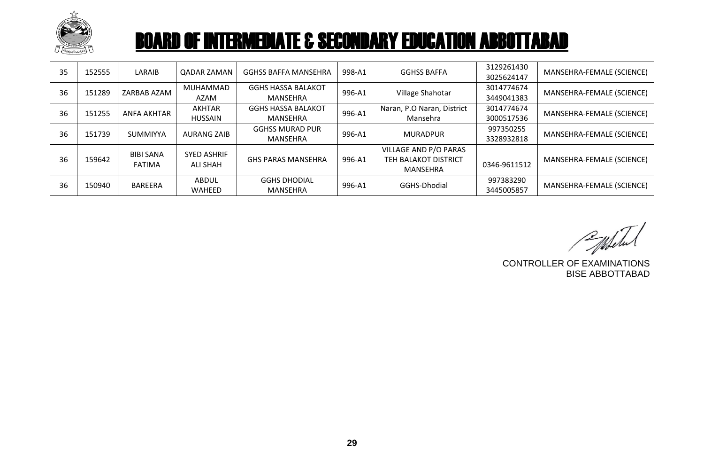

| 35 | 152555 | LARAIB                            | <b>QADAR ZAMAN</b>             | <b>GGHSS BAFFA MANSEHRA</b>           | 998-A1 | <b>GGHSS BAFFA</b>                                        | 3129261430<br>3025624147 | MANSEHRA-FEMALE (SCIENCE) |
|----|--------|-----------------------------------|--------------------------------|---------------------------------------|--------|-----------------------------------------------------------|--------------------------|---------------------------|
| 36 | 151289 | ZARBAB AZAM                       | MUHAMMAD<br>AZAM               | <b>GGHS HASSA BALAKOT</b><br>MANSEHRA | 996-A1 | Village Shahotar                                          | 3014774674<br>3449041383 | MANSEHRA-FEMALE (SCIENCE) |
| 36 | 151255 | <b>ANFA AKHTAR</b>                | AKHTAR<br><b>HUSSAIN</b>       | <b>GGHS HASSA BALAKOT</b><br>MANSEHRA | 996-A1 | Naran, P.O Naran, District<br>Mansehra                    | 3014774674<br>3000517536 | MANSEHRA-FEMALE (SCIENCE) |
| 36 | 151739 | <b>SUMMIYYA</b>                   | <b>AURANG ZAIB</b>             | <b>GGHSS MURAD PUR</b><br>MANSEHRA    | 996-A1 | <b>MURADPUR</b>                                           | 997350255<br>3328932818  | MANSEHRA-FEMALE (SCIENCE) |
| 36 | 159642 | <b>BIBI SANA</b><br><b>FATIMA</b> | <b>SYED ASHRIF</b><br>ALI SHAH | <b>GHS PARAS MANSEHRA</b>             | 996-A1 | VILLAGE AND P/O PARAS<br>TEH BALAKOT DISTRICT<br>MANSEHRA | 0346-9611512             | MANSEHRA-FEMALE (SCIENCE) |
| 36 | 150940 | BAREERA                           | ABDUL<br><b>WAHEED</b>         | <b>GGHS DHODIAL</b><br>MANSEHRA       | 996-A1 | GGHS-Dhodial                                              | 997383290<br>3445005857  | MANSEHRA-FEMALE (SCIENCE) |

PMSetu

CONTROLLER OF EXAMINATIONS BISE ABBOTTABAD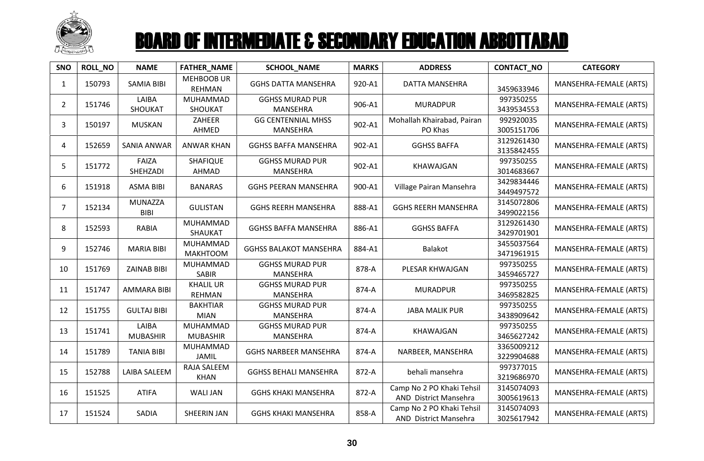

| SNO            | ROLL_NO | <b>NAME</b>                   | <b>FATHER_NAME</b>                 | <b>SCHOOL_NAME</b>                        | <b>MARKS</b> | <b>ADDRESS</b>                                     | CONTACT_NO               | <b>CATEGORY</b>        |
|----------------|---------|-------------------------------|------------------------------------|-------------------------------------------|--------------|----------------------------------------------------|--------------------------|------------------------|
| $\mathbf{1}$   | 150793  | <b>SAMIA BIBI</b>             | <b>MEHBOOB UR</b><br><b>REHMAN</b> | <b>GGHS DATTA MANSEHRA</b>                | 920-A1       | DATTA MANSEHRA                                     | 3459633946               | MANSEHRA-FEMALE (ARTS) |
| $2^{\circ}$    | 151746  | LAIBA<br>SHOUKAT              | <b>MUHAMMAD</b><br>SHOUKAT         | <b>GGHSS MURAD PUR</b><br><b>MANSEHRA</b> | 906-A1       | <b>MURADPUR</b>                                    | 997350255<br>3439534553  | MANSEHRA-FEMALE (ARTS) |
| 3              | 150197  | <b>MUSKAN</b>                 | ZAHEER<br>AHMED                    | <b>GG CENTENNIAL MHSS</b><br>MANSEHRA     | 902-A1       | Mohallah Khairabad, Pairan<br>PO Khas              | 992920035<br>3005151706  | MANSEHRA-FEMALE (ARTS) |
| 4              | 152659  | SANIA ANWAR                   | <b>ANWAR KHAN</b>                  | <b>GGHSS BAFFA MANSEHRA</b>               | 902-A1       | <b>GGHSS BAFFA</b>                                 | 3129261430<br>3135842455 | MANSEHRA-FEMALE (ARTS) |
| 5              | 151772  | FAIZA<br>SHEHZADI             | <b>SHAFIQUE</b><br>AHMAD           | <b>GGHSS MURAD PUR</b><br><b>MANSEHRA</b> | 902-A1       | KHAWAJGAN                                          | 997350255<br>3014683667  | MANSEHRA-FEMALE (ARTS) |
| 6              | 151918  | <b>ASMA BIBI</b>              | <b>BANARAS</b>                     | <b>GGHS PEERAN MANSEHRA</b>               | 900-A1       | Village Pairan Mansehra                            | 3429834446<br>3449497572 | MANSEHRA-FEMALE (ARTS) |
| $\overline{7}$ | 152134  | <b>MUNAZZA</b><br><b>BIBI</b> | <b>GULISTAN</b>                    | <b>GGHS REERH MANSEHRA</b>                | 888-A1       | <b>GGHS REERH MANSEHRA</b>                         | 3145072806<br>3499022156 | MANSEHRA-FEMALE (ARTS) |
| 8              | 152593  | <b>RABIA</b>                  | MUHAMMAD<br>SHAUKAT                | <b>GGHSS BAFFA MANSEHRA</b>               | 886-A1       | <b>GGHSS BAFFA</b>                                 | 3129261430<br>3429701901 | MANSEHRA-FEMALE (ARTS) |
| 9              | 152746  | <b>MARIA BIBI</b>             | <b>MUHAMMAD</b><br><b>MAKHTOOM</b> | <b>GGHSS BALAKOT MANSEHRA</b>             | 884-A1       | Balakot                                            | 3455037564<br>3471961915 | MANSEHRA-FEMALE (ARTS) |
| 10             | 151769  | <b>ZAINAB BIBI</b>            | <b>MUHAMMAD</b><br><b>SABIR</b>    | <b>GGHSS MURAD PUR</b><br><b>MANSEHRA</b> | 878-A        | PLESAR KHWAJGAN                                    | 997350255<br>3459465727  | MANSEHRA-FEMALE (ARTS) |
| 11             | 151747  | <b>AMMARA BIBI</b>            | <b>KHALIL UR</b><br><b>REHMAN</b>  | <b>GGHSS MURAD PUR</b><br><b>MANSEHRA</b> | 874-A        | <b>MURADPUR</b>                                    | 997350255<br>3469582825  | MANSEHRA-FEMALE (ARTS) |
| 12             | 151755  | <b>GULTAJ BIBI</b>            | <b>BAKHTIAR</b><br><b>MIAN</b>     | <b>GGHSS MURAD PUR</b><br><b>MANSEHRA</b> | 874-A        | <b>JABA MALIK PUR</b>                              | 997350255<br>3438909642  | MANSEHRA-FEMALE (ARTS) |
| 13             | 151741  | LAIBA<br><b>MUBASHIR</b>      | MUHAMMAD<br><b>MUBASHIR</b>        | <b>GGHSS MURAD PUR</b><br>MANSEHRA        | 874-A        | KHAWAJGAN                                          | 997350255<br>3465627242  | MANSEHRA-FEMALE (ARTS) |
| 14             | 151789  | <b>TANIA BIBI</b>             | MUHAMMAD<br><b>JAMIL</b>           | <b>GGHS NARBEER MANSEHRA</b>              | 874-A        | NARBEER, MANSEHRA                                  | 3365009212<br>3229904688 | MANSEHRA-FEMALE (ARTS) |
| 15             | 152788  | <b>LAIBA SALEEM</b>           | RAJA SALEEM<br><b>KHAN</b>         | <b>GGHSS BEHALI MANSEHRA</b>              | 872-A        | behali mansehra                                    | 997377015<br>3219686970  | MANSEHRA-FEMALE (ARTS) |
| 16             | 151525  | <b>ATIFA</b>                  | <b>WALI JAN</b>                    | <b>GGHS KHAKI MANSEHRA</b>                | 872-A        | Camp No 2 PO Khaki Tehsil<br>AND District Mansehra | 3145074093<br>3005619613 | MANSEHRA-FEMALE (ARTS) |
| 17             | 151524  | SADIA                         | <b>SHEERIN JAN</b>                 | <b>GGHS KHAKI MANSEHRA</b>                | 858-A        | Camp No 2 PO Khaki Tehsil<br>AND District Mansehra | 3145074093<br>3025617942 | MANSEHRA-FEMALE (ARTS) |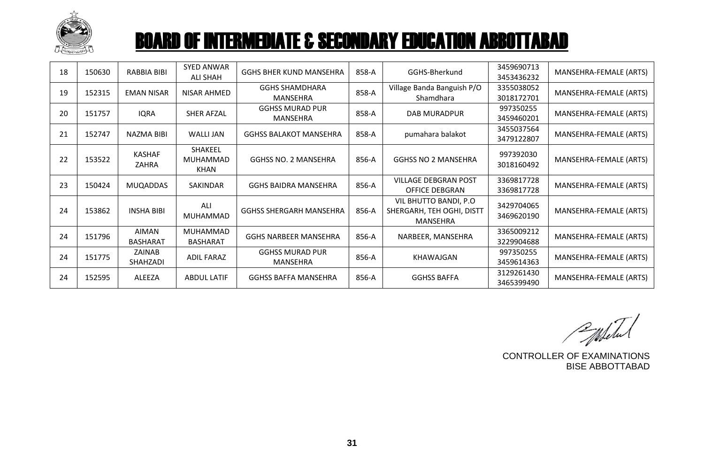

| 18 | 150630 | <b>RABBIA BIBI</b>       | <b>SYED ANWAR</b><br>ALI SHAH      | <b>GGHS BHER KUND MANSEHRA</b>            | 858-A | GGHS-Bherkund                                                   | 3459690713<br>3453436232 | MANSEHRA-FEMALE (ARTS) |
|----|--------|--------------------------|------------------------------------|-------------------------------------------|-------|-----------------------------------------------------------------|--------------------------|------------------------|
| 19 | 152315 | <b>EMAN NISAR</b>        | NISAR AHMED                        | <b>GGHS SHAMDHARA</b><br><b>MANSEHRA</b>  | 858-A | Village Banda Banguish P/O<br>Shamdhara                         | 3355038052<br>3018172701 | MANSEHRA-FEMALE (ARTS) |
| 20 | 151757 | <b>IQRA</b>              | SHER AFZAL                         | <b>GGHSS MURAD PUR</b><br><b>MANSEHRA</b> | 858-A | <b>DAB MURADPUR</b>                                             | 997350255<br>3459460201  | MANSEHRA-FEMALE (ARTS) |
| 21 | 152747 | NAZMA BIBI               | WALLI JAN                          | <b>GGHSS BALAKOT MANSEHRA</b>             | 858-A | pumahara balakot                                                | 3455037564<br>3479122807 | MANSEHRA-FEMALE (ARTS) |
| 22 | 153522 | <b>KASHAF</b><br>ZAHRA   | <b>SHAKEEL</b><br>MUHAMMAD<br>KHAN | <b>GGHSS NO. 2 MANSEHRA</b>               | 856-A | <b>GGHSS NO 2 MANSEHRA</b>                                      | 997392030<br>3018160492  | MANSEHRA-FEMALE (ARTS) |
| 23 | 150424 | <b>MUQADDAS</b>          | <b>SAKINDAR</b>                    | <b>GGHS BAIDRA MANSEHRA</b>               | 856-A | <b>VILLAGE DEBGRAN POST</b><br><b>OFFICE DEBGRAN</b>            | 3369817728<br>3369817728 | MANSEHRA-FEMALE (ARTS) |
| 24 | 153862 | <b>INSHA BIBI</b>        | ALI<br><b>MUHAMMAD</b>             | <b>GGHSS SHERGARH MANSEHRA</b>            | 856-A | VIL BHUTTO BANDI, P.O.<br>SHERGARH, TEH OGHI, DISTT<br>MANSEHRA | 3429704065<br>3469620190 | MANSEHRA-FEMALE (ARTS) |
| 24 | 151796 | AIMAN<br><b>BASHARAT</b> | <b>MUHAMMAD</b><br><b>BASHARAT</b> | <b>GGHS NARBEER MANSEHRA</b>              | 856-A | NARBEER, MANSEHRA                                               | 3365009212<br>3229904688 | MANSEHRA-FEMALE (ARTS) |
| 24 | 151775 | ZAINAB<br>SHAHZADI       | ADIL FARAZ                         | <b>GGHSS MURAD PUR</b><br>MANSEHRA        | 856-A | KHAWAJGAN                                                       | 997350255<br>3459614363  | MANSEHRA-FEMALE (ARTS) |
| 24 | 152595 | <b>ALEEZA</b>            | <b>ABDUL LATIF</b>                 | <b>GGHSS BAFFA MANSEHRA</b>               | 856-A | <b>GGHSS BAFFA</b>                                              | 3129261430<br>3465399490 | MANSEHRA-FEMALE (ARTS) |

Populated

CONTROLLER OF EXAMINATIONS BISE ABBOTTABAD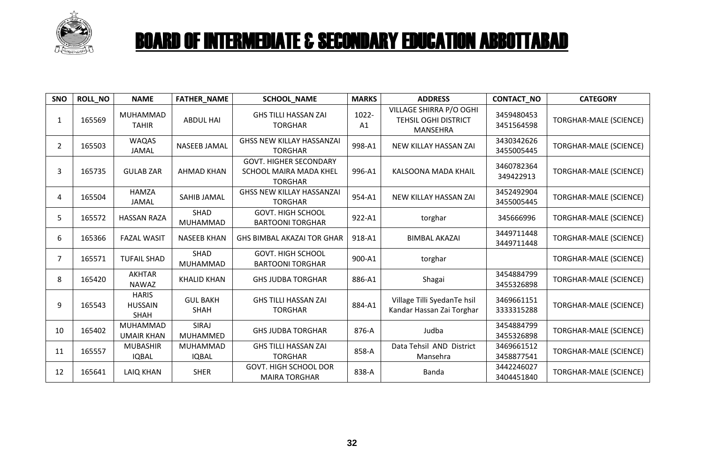

| SNO | <b>ROLL_NO</b> | <b>NAME</b>                                   | FATHER_NAME                    | <b>SCHOOL_NAME</b>                                                        | <b>MARKS</b> | <b>ADDRESS</b>                                                            | <b>CONTACT_NO</b>        | <b>CATEGORY</b>               |
|-----|----------------|-----------------------------------------------|--------------------------------|---------------------------------------------------------------------------|--------------|---------------------------------------------------------------------------|--------------------------|-------------------------------|
| 1   | 165569         | MUHAMMAD<br><b>TAHIR</b>                      | <b>ABDUL HAI</b>               | <b>GHS TILLI HASSAN ZAI</b><br><b>TORGHAR</b>                             | 1022-<br>A1  | VILLAGE SHIRRA P/O OGHI<br><b>TEHSIL OGHI DISTRICT</b><br><b>MANSEHRA</b> | 3459480453<br>3451564598 | <b>TORGHAR-MALE (SCIENCE)</b> |
| 2   | 165503         | <b>WAQAS</b><br><b>JAMAL</b>                  | <b>NASEEB JAMAL</b>            | <b>GHSS NEW KILLAY HASSANZAI</b><br><b>TORGHAR</b>                        | 998-A1       | NEW KILLAY HASSAN ZAI                                                     | 3430342626<br>3455005445 | <b>TORGHAR-MALE (SCIENCE)</b> |
| 3   | 165735         | <b>GULAB ZAR</b>                              | <b>AHMAD KHAN</b>              | <b>GOVT. HIGHER SECONDARY</b><br>SCHOOL MAIRA MADA KHEL<br><b>TORGHAR</b> | 996-A1       | KALSOONA MADA KHAIL                                                       | 3460782364<br>349422913  | <b>TORGHAR-MALE (SCIENCE)</b> |
| 4   | 165504         | <b>HAMZA</b><br>JAMAL                         | SAHIB JAMAL                    | <b>GHSS NEW KILLAY HASSANZAI</b><br><b>TORGHAR</b>                        | 954-A1       | NEW KILLAY HASSAN ZAI                                                     | 3452492904<br>3455005445 | <b>TORGHAR-MALE (SCIENCE)</b> |
| 5   | 165572         | <b>HASSAN RAZA</b>                            | SHAD<br>MUHAMMAD               | <b>GOVT. HIGH SCHOOL</b><br><b>BARTOONI TORGHAR</b>                       | 922-A1       | torghar                                                                   | 345666996                | <b>TORGHAR-MALE (SCIENCE)</b> |
| 6   | 165366         | <b>FAZAL WASIT</b>                            | <b>NASEEB KHAN</b>             | <b>GHS BIMBAL AKAZAI TOR GHAR</b>                                         | 918-A1       | <b>BIMBAL AKAZAI</b>                                                      | 3449711448<br>3449711448 | <b>TORGHAR-MALE (SCIENCE)</b> |
| 7   | 165571         | <b>TUFAIL SHAD</b>                            | SHAD<br>MUHAMMAD               | <b>GOVT. HIGH SCHOOL</b><br><b>BARTOONI TORGHAR</b>                       | 900-A1       | torghar                                                                   |                          | <b>TORGHAR-MALE (SCIENCE)</b> |
| 8   | 165420         | <b>AKHTAR</b><br><b>NAWAZ</b>                 | <b>KHALID KHAN</b>             | <b>GHS JUDBA TORGHAR</b>                                                  | 886-A1       | Shagai                                                                    | 3454884799<br>3455326898 | <b>TORGHAR-MALE (SCIENCE)</b> |
| 9   | 165543         | <b>HARIS</b><br><b>HUSSAIN</b><br><b>SHAH</b> | <b>GUL BAKH</b><br><b>SHAH</b> | <b>GHS TILLI HASSAN ZAI</b><br><b>TORGHAR</b>                             | 884-A1       | Village Tilli SyedanTe hsil<br>Kandar Hassan Zai Torghar                  | 3469661151<br>3333315288 | <b>TORGHAR-MALE (SCIENCE)</b> |
| 10  | 165402         | MUHAMMAD<br><b>UMAIR KHAN</b>                 | SIRAJ<br>MUHAMMED              | <b>GHS JUDBA TORGHAR</b>                                                  | 876-A        | Judba                                                                     | 3454884799<br>3455326898 | <b>TORGHAR-MALE (SCIENCE)</b> |
| 11  | 165557         | <b>MUBASHIR</b><br><b>IQBAL</b>               | MUHAMMAD<br><b>IQBAL</b>       | <b>GHS TILLI HASSAN ZAI</b><br><b>TORGHAR</b>                             | 858-A        | Data Tehsil AND District<br>Mansehra                                      | 3469661512<br>3458877541 | <b>TORGHAR-MALE (SCIENCE)</b> |
| 12  | 165641         | <b>LAIQ KHAN</b>                              | <b>SHER</b>                    | <b>GOVT. HIGH SCHOOL DOR</b><br><b>MAIRA TORGHAR</b>                      | 838-A        | Banda                                                                     | 3442246027<br>3404451840 | <b>TORGHAR-MALE (SCIENCE)</b> |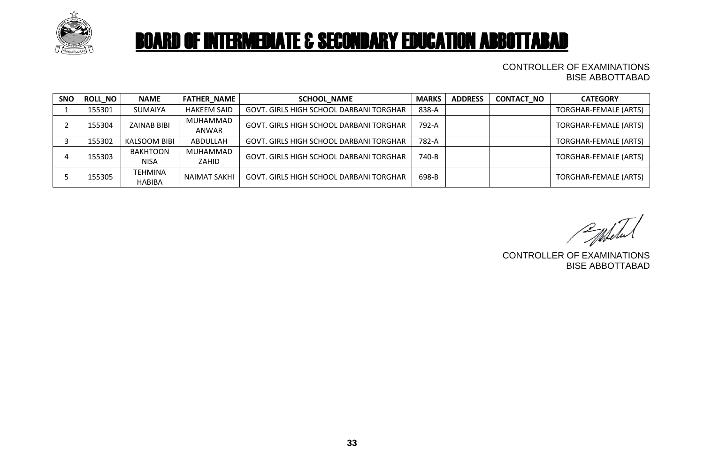

#### CONTROLLER OF EXAMINATIONS BISE ABBOTTABAD

| <b>SNO</b> | <b>ROLL NO</b> | <b>NAME</b>                    | <b>FATHER NAME</b>  | <b>SCHOOL_NAME</b>                             | <b>MARKS</b> | <b>ADDRESS</b> | <b>CONTACT_NO</b> | <b>CATEGORY</b>              |
|------------|----------------|--------------------------------|---------------------|------------------------------------------------|--------------|----------------|-------------------|------------------------------|
|            | 155301         | <b>SUMAIYA</b>                 | <b>HAKEEM SAID</b>  | GOVT. GIRLS HIGH SCHOOL DARBANI TORGHAR        | 838-A        |                |                   | TORGHAR-FEMALE (ARTS)        |
|            | 155304         | <b>ZAINAB BIBI</b>             | MUHAMMAD<br>ANWAR   | <b>GOVT. GIRLS HIGH SCHOOL DARBANI TORGHAR</b> | 792-A        |                |                   | TORGHAR-FEMALE (ARTS)        |
|            | 155302         | KALSOOM BIBI                   | ABDULLAH            | <b>GOVT. GIRLS HIGH SCHOOL DARBANI TORGHAR</b> | 782-A        |                |                   | <b>TORGHAR-FEMALE (ARTS)</b> |
|            | 155303         | <b>BAKHTOON</b><br><b>NISA</b> | MUHAMMAD<br>ZAHID   | GOVT. GIRLS HIGH SCHOOL DARBANI TORGHAR        | 740-B        |                |                   | <b>TORGHAR-FEMALE (ARTS)</b> |
|            | 155305         | TEHMINA<br><b>HABIBA</b>       | <b>NAIMAT SAKHI</b> | <b>GOVT. GIRLS HIGH SCHOOL DARBANI TORGHAR</b> | 698-B        |                |                   | TORGHAR-FEMALE (ARTS)        |

Populated

CONTROLLER OF EXAMINATIONS BISE ABBOTTABAD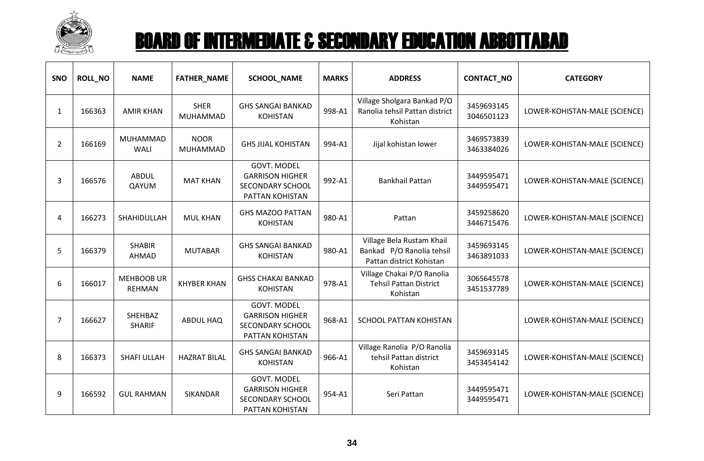

| SNO            | <b>ROLL_NO</b> | <b>NAME</b>                        | <b>FATHER_NAME</b>             | <b>SCHOOL_NAME</b>                                                                         | <b>MARKS</b> | <b>ADDRESS</b>                                                                     | CONTACT_NO               | <b>CATEGORY</b>               |
|----------------|----------------|------------------------------------|--------------------------------|--------------------------------------------------------------------------------------------|--------------|------------------------------------------------------------------------------------|--------------------------|-------------------------------|
| $\mathbf{1}$   | 166363         | <b>AMIR KHAN</b>                   | <b>SHER</b><br><b>MUHAMMAD</b> | <b>GHS SANGAI BANKAD</b><br><b>KOHISTAN</b>                                                | 998-A1       | Village Sholgara Bankad P/O<br>Ranolia tehsil Pattan district<br>Kohistan          | 3459693145<br>3046501123 | LOWER-KOHISTAN-MALE (SCIENCE) |
| $\overline{2}$ | 166169         | MUHAMMAD<br>WALI                   | <b>NOOR</b><br><b>MUHAMMAD</b> | <b>GHS JIJAL KOHISTAN</b>                                                                  | 994-A1       | Jijal kohistan lower                                                               | 3469573839<br>3463384026 | LOWER-KOHISTAN-MALE (SCIENCE) |
| 3              | 166576         | <b>ABDUL</b><br>QAYUM              | <b>MAT KHAN</b>                | <b>GOVT. MODEL</b><br><b>GARRISON HIGHER</b><br><b>SECONDARY SCHOOL</b><br>PATTAN KOHISTAN | 992-A1       | <b>Bankhail Pattan</b>                                                             | 3449595471<br>3449595471 | LOWER-KOHISTAN-MALE (SCIENCE) |
| 4              | 166273         | SHAHIDULLAH                        | <b>MUL KHAN</b>                | <b>GHS MAZOO PATTAN</b><br><b>KOHISTAN</b>                                                 | 980-A1       | Pattan                                                                             | 3459258620<br>3446715476 | LOWER-KOHISTAN-MALE (SCIENCE) |
| 5              | 166379         | <b>SHABIR</b><br>AHMAD             | <b>MUTABAR</b>                 | <b>GHS SANGAI BANKAD</b><br><b>KOHISTAN</b>                                                | 980-A1       | Village Bela Rustam Khail<br>Bankad P/O Ranolia tehsil<br>Pattan district Kohistan | 3459693145<br>3463891033 | LOWER-KOHISTAN-MALE (SCIENCE) |
| 6              | 166017         | <b>MEHBOOB UR</b><br><b>REHMAN</b> | <b>KHYBER KHAN</b>             | <b>GHSS CHAKAI BANKAD</b><br><b>KOHISTAN</b>                                               | 978-A1       | Village Chakai P/O Ranolia<br><b>Tehsil Pattan District</b><br>Kohistan            | 3065645578<br>3451537789 | LOWER-KOHISTAN-MALE (SCIENCE) |
| 7              | 166627         | SHEHBAZ<br><b>SHARIF</b>           | <b>ABDUL HAQ</b>               | <b>GOVT. MODEL</b><br><b>GARRISON HIGHER</b><br>SECONDARY SCHOOL<br>PATTAN KOHISTAN        | 968-A1       | <b>SCHOOL PATTAN KOHISTAN</b>                                                      |                          | LOWER-KOHISTAN-MALE (SCIENCE) |
| 8              | 166373         | <b>SHAFI ULLAH</b>                 | <b>HAZRAT BILAL</b>            | <b>GHS SANGAI BANKAD</b><br><b>KOHISTAN</b>                                                | 966-A1       | Village Ranolia P/O Ranolia<br>tehsil Pattan district<br>Kohistan                  | 3459693145<br>3453454142 | LOWER-KOHISTAN-MALE (SCIENCE) |
| 9              | 166592         | <b>GUL RAHMAN</b>                  | SIKANDAR                       | <b>GOVT. MODEL</b><br><b>GARRISON HIGHER</b><br><b>SECONDARY SCHOOL</b><br>PATTAN KOHISTAN | 954-A1       | Seri Pattan                                                                        | 3449595471<br>3449595471 | LOWER-KOHISTAN-MALE (SCIENCE) |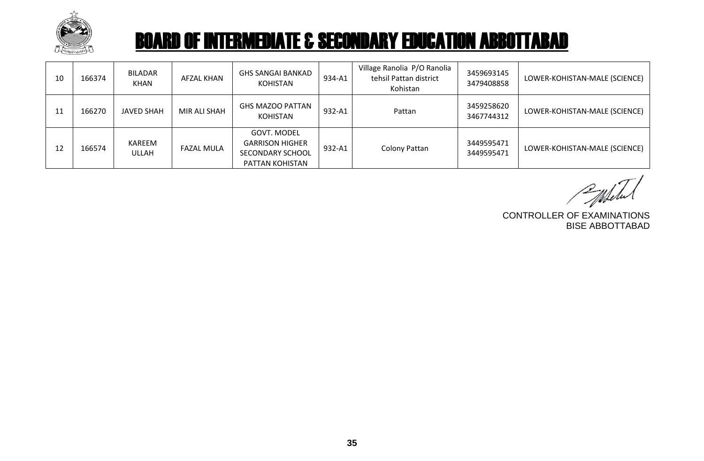

| 10 | 166374 | BILADAR<br><b>KHAN</b> | AFZAL KHAN        | GHS SANGAI BANKAD<br><b>KOHISTAN</b>                                                | 934-A1 | Village Ranolia P/O Ranolia<br>tehsil Pattan district<br>Kohistan | 3459693145<br>3479408858 | LOWER-KOHISTAN-MALE (SCIENCE) |
|----|--------|------------------------|-------------------|-------------------------------------------------------------------------------------|--------|-------------------------------------------------------------------|--------------------------|-------------------------------|
| 11 | 166270 | JAVED SHAH             | MIR ALI SHAH      | <b>GHS MAZOO PATTAN</b><br><b>KOHISTAN</b>                                          | 932-A1 | Pattan                                                            | 3459258620<br>3467744312 | LOWER-KOHISTAN-MALE (SCIENCE) |
| 12 | 166574 | KAREEM<br><b>ULLAH</b> | <b>FAZAL MULA</b> | GOVT. MODEL<br><b>GARRISON HIGHER</b><br><b>SECONDARY SCHOOL</b><br>PATTAN KOHISTAN | 932-A1 | Colony Pattan                                                     | 3449595471<br>3449595471 | LOWER-KOHISTAN-MALE (SCIENCE) |

CONTROLLER OF EXAMINATIONS

BISE ABBOTTABAD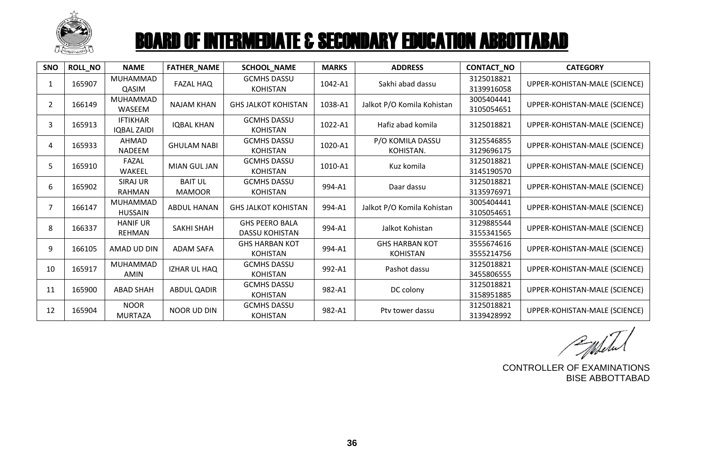

| <b>SNO</b>     | <b>ROLL NO</b> | <b>NAME</b>                           | <b>FATHER_NAME</b>              | SCHOOL_NAME                                    | <b>MARKS</b> | <b>ADDRESS</b>                           | CONTACT_NO               | <b>CATEGORY</b>               |
|----------------|----------------|---------------------------------------|---------------------------------|------------------------------------------------|--------------|------------------------------------------|--------------------------|-------------------------------|
| 1              | 165907         | MUHAMMAD<br>QASIM                     | <b>FAZAL HAQ</b>                | <b>GCMHS DASSU</b><br><b>KOHISTAN</b>          | 1042-A1      | Sakhi abad dassu                         | 3125018821<br>3139916058 | UPPER-KOHISTAN-MALE (SCIENCE) |
| $\overline{2}$ | 166149         | <b>MUHAMMAD</b><br>WASEEM             | <b>NAJAM KHAN</b>               | <b>GHS JALKOT KOHISTAN</b>                     | 1038-A1      | Jalkot P/O Komila Kohistan               | 3005404441<br>3105054651 | UPPER-KOHISTAN-MALE (SCIENCE) |
| 3              | 165913         | <b>IFTIKHAR</b><br><b>IQBAL ZAIDI</b> | <b>IQBAL KHAN</b>               | <b>GCMHS DASSU</b><br><b>KOHISTAN</b>          | 1022-A1      | Hafiz abad komila                        | 3125018821               | UPPER-KOHISTAN-MALE (SCIENCE) |
| 4              | 165933         | AHMAD<br><b>NADEEM</b>                | <b>GHULAM NABI</b>              | <b>GCMHS DASSU</b><br><b>KOHISTAN</b>          | 1020-A1      | P/O KOMILA DASSU<br>KOHISTAN.            | 3125546855<br>3129696175 | UPPER-KOHISTAN-MALE (SCIENCE) |
| 5              | 165910         | FAZAL<br>WAKEEL                       | <b>MIAN GUL JAN</b>             | <b>GCMHS DASSU</b><br><b>KOHISTAN</b>          | 1010-A1      | Kuz komila                               | 3125018821<br>3145190570 | UPPER-KOHISTAN-MALE (SCIENCE) |
| 6              | 165902         | <b>SIRAJ UR</b><br><b>RAHMAN</b>      | <b>BAIT UL</b><br><b>MAMOOR</b> | <b>GCMHS DASSU</b><br><b>KOHISTAN</b>          | 994-A1       | Daar dassu                               | 3125018821<br>3135976971 | UPPER-KOHISTAN-MALE (SCIENCE) |
| 7              | 166147         | MUHAMMAD<br><b>HUSSAIN</b>            | <b>ABDUL HANAN</b>              | <b>GHS JALKOT KOHISTAN</b>                     | 994-A1       | Jalkot P/O Komila Kohistan               | 3005404441<br>3105054651 | UPPER-KOHISTAN-MALE (SCIENCE) |
| 8              | 166337         | <b>HANIF UR</b><br><b>REHMAN</b>      | <b>SAKHI SHAH</b>               | <b>GHS PEERO BALA</b><br><b>DASSU KOHISTAN</b> | 994-A1       | Jalkot Kohistan                          | 3129885544<br>3155341565 | UPPER-KOHISTAN-MALE (SCIENCE) |
| 9              | 166105         | AMAD UD DIN                           | <b>ADAM SAFA</b>                | <b>GHS HARBAN KOT</b><br><b>KOHISTAN</b>       | 994-A1       | <b>GHS HARBAN KOT</b><br><b>KOHISTAN</b> | 3555674616<br>3555214756 | UPPER-KOHISTAN-MALE (SCIENCE) |
| 10             | 165917         | MUHAMMAD<br><b>AMIN</b>               | IZHAR UL HAQ                    | <b>GCMHS DASSU</b><br><b>KOHISTAN</b>          | 992-A1       | Pashot dassu                             | 3125018821<br>3455806555 | UPPER-KOHISTAN-MALE (SCIENCE) |
| 11             | 165900         | <b>ABAD SHAH</b>                      | <b>ABDUL QADIR</b>              | <b>GCMHS DASSU</b><br><b>KOHISTAN</b>          | 982-A1       | DC colony                                | 3125018821<br>3158951885 | UPPER-KOHISTAN-MALE (SCIENCE) |
| 12             | 165904         | <b>NOOR</b><br><b>MURTAZA</b>         | <b>NOOR UD DIN</b>              | <b>GCMHS DASSU</b><br><b>KOHISTAN</b>          | 982-A1       | Pty tower dassu                          | 3125018821<br>3139428992 | UPPER-KOHISTAN-MALE (SCIENCE) |

Populated

CONTROLLER OF EXAMINATIONS BISE ABBOTTABAD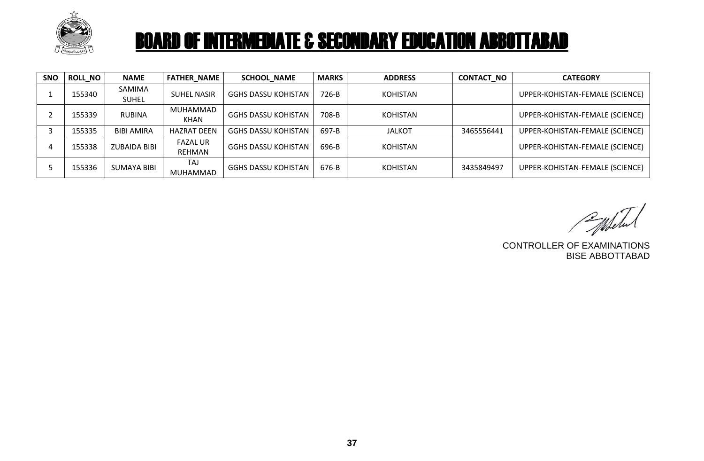

| <b>SNO</b> | <b>ROLL NO</b> | <b>NAME</b>            | <b>FATHER NAME</b>        | <b>SCHOOL NAME</b>         | <b>MARKS</b> | <b>ADDRESS</b>  | <b>CONTACT NO</b> | <b>CATEGORY</b>                 |
|------------|----------------|------------------------|---------------------------|----------------------------|--------------|-----------------|-------------------|---------------------------------|
|            | 155340         | SAMIMA<br><b>SUHEL</b> | <b>SUHEL NASIR</b>        | <b>GGHS DASSU KOHISTAN</b> | 726-B        | <b>KOHISTAN</b> |                   | UPPER-KOHISTAN-FEMALE (SCIENCE) |
|            | 155339         | <b>RUBINA</b>          | MUHAMMAD<br>KHAN          | <b>GGHS DASSU KOHISTAN</b> | 708-B        | <b>KOHISTAN</b> |                   | UPPER-KOHISTAN-FEMALE (SCIENCE) |
|            | 155335         | <b>BIBI AMIRA</b>      | <b>HAZRAT DEEN</b>        | <b>GGHS DASSU KOHISTAN</b> | 697-B        | <b>JALKOT</b>   | 3465556441        | UPPER-KOHISTAN-FEMALE (SCIENCE) |
|            | 155338         | <b>ZUBAIDA BIBI</b>    | <b>FAZAL UR</b><br>REHMAN | <b>GGHS DASSU KOHISTAN</b> | 696-B        | <b>KOHISTAN</b> |                   | UPPER-KOHISTAN-FEMALE (SCIENCE) |
|            | 155336         | <b>SUMAYA BIBI</b>     | TAJ<br><b>MUHAMMAD</b>    | <b>GGHS DASSU KOHISTAN</b> | 676-B        | <b>KOHISTAN</b> | 3435849497        | UPPER-KOHISTAN-FEMALE (SCIENCE) |

Publical

CONTROLLER OF EXAMINATIONS BISE ABBOTTABAD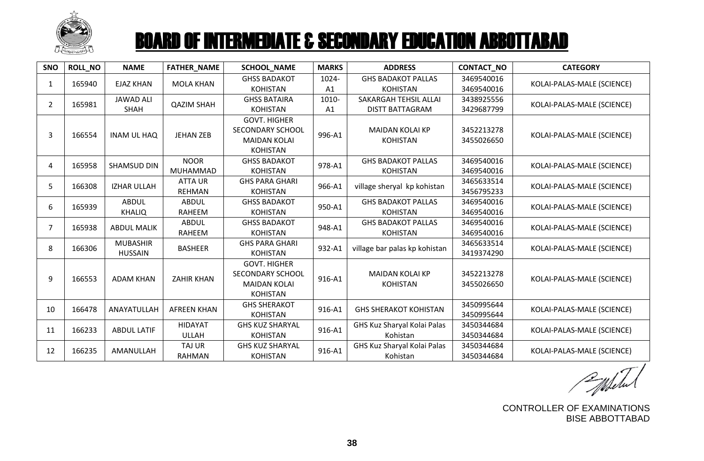

| <b>SNO</b>     | <b>ROLL_NO</b> | <b>NAME</b>                       | FATHER_NAME                     | <b>SCHOOL NAME</b>                                                                       | <b>MARKS</b> | <b>ADDRESS</b>                                  | CONTACT_NO               | <b>CATEGORY</b>            |
|----------------|----------------|-----------------------------------|---------------------------------|------------------------------------------------------------------------------------------|--------------|-------------------------------------------------|--------------------------|----------------------------|
| $\mathbf{1}$   | 165940         | <b>EJAZ KHAN</b>                  | <b>MOLA KHAN</b>                | <b>GHSS BADAKOT</b><br><b>KOHISTAN</b>                                                   | 1024-<br>A1  | <b>GHS BADAKOT PALLAS</b><br><b>KOHISTAN</b>    | 3469540016<br>3469540016 | KOLAI-PALAS-MALE (SCIENCE) |
| $\overline{2}$ | 165981         | <b>JAWAD ALI</b><br><b>SHAH</b>   | <b>QAZIM SHAH</b>               | <b>GHSS BATAIRA</b><br><b>KOHISTAN</b>                                                   | 1010-<br>A1  | SAKARGAH TEHSIL ALLAI<br><b>DISTT BATTAGRAM</b> | 3438925556<br>3429687799 | KOLAI-PALAS-MALE (SCIENCE) |
| 3              | 166554         | <b>INAM UL HAQ</b>                | <b>JEHAN ZEB</b>                | <b>GOVT. HIGHER</b><br><b>SECONDARY SCHOOL</b><br><b>MAIDAN KOLAI</b><br><b>KOHISTAN</b> | 996-A1       | <b>MAIDAN KOLAI KP</b><br><b>KOHISTAN</b>       | 3452213278<br>3455026650 | KOLAI-PALAS-MALE (SCIENCE) |
| 4              | 165958         | <b>SHAMSUD DIN</b>                | <b>NOOR</b><br>MUHAMMAD         | <b>GHSS BADAKOT</b><br><b>KOHISTAN</b>                                                   | 978-A1       | <b>GHS BADAKOT PALLAS</b><br><b>KOHISTAN</b>    | 3469540016<br>3469540016 | KOLAI-PALAS-MALE (SCIENCE) |
| 5              | 166308         | <b>IZHAR ULLAH</b>                | <b>ATTA UR</b><br><b>REHMAN</b> | <b>GHS PARA GHARI</b><br><b>KOHISTAN</b>                                                 | 966-A1       | village sheryal kp kohistan                     | 3465633514<br>3456795233 | KOLAI-PALAS-MALE (SCIENCE) |
| 6              | 165939         | <b>ABDUL</b><br><b>KHALIQ</b>     | <b>ABDUL</b><br>RAHEEM          | <b>GHSS BADAKOT</b><br><b>KOHISTAN</b>                                                   | 950-A1       | <b>GHS BADAKOT PALLAS</b><br><b>KOHISTAN</b>    | 3469540016<br>3469540016 | KOLAI-PALAS-MALE (SCIENCE) |
| $\overline{7}$ | 165938         | <b>ABDUL MALIK</b>                | <b>ABDUL</b><br>RAHEEM          | <b>GHSS BADAKOT</b><br><b>KOHISTAN</b>                                                   | 948-A1       | <b>GHS BADAKOT PALLAS</b><br><b>KOHISTAN</b>    | 3469540016<br>3469540016 | KOLAI-PALAS-MALE (SCIENCE) |
| 8              | 166306         | <b>MUBASHIR</b><br><b>HUSSAIN</b> | <b>BASHEER</b>                  | <b>GHS PARA GHARI</b><br><b>KOHISTAN</b>                                                 | 932-A1       | village bar palas kp kohistan                   | 3465633514<br>3419374290 | KOLAI-PALAS-MALE (SCIENCE) |
| 9              | 166553         | <b>ADAM KHAN</b>                  | <b>ZAHIR KHAN</b>               | <b>GOVT. HIGHER</b><br><b>SECONDARY SCHOOL</b><br><b>MAIDAN KOLAI</b><br><b>KOHISTAN</b> | 916-A1       | <b>MAIDAN KOLAI KP</b><br><b>KOHISTAN</b>       | 3452213278<br>3455026650 | KOLAI-PALAS-MALE (SCIENCE) |
| 10             | 166478         | ANAYATULLAH                       | <b>AFREEN KHAN</b>              | <b>GHS SHERAKOT</b><br><b>KOHISTAN</b>                                                   | 916-A1       | <b>GHS SHERAKOT KOHISTAN</b>                    | 3450995644<br>3450995644 | KOLAI-PALAS-MALE (SCIENCE) |
| 11             | 166233         | <b>ABDUL LATIF</b>                | <b>HIDAYAT</b><br><b>ULLAH</b>  | <b>GHS KUZ SHARYAL</b><br><b>KOHISTAN</b>                                                | 916-A1       | GHS Kuz Sharyal Kolai Palas<br>Kohistan         | 3450344684<br>3450344684 | KOLAI-PALAS-MALE (SCIENCE) |
| 12             | 166235         | AMANULLAH                         | TAJ UR<br><b>RAHMAN</b>         | <b>GHS KUZ SHARYAL</b><br><b>KOHISTAN</b>                                                | 916-A1       | GHS Kuz Sharyal Kolai Palas<br>Kohistan         | 3450344684<br>3450344684 | KOLAI-PALAS-MALE (SCIENCE) |

CONTROLLER OF EXAMINATIONS BISE ABBOTTABAD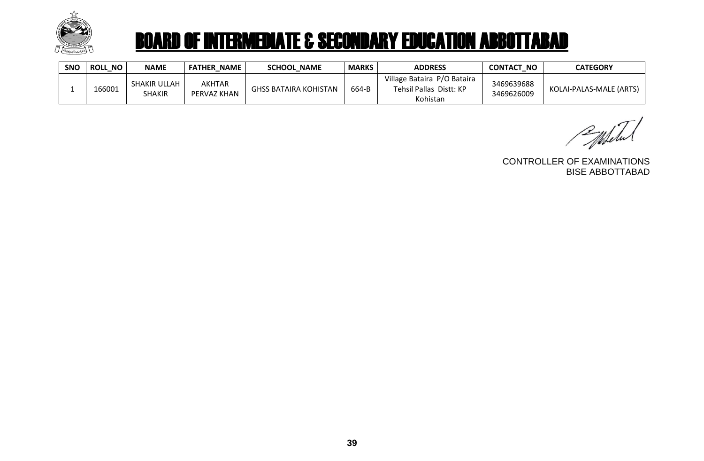

| <b>SNO</b> | NO.<br><b>ROLL</b> | <b>NAME</b>                   | <b>NAME</b><br><b>FATHER</b> | <b>SCHOOL NAME</b>    | <b>MARKS</b> | <b>ADDRESS</b>                                                     | <b>CONTACT</b><br><b>NO</b> | <b>CATEGORY</b>         |
|------------|--------------------|-------------------------------|------------------------------|-----------------------|--------------|--------------------------------------------------------------------|-----------------------------|-------------------------|
|            | 166001             | SHAKIR ULLAH<br><b>SHAKIR</b> | <b>AKHTAR</b><br>PERVAZ KHAN | GHSS BATAIRA KOHISTAN | 664-B        | Village Bataira P/O Bataira<br>Tehsil Pallas Distt: KP<br>Kohistan | 3469639688<br>3469626009    | KOLAI-PALAS-MALE (ARTS) |

Public

CONTROLLER OF EXAMINATIONS BISE ABBOTTABAD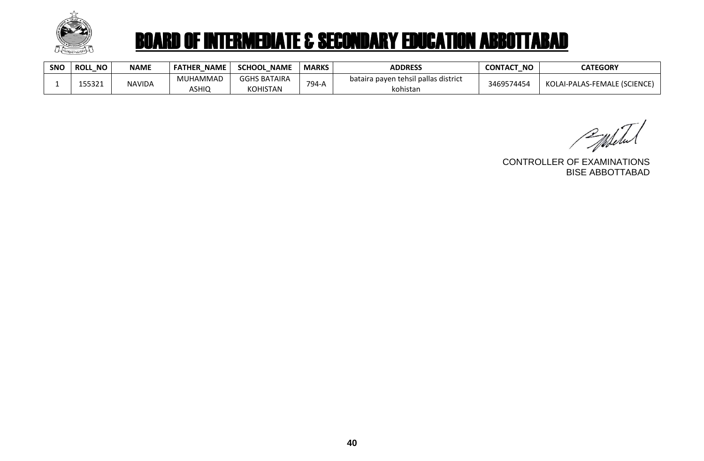

| <b>SNO</b> | <b>ROLL</b><br><b>NO</b> | <b>NAME</b>   | <b>NAME</b><br><b>FATHER</b> | <b>SCHOOL</b><br><b>NAME</b>    | <b>MARKS</b> | <b>ADDRESS</b>                                   | <b>CONTACT</b><br><b>NO</b> | <b>CATEGORY</b>              |
|------------|--------------------------|---------------|------------------------------|---------------------------------|--------------|--------------------------------------------------|-----------------------------|------------------------------|
|            | 155321                   | <b>NAVIDA</b> | MUHAMMAD<br>ASHIQ            | <b>GGHS BATAIRA</b><br>KOHISTAN | $794 -$      | bataira payen tehsil pallas district<br>kohistan | 3469574454                  | KOLAI-PALAS-FEMALE (SCIENCE) |

Populated

CONTROLLER OF EXAMINATIONS BISE ABBOTTABAD